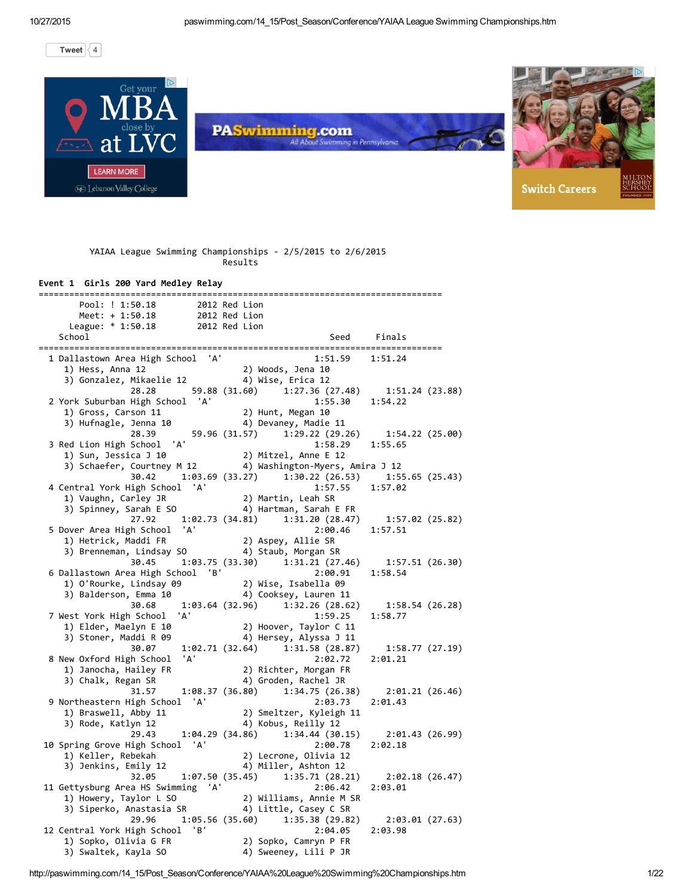[Tweet](https://twitter.com/intent/tweet?hashtags=paswimming&original_referer=http%3A%2F%2Fpaswimming.com%2F14_15%2FPost_Season%2FConference%2FYAIAA%2520League%2520Swimming%2520Championships.htm&ref_src=twsrc%5Etfw&related=paswimming&tw_p=tweetbutton&url=http%3A%2F%2Fpaswimming.com%2F14_15%2FPost_Season%2FConference%2FYAIAA%2520League%2520Swimming%2520Championships.htm&via=paswimming)  $\begin{array}{|c|c|c|c|c|}\n\hline\n\end{array}$ 



|  |  | YAIAA League Swimming Championships - 2/5/2015 to 2/6/2015 |  |  |  |
|--|--|------------------------------------------------------------|--|--|--|
|  |  | Results                                                    |  |  |  |
|  |  |                                                            |  |  |  |

### Event 1 Girls 200 Yard Medley Relay

| =========                                                                                          |                                                                                                         |
|----------------------------------------------------------------------------------------------------|---------------------------------------------------------------------------------------------------------|
| Pool: ! 1:50.18<br>2012 Red Lion                                                                   |                                                                                                         |
|                                                                                                    |                                                                                                         |
| Meet: + 1:50.18 2012 Red Lion<br>League: * 1:50.18 2012 Red Lion                                   |                                                                                                         |
| School                                                                                             | Seed Finals                                                                                             |
|                                                                                                    |                                                                                                         |
| 1 Dallastown Area High School 'A'                                                                  | 1:51.59 1:51.24                                                                                         |
|                                                                                                    |                                                                                                         |
| 1) Hess, Anna 12<br>1) Hess, Anna 12<br>3) Gonzalez, Mikaelie 12<br>4) Wise, Erica 12              |                                                                                                         |
| 28.28                                                                                              |                                                                                                         |
| 2 York Suburban High School 'A'                                                                    | 59.88 (31.60) 1:27.36 (27.48) 1:51.24 (23.88)<br>chool 'A' 1:55.30 1:54.22                              |
| 1) Gross, Carson 11                                                                                | 2) Hunt, Megan 10                                                                                       |
| 1) Gross, Carson 11<br>3) Hufnagle, Jenna 10                                                       | 4) Devaney, Madie 11                                                                                    |
| 28.39                                                                                              | 59.96 (31.57) 1:29.22 (29.26) 1:54.22 (25.00)                                                           |
| 3 Red Lion High School 'A'                                                                         | $1:58.29$ $1:55.65$                                                                                     |
|                                                                                                    |                                                                                                         |
|                                                                                                    | 1) Sun, Jessica J 10 2) Mitzel, Anne E 12<br>3) Schaefer, Courtney M 12 4) Washington-Myers, Amira J 12 |
| 30.42                                                                                              | 1:03.69 (33.27) 1:30.22 (26.53) 1:55.65 (25.43)                                                         |
|                                                                                                    |                                                                                                         |
| 4 Central York High School 'A'                                                                     | 1:57.55 1:57.02                                                                                         |
|                                                                                                    |                                                                                                         |
|                                                                                                    |                                                                                                         |
|                                                                                                    | 27.92 1:02.73 (34.81) 1:31.20 (28.47) 1:57.02 (25.82)                                                   |
| 5 Dover Area High School 'A'                                                                       | 2:00.46 1:57.51                                                                                         |
|                                                                                                    |                                                                                                         |
|                                                                                                    |                                                                                                         |
| 30.45                                                                                              | $1:03.75(33.30)$ $1:31.21(27.46)$ $1:57.51(26.30)$                                                      |
| 6 Dallastown Area High School 'B'                                                                  | 2:00.91<br>1:58.54                                                                                      |
| 1) O'Rourke, Lindsay 09                                                                            | 2) Wise, Isabella 09<br>4) Cooksey, Lauren 11                                                           |
| 3) Balderson, Emma 10                                                                              |                                                                                                         |
| 30.68                                                                                              | 1:03.64 (32.96) 1:32.26 (28.62)<br>1:58.54 (26.28)                                                      |
| 7 West York High School<br>'A'                                                                     | 1:59.25<br>1:58.77                                                                                      |
| 1) Elder, Maelyn E 10                                                                              | 2) Hoover, Taylor C 11                                                                                  |
| 3) Stoner, Maddi R 09                                                                              | 4) Hersey, Alyssa J 11                                                                                  |
| 30.07                                                                                              | 1:02.71 (32.64) 1:31.58 (28.87) 1:58.77 (27.19)                                                         |
| 8 New Oxford High School 'A'                                                                       | 2:02.72<br>2:01.21                                                                                      |
| 1) Janocha, Hailey FR<br>3) Chalk, Bogan SB                                                        | 2) Richter, Morgan FR                                                                                   |
| 3) Chalk, Regan SR                                                                                 | 4) Groden, Rachel JR                                                                                    |
|                                                                                                    | $(31.57 \t1.08.37 \t(36.80) \t1.34.75 \t(26.38) \t2.01.21 \t(26.46))$                                   |
| 9 Northeastern High School 'A'                                                                     | 2:03.73<br>2:01.43                                                                                      |
|                                                                                                    | 2) Smeltzer, Kyleigh 11                                                                                 |
| 1) Braswell, Abby 11<br>3) Rode. Katlvn 12<br>3) Rode, Katlyn 12                                   | 4) Kobus, Reilly 12                                                                                     |
|                                                                                                    | $29.43$ 1:04.29 (34.86) 1:34.44 (30.15)<br>2:01.43 (26.99)                                              |
| 10 Spring Grove High School 'A'                                                                    | 2:00.78<br>2:02.18                                                                                      |
| 1) Keller, Rebekah                                                                                 | 2) Lecrone, Olivia 12                                                                                   |
| 3) Jenkins, Emily 12                                                                               | 4) Miller, Ashton 12                                                                                    |
| 32.05                                                                                              | $1:07.50(35.45)$ $1:35.71(28.21)$<br>2:02.18 (26.47)                                                    |
| 11 Gettysburg Area HS Swimming 'A'                                                                 | 2:06.42<br>2:03.01                                                                                      |
|                                                                                                    |                                                                                                         |
| 1) Howery, Taylor L SO (2) Williams, Annie M SR<br>3) Siperko, Anastasia SR (4) Little, Casey C SR |                                                                                                         |
| 29.96                                                                                              | $1:05.56(35.60)$ $1:35.38(29.82)$                                                                       |
|                                                                                                    | 2:03.01 (27.63)<br>2:03.98                                                                              |
| 12 Central York High School 'B'                                                                    | 2:04.05                                                                                                 |
| 1) Sopko, Olivia G FR                                                                              | 2) Sopko, Camryn P FR                                                                                   |
| 3) Swaltek, Kayla SO                                                                               | 4) Sweeney, Lili P JR                                                                                   |

http://paswimming.com/14\_15/Post\_Season/Conference/YAIAA%20League%20Swimming%20Championships.htm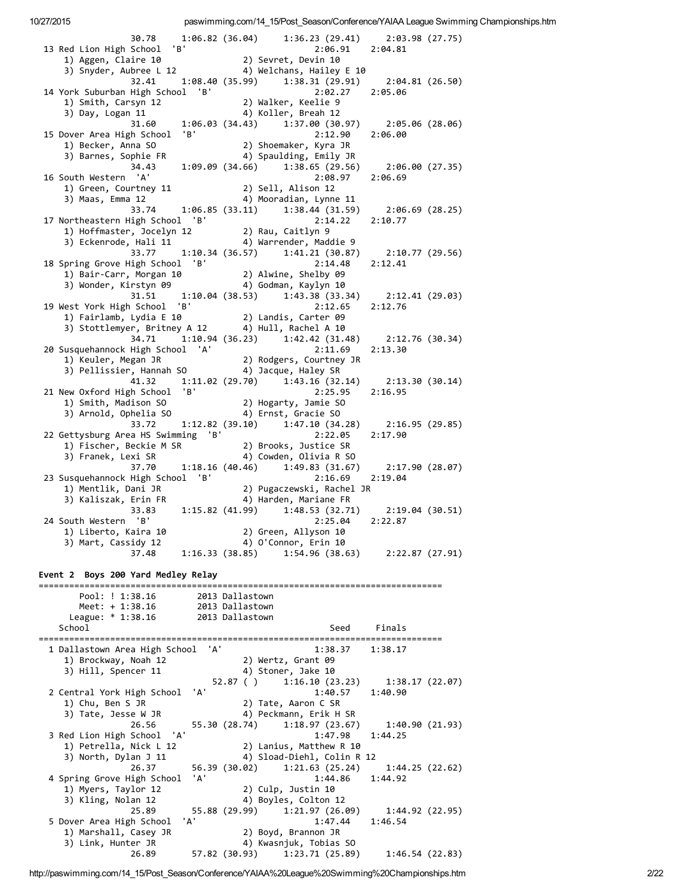| 30.78<br>13 Red Lion High School 'B'                                                                                                                                                                                                                                             | $1:06.82$ (36.04) $1:36.23$ (29.41) $2:03.98$ (27.75)<br>2:06.91 2:04.81<br>1) Aggen, Claire 10<br>1) Aggen, Claire 10<br>3) Snyder, Aubree L 12<br>4) Welchans, Hailey E 10                                                                        |
|----------------------------------------------------------------------------------------------------------------------------------------------------------------------------------------------------------------------------------------------------------------------------------|-----------------------------------------------------------------------------------------------------------------------------------------------------------------------------------------------------------------------------------------------------|
|                                                                                                                                                                                                                                                                                  | 32.41 1:08.40 (35.99) 1:38.31 (29.91) 2:04.81 (26.50)<br>High School 'B' 2:02.27 2:05.06                                                                                                                                                            |
| 14 York Suburban High School 'B'<br>1) Smith, Carsyn 12<br>3) Day, Logan 11                                                                                                                                                                                                      | 5<br>2.02.2 Walker, Keelie<br>3 A) Koller<br>4 Koller                                                                                                                                                                                               |
| 15 Dover Area High School 'B'<br>1) Becker, Anna SO                                                                                                                                                                                                                              | 31.60   1:06.03   (34.43)   1:37.00   (30.97)   2:05.06   (28.06)<br>2:12.90<br>2:06.00<br>z:۱z.90<br>Shoemaker, Kyra JR (2                                                                                                                         |
| 16 South Western 'A'                                                                                                                                                                                                                                                             | 1) Becker, Anna SO                               2) Shoemaker, Kyra JR<br>3) Barnes, Sophie FR                               4) Spaulding, Emily JR<br>34.43         1:09.09 (34.66)       1:38.65 (29.56)       2:06.00 (27.35)<br>2:08.97 2:06.69 |
| 1) Green, Courtney 11 (2) Sell, Alison 12<br>3) Maas, Emma 12 (2) 4) Mooradian, Lynne 11                                                                                                                                                                                         |                                                                                                                                                                                                                                                     |
| 17 Northeastern High School 'B'<br>1) Hoffmaster, Jocelyn 12 (2) Rau, Caitlyn 9<br>3) Eckenrode, Hali 11 (4) Warrender, Maddie 9                                                                                                                                                 | 33.74 1:06.85 (33.11) 1:38.44 (31.59) 2:06.69 (28.25)<br>iigh School 'B' 2:14.22 2:10.77                                                                                                                                                            |
| 18 Spring Grove High School 'B'                                                                                                                                                                                                                                                  | 33.77 1:10.34 (36.57) 1:41.21 (30.87) 2:10.77 (29.56)<br>2:14.48<br>2:12.41                                                                                                                                                                         |
| 1) Bair-Carr, Morgan 10<br>3) Wonder, Kirstyn 09<br>3) Wonder, Kirstyn 09<br>4) Godman, Kaylyn 10                                                                                                                                                                                | 31.51   1:10.04   (38.53)   1:43.38   (33.34)   2:12.41   (29.03)                                                                                                                                                                                   |
| 19 West York High School 'B' 2:12.65<br>1) Fairlamb, Lydia E 10 2) Landis, Carter 09<br>3) Stottlemyer, Britney A 12 4) Hull, Rachel A 10                                                                                                                                        | 2:12.65<br>2:12.76                                                                                                                                                                                                                                  |
|                                                                                                                                                                                                                                                                                  | $34.71 \qquad 1:10.94 \ (36.23) \qquad 1:42.42 \ (31.48) \qquad 2:12.76 \ (30.34)$<br>2:11.69<br>2:13.30                                                                                                                                            |
| 20 Susquehannock High School 'A' 2:11.69<br>1) Keuler, Megan JR 2) Rodgers, Courtney JR<br>3) Pellissier, Hannah SO 4) Jacque, Haley SR                                                                                                                                          | 41.32   1:11.02   (29.70)   1:43.16   (32.14)   2:13.30   (30.14)                                                                                                                                                                                   |
| 21 New Oxford High School 'B'                                                                                                                                                                                                                                                    | 2:25.95<br>2:16.95                                                                                                                                                                                                                                  |
| 33.72<br>22 Gettysburg Area HS Swimming 'B'<br>2:22.05 1)<br>Fischer, Beckie M SR (2) Brooks, Justice SR (3) Franek, Lexi SR (3) Franck, Lexi SR (3) Space (3) Space (4) Cowden. 01:03.07<br>The community of the community of the community of the community of the community o | $1:12.82$ (39.10) $1:47.10$ (34.28) $2:16.95$ (29.85)<br>2:22.05<br>2:17.90                                                                                                                                                                         |
| 23 Susquehannock High School 'B'                                                                                                                                                                                                                                                 | 4) Cowden, Olivia R SO<br>37.70 1:18.16 (40.46) 1:49.83 (31.67) 2:17.90 (28.07)<br>High School 'B' 2:16.69 2:19.04                                                                                                                                  |
|                                                                                                                                                                                                                                                                                  | 1) Mentlik, Dani JR<br>3) Kaliszak, Erin FR<br>3) Saliszak, Erin FR<br>33.83<br>1:15.82 (41.99) 1:48.53 (32.71) 2:19.04 (30.51)                                                                                                                     |
| 24 South Western 'B'                                                                                                                                                                                                                                                             | 2:25.04 2:22.87                                                                                                                                                                                                                                     |
| 3) Mart, Cassidy 12<br>37.48                                                                                                                                                                                                                                                     | 4) O'Connor, Erin 10<br>1:54.96 (38.63) 2:22.87 (27.91)<br>1:16.33(38.85)                                                                                                                                                                           |
| Event 2 Boys 200 Yard Medley Relay                                                                                                                                                                                                                                               |                                                                                                                                                                                                                                                     |
| Pool: ! 1:38.16<br>Meet: $+1:38.16$<br>League: $* 1:38.16$                                                                                                                                                                                                                       | 2013 Dallastown<br>2013 Dallastown<br>2013 Dallastown                                                                                                                                                                                               |
| School                                                                                                                                                                                                                                                                           | Seed<br>Finals                                                                                                                                                                                                                                      |
| 'A'<br>1 Dallastown Area High School<br>1) Brockway, Noah 12<br>3) Hill, Spencer 11                                                                                                                                                                                              | 1:38.37<br>1:38.17<br>2) Wertz, Grant 09<br>4) Stoner, Jake 10                                                                                                                                                                                      |
| 'A'<br>2 Central York High School<br>1) Chu, Ben S JR                                                                                                                                                                                                                            | 52.87 ( )<br>1:16.10(23.23)<br>1:38.17(22.07)<br>1:40.57<br>1:40.90<br>2) Tate, Aaron C SR                                                                                                                                                          |
| 3) Tate, Jesse W JR<br>26.56                                                                                                                                                                                                                                                     | 4) Peckmann, Erik H SR<br>55.30 (28.74)<br>1:18.97(23.67)<br>1:40.90(21.93)                                                                                                                                                                         |
| 3 Red Lion High School<br>'A'<br>1) Petrella, Nick L 12<br>3) North, Dylan J 11                                                                                                                                                                                                  | 1:47.98<br>1:44.25<br>2) Lanius, Matthew R 10<br>4) Sload-Diehl, Colin R 12                                                                                                                                                                         |
| 26.37<br>'A'<br>4 Spring Grove High School<br>1) Myers, Taylor 12                                                                                                                                                                                                                | 56.39 (30.02)<br>1:21.63(25.24)<br>1:44.25(22.62)<br>1:44.86<br>1:44.92<br>2) Culp, Justin 10                                                                                                                                                       |
| 3) Kling, Nolan 12<br>25.89<br>5 Dover Area High School<br>'A'                                                                                                                                                                                                                   | 4) Boyles, Colton 12<br>55.88 (29.99)<br>1:21.97 (26.09)<br>1:44.92(22.95)<br>1:47.44<br>1:46.54                                                                                                                                                    |
| 1) Marshall, Casey JR<br>3) Link, Hunter JR<br>26.89                                                                                                                                                                                                                             | 2) Boyd, Brannon JR<br>4) Kwasnjuk, Tobias SO<br>57.82 (30.93) 1:23.71 (25.89)<br>1:46.54(22.83)                                                                                                                                                    |

http://paswimming.com/14\_15/Post\_Season/Conference/YAIAA%20League%20Swimming%20Championships.htm 2/22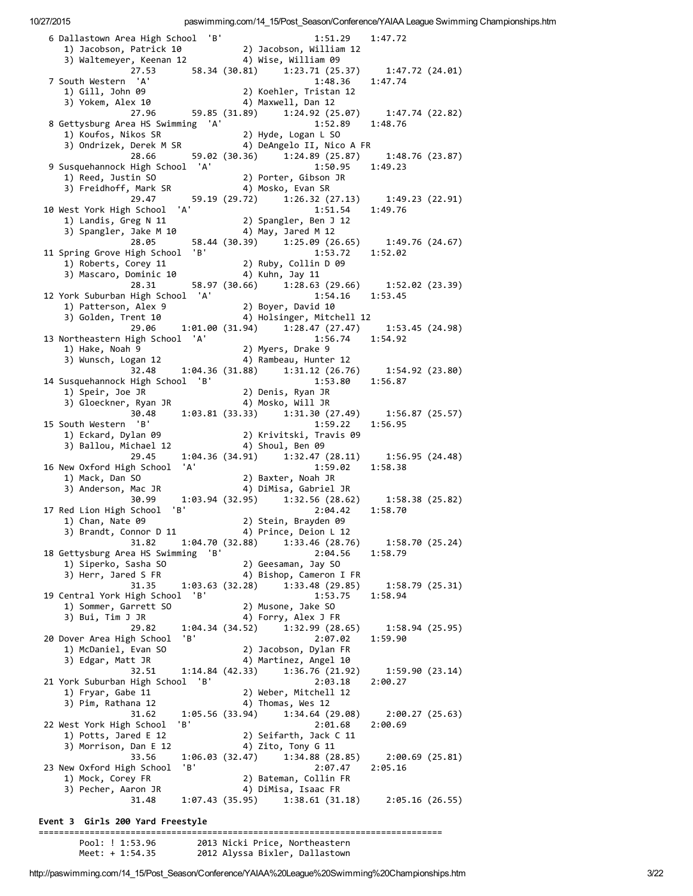| 6 Dallastown Area High School 'B'                                                                            | $1:51.29$ $1:47.72$                                                                                                                                                                                          |
|--------------------------------------------------------------------------------------------------------------|--------------------------------------------------------------------------------------------------------------------------------------------------------------------------------------------------------------|
| 1) Jacobson, Patrick 10 (2) Jacobson, William 12<br>3) Waltemeyer, Keenan 12 (4) Wise, William 09            |                                                                                                                                                                                                              |
| 7 South Western 'A'                                                                                          | 27.53 58.34 (30.81) 1:23.71 (25.37) 1:47.72 (24.01)<br>1:48.36 1:47.74                                                                                                                                       |
|                                                                                                              | South Western A<br>1) Gill, John 09<br>3) Yokem, Alex 10<br>27.96 59.85 (31.89) 1:24.92 (25.07) 1:47.74 (22.82)                                                                                              |
|                                                                                                              |                                                                                                                                                                                                              |
|                                                                                                              |                                                                                                                                                                                                              |
| 8 Gettysburg Area HS Swimming 'A'                                                                            | 1:52.89 1:48.76<br>1:52.8<br>2) Hyde, Logan L SO                                                                                                                                                             |
| 1) Koufos, Nikos SR                                                                                          |                                                                                                                                                                                                              |
| 28.66                                                                                                        |                                                                                                                                                                                                              |
| 9 Susquehannock High School 'A'                                                                              | $1:50.95$ $1:49.23$                                                                                                                                                                                          |
|                                                                                                              |                                                                                                                                                                                                              |
|                                                                                                              |                                                                                                                                                                                                              |
| 29.47                                                                                                        | 59.19 (29.72) 1:26.32 (27.13) 1:49.23 (22.91)                                                                                                                                                                |
| 10 West York High School 'A'                                                                                 | 1:51.54 1:49.76                                                                                                                                                                                              |
|                                                                                                              |                                                                                                                                                                                                              |
|                                                                                                              | 1) Landis, Greg N 11<br>2) Spangler, Ben J 12<br>3) Spangler, Jake M 10<br>28.05 58.44 (30.39) 1:25.09 (26.65) 1:49.76 (24.67)                                                                               |
| 28.05<br>11 Spring Grove High School 'B'<br>2) Ruby, Collin D 09<br>2) Ruby, Collin D 09                     | 1:53.72   1:52.02                                                                                                                                                                                            |
|                                                                                                              |                                                                                                                                                                                                              |
| 1) Roberts, Corey 11 (2) Ruby, Collin<br>3) Mascaro, Dominic 10 (4) Kuhn, Jay 11                             |                                                                                                                                                                                                              |
|                                                                                                              | 28.31 58.97 (30.66) 1:28.63 (29.66) 1:52.02 (23.39)                                                                                                                                                          |
| 12 York Suburban High School 'A'                                                                             | $1:54.16$ $1:53.45$                                                                                                                                                                                          |
| 1) Patterson, Alex 9 (2) Boyer, David 10<br>3) Golden, Trent 10 (4) Holsinger, Mitchell 12                   |                                                                                                                                                                                                              |
|                                                                                                              |                                                                                                                                                                                                              |
| 13 Northeastern High School 'A'                                                                              | 29.06 1:01.00 (31.94) 1:28.47 (27.47) 1:53.45 (24.98)<br>High School 'A' 1:56.74 1:54.92                                                                                                                     |
| 1:56<br>2) Myers, Drake 9<br>3) Wunsch, Logan 12<br>3) And All Rambosin (1990)<br>2) And All Rambosin (1990) |                                                                                                                                                                                                              |
|                                                                                                              | 4) Rambeau, Hunter 12                                                                                                                                                                                        |
|                                                                                                              | $32.48$ 1:04.36 (31.88) 1:31.12 (26.76) 1:54.92 (23.80)                                                                                                                                                      |
| 14 Susquehannock High School 'B'                                                                             | 1:53.80 1:56.87                                                                                                                                                                                              |
|                                                                                                              | 2) Denis, Ryan JR                                                                                                                                                                                            |
|                                                                                                              | 30.48 1:03.81 (33.33) 1:31.30 (27.49) 1:56.87 (25.57)                                                                                                                                                        |
| 15 South Western 'B'                                                                                         | 1:59.22<br>1:56.95                                                                                                                                                                                           |
|                                                                                                              |                                                                                                                                                                                                              |
|                                                                                                              |                                                                                                                                                                                                              |
| 29.45                                                                                                        | $1:84.36$ (34.91) $1:32.47$ (28.11) $1:56.95$ (24.48)<br>$1:4$<br>$1:59.02$ $1:58.38$                                                                                                                        |
| 16 New Oxford High School 'A'                                                                                |                                                                                                                                                                                                              |
|                                                                                                              |                                                                                                                                                                                                              |
|                                                                                                              | 1) Mack, Dan SO                               2) Baxter, Noah JR<br>3) Anderson, Mac JR                         4) DiMisa, Gabriel JR<br>30.99       1:03.94 (32.95)     1:32.56 (28.62)     1:58.38 (25.82) |
| 30.55<br>17 Red Lion High School 'B'<br>2) Stein, Brayden 09<br>1) Prince. Deion L 12                        | 2:04.42<br>1:58.70                                                                                                                                                                                           |
|                                                                                                              |                                                                                                                                                                                                              |
| 3) Brandt, Connor D 11                                                                                       | 4) Prince, Deion L 12                                                                                                                                                                                        |
| 31.82                                                                                                        | $1:04.70(32.88)$ $1:33.46(28.76)$<br>1:58.70(25.24)                                                                                                                                                          |
| 18 Gettysburg Area HS Swimming 'B'<br>1) Siperko, Sasha SO                                                   | 2:04.56<br>1:58.79<br>2) Geesaman, Jay SO                                                                                                                                                                    |
| 3) Herr, Jared S FR                                                                                          | 4) Bishop, Cameron I FR                                                                                                                                                                                      |
| 31.35                                                                                                        | 1:03.63 (32.28)<br>1:33.48 (29.85)<br>1:58.79(25.31)                                                                                                                                                         |
| 19 Central York High School 'B'                                                                              | 1:53.75<br>1:58.94                                                                                                                                                                                           |
| 1) Sommer, Garrett SO                                                                                        | 2) Musone, Jake SO                                                                                                                                                                                           |
| 3) Bui, Tim J JR                                                                                             | 4) Forry, Alex J FR                                                                                                                                                                                          |
| 29.82<br>'B'<br>20 Dover Area High School                                                                    | $1:04.34$ (34.52) $1:32.99$ (28.65)<br>1:58.94(25.95)<br>2:07.02<br>1:59.90                                                                                                                                  |
| 1) McDaniel, Evan SO                                                                                         | 2) Jacobson, Dylan FR                                                                                                                                                                                        |
| 3) Edgar, Matt JR                                                                                            | 4) Martinez, Angel 10                                                                                                                                                                                        |
| 32.51                                                                                                        | $1:14.84$ (42.33) $1:36.76$ (21.92)<br>1:59.90(23.14)                                                                                                                                                        |
| 21 York Suburban High School 'B'                                                                             | 2:03.18<br>2:00.27                                                                                                                                                                                           |
| 1) Fryar, Gabe 11                                                                                            | 2) Weber, Mitchell 12                                                                                                                                                                                        |
| 3) Pim, Rathana 12                                                                                           | 4) Thomas, Wes 12<br>1:05.56 (33.94) 1:34.64 (29.08)                                                                                                                                                         |
| 31.62<br>'B'<br>22 West York High School                                                                     | 2:00.27(25.63)<br>2:01.68<br>2:00.69                                                                                                                                                                         |
| 1) Potts, Jared E 12                                                                                         | 2) Seifarth, Jack C 11                                                                                                                                                                                       |
| 3) Morrison, Dan E 12                                                                                        | 4) Zito, Tony G 11                                                                                                                                                                                           |
| 33.56                                                                                                        | $1:06.03$ (32.47) $1:34.88$ (28.85)<br>2:00.69 (25.81)                                                                                                                                                       |
| 'B'<br>23 New Oxford High School                                                                             | 2:07.47<br>2:05.16                                                                                                                                                                                           |
| 1) Mock, Corey FR                                                                                            | 2) Bateman, Collin FR                                                                                                                                                                                        |
| 3) Pecher, Aaron JR<br>31.48                                                                                 | 4) DiMisa, Isaac FR                                                                                                                                                                                          |
|                                                                                                              | 1:07.43 (35.95)<br>$1:38.61(31.18)$ $2:05.16(26.55)$                                                                                                                                                         |
| Event 3 Girls 200 Yard Freestyle                                                                             |                                                                                                                                                                                                              |

| Pool: $!1:53.96$ | 2013 Nicki Price, Northeastern |
|------------------|--------------------------------|
| Meet: + 1:54.35  | 2012 Alyssa Bixler, Dallastown |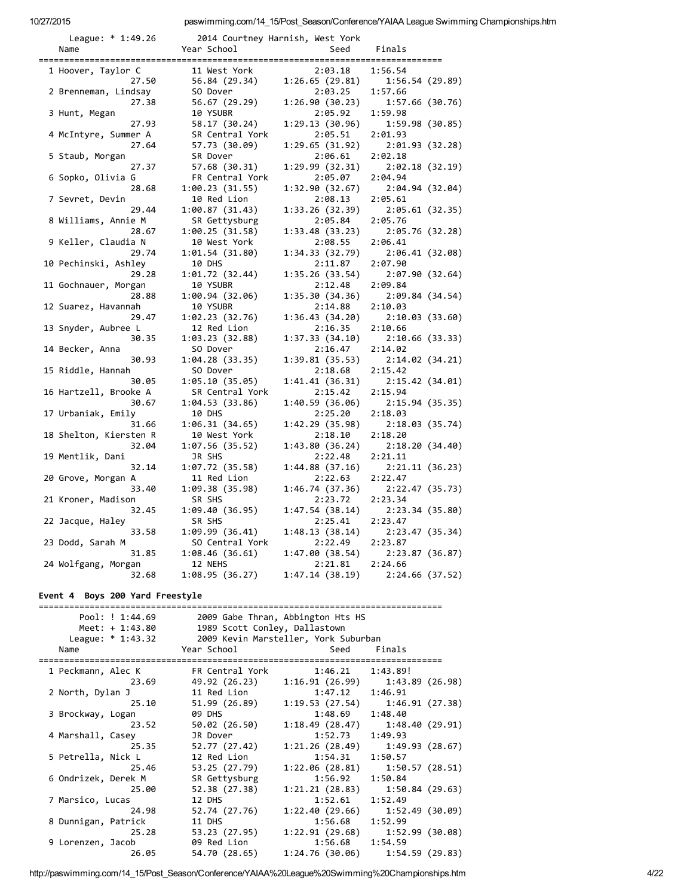| League: $* 1:49.26$          |                           | 2014 Courtney Harnish, West York |                            |
|------------------------------|---------------------------|----------------------------------|----------------------------|
| Name                         | Year School               | Seed                             | Finals                     |
|                              |                           |                                  |                            |
| 1 Hoover, Taylor C           | 11 West York              | 2:03.18                          | 1:56.54                    |
| 27.50                        | 56.84 (29.34)             | 1:26.65(29.81)                   | 1:56.54(29.89)             |
| 2 Brenneman, Lindsay         | SO Dover                  | 2:03.25                          | 1:57.66                    |
| 27.38                        | 56.67 (29.29)             | 1:26.90(30.23)                   | 1:57.66(30.76)             |
| 3 Hunt, Megan                | 10 YSUBR                  | 2:05.92                          | 1:59.98                    |
| 27.93                        | 58.17 (30.24)             | 1:29.13(30.96)                   | 1:59.98(30.85)             |
| 4 McIntyre, Summer A         | SR Central York           | 2:05.51                          | 2:01.93                    |
| 27.64                        | 57.73 (30.09)             | 1:29.65 (31.92)                  | 2:01.93(32.28)             |
| 5 Staub, Morgan              | SR Dover                  | 2:06.61                          | 2:02.18                    |
| 27.37                        | 57.68 (30.31)             | 1:29.99 (32.31)                  | 2:02.18(32.19)             |
| 6 Sopko, Olivia G            | FR Central York           | 2:05.07                          | 2:04.94                    |
| 28.68                        | 1:00.23 (31.55)           | 1:32.90(32.67)                   | 2:04.94(32.04)             |
| 7 Sevret, Devin              | 10 Red Lion               | 2:08.13                          | 2:05.61                    |
| 29.44                        | 1:00.87(31.43)            | 1:33.26 (32.39)                  | 2:05.61(32.35)             |
| 8 Williams, Annie M          | SR Gettysburg             | 2:05.84                          | 2:05.76                    |
| 28.67                        | 1:00.25(31.58)            | 1:33.48(33.23)                   | 2:05.76 (32.28)            |
| 9 Keller, Claudia N          | 10 West York              | 2:08.55                          | 2:06.41                    |
| 29.74                        | 1:01.54 (31.80)           | 1:34.33(32.79)                   | 2:06.41 (32.08)            |
| 10 Pechinski, Ashley         | 10 DHS                    | 2:11.87                          | 2:07.90                    |
| 29.28                        | 1:01.72 (32.44)           | 1:35.26(33.54)                   | 2:07.90 (32.64)            |
| 11 Gochnauer, Morgan         | 10 YSUBR                  | 2:12.48                          | 2:09.84                    |
| 28.88                        | 1:00.94 (32.06)           | 1:35.30(34.36)                   | 2:09.84(34.54)             |
| 12 Suarez, Havannah          | 10 YSUBR                  | 2:14.88                          | 2:10.03                    |
| 29.47                        | 1:02.23 (32.76)           | 1:36.43(34.20)                   | 2:10.03(33.60)             |
| 13 Snyder, Aubree L          | 12 Red Lion               | 2:16.35                          | 2:10.66                    |
| 30.35                        | 1:03.23 (32.88)           | 1:37.33(34.10)                   | 2:10.66 (33.33)            |
| 14 Becker, Anna              | SO Dover                  | 2:16.47                          | 2:14.02                    |
| 30.93                        | 1:04.28 (33.35)           | 1:39.81(35.53)                   | 2:14.02(34.21)             |
| 15 Riddle, Hannah            | SO Dover                  | 2:18.68                          | 2:15.42                    |
| 30.05                        | 1:05.10 (35.05)           | 1:41.41(36.31)                   | 2:15.42(34.01)             |
| 16 Hartzell, Brooke A        | SR Central York           | 2:15.42                          | 2:15.94                    |
| 30.67                        | 1:04.53 (33.86)           | 1:40.59(36.06)                   | 2:15.94 (35.35)            |
| 17 Urbaniak, Emily           | 10 DHS                    | 2:25.20                          | 2:18.03                    |
| 31.66                        | 1:06.31 (34.65)           | 1:42.29(35.98)                   | 2:18.03(35.74)             |
| 18 Shelton, Kiersten R       | 10 West York              | 2:18.10                          | 2:18.20                    |
| 32.04                        | 1:07.56 (35.52)           | 1:43.80 (36.24)                  | 2:18.20(34.40)             |
| 19 Mentlik, Dani             | JR SHS                    | 2:22.48                          | 2:21.11                    |
| 32.14                        | 1:07.72 (35.58)           | 1:44.88(37.16)                   | 2:21.11 (36.23)            |
| 20 Grove, Morgan A           | 11 Red Lion               | 2:22.63                          | 2:22.47                    |
| 33.40                        | 1:09.38 (35.98)           | 1:46.74(37.36)                   | 2:22.47 (35.73)            |
| 21 Kroner, Madison           | SR SHS                    | 2:23.72                          | 2:23.34                    |
| 32.45                        |                           | 1:47.54(38.14)                   | 2:23.34(35.80)             |
|                              | 1:09.40 (36.95)<br>SR SHS | 2:25.41                          | 2:23.47                    |
| 22 Jacque, Haley<br>33.58    | 1:09.99 (36.41)           | 1:48.13(38.14)                   | 2:23.47 (35.34)            |
|                              | SO Central York           |                                  |                            |
| 23 Dodd, Sarah M<br>31.85    |                           | 2:22.49<br>1:47.00(38.54)        | 2:23.87                    |
|                              | 1:08.46(36.61)<br>12 NEHS | 2:21.81                          | 2:23.87 (36.87)<br>2:24.66 |
| 24 Wolfgang, Morgan<br>32.68 |                           |                                  |                            |
|                              | 1:08.95(36.27)            | 1:47.14(38.19)                   | 2:24.66 (37.52)            |

## Event 4 Boys 200 Yard Freestyle

| Pool: ! 1:44.69     |                               | 2009 Gabe Thran, Abbington Hts HS    |                                               |  |  |  |
|---------------------|-------------------------------|--------------------------------------|-----------------------------------------------|--|--|--|
| Meet: $+ 1:43.80$   | 1989 Scott Conley, Dallastown |                                      |                                               |  |  |  |
| League: $* 1:43.32$ |                               | 2009 Kevin Marsteller, York Suburban |                                               |  |  |  |
| Name                | Year School <b>Sand</b>       | Seed                                 | Finals                                        |  |  |  |
| 1 Peckmann, Alec K  | FR Central York               | 1:46.21                              | 1:43.89!                                      |  |  |  |
| 23.69               |                               |                                      | 49.92 (26.23) 1:16.91 (26.99) 1:43.89 (26.98) |  |  |  |
| 2 North, Dylan J    | 11 Red Lion                   | 1:47.12                              | 1:46.91                                       |  |  |  |
| 25.10               | 51.99 (26.89)                 |                                      | 1:19.53(27.54) 1:46.91(27.38)                 |  |  |  |
| 3 Brockway, Logan   | 09 DHS                        | 1:48.69                              | 1:48.40                                       |  |  |  |
| 23.52               | 50.02 (26.50)                 |                                      | $1:18.49(28.47)$ $1:48.40(29.91)$             |  |  |  |
| 4 Marshall, Casey   | JR Dover                      | 1:52.73                              | 1:49.93                                       |  |  |  |
| 25.35               | 52.77 (27.42)                 |                                      | $1:21.26(28.49)$ $1:49.93(28.67)$             |  |  |  |
| 5 Petrella, Nick L  | 12 Red Lion                   | $1:54.31$ $1:50.57$                  |                                               |  |  |  |
| 25.46               | 53.25 (27.79)                 |                                      | $1:22.06(28.81)$ $1:50.57(28.51)$             |  |  |  |
| 6 Ondrizek, Derek M | SR Gettysburg                 | 1:56.92                              | 1:50.84                                       |  |  |  |
| 25.00               | 52.38 (27.38)                 |                                      | $1:21.21(28.83)$ $1:50.84(29.63)$             |  |  |  |
| 7 Marsico, Lucas    | 12 DHS                        | $1:52.61$ $1:52.49$                  |                                               |  |  |  |
| 24.98               | 52.74 (27.76)                 |                                      | $1:22.40(29.66)$ $1:52.49(30.09)$             |  |  |  |
| 8 Dunnigan, Patrick | 11 DHS                        | $1:56.68$ $1:52.99$                  |                                               |  |  |  |
| 25.28               | 53.23 (27.95)                 |                                      | $1:22.91(29.68)$ $1:52.99(30.08)$             |  |  |  |
| 9 Lorenzen, Jacob   | 09 Red Lion                   | 1:56.68                              | 1:54.59                                       |  |  |  |
| 26.05               | 54.70 (28.65)                 |                                      | $1:24.76(30.06)$ $1:54.59(29.83)$             |  |  |  |

http://paswimming.com/14\_15/Post\_Season/Conference/YAIAA%20League%20Swimming%20Championships.htm 4/22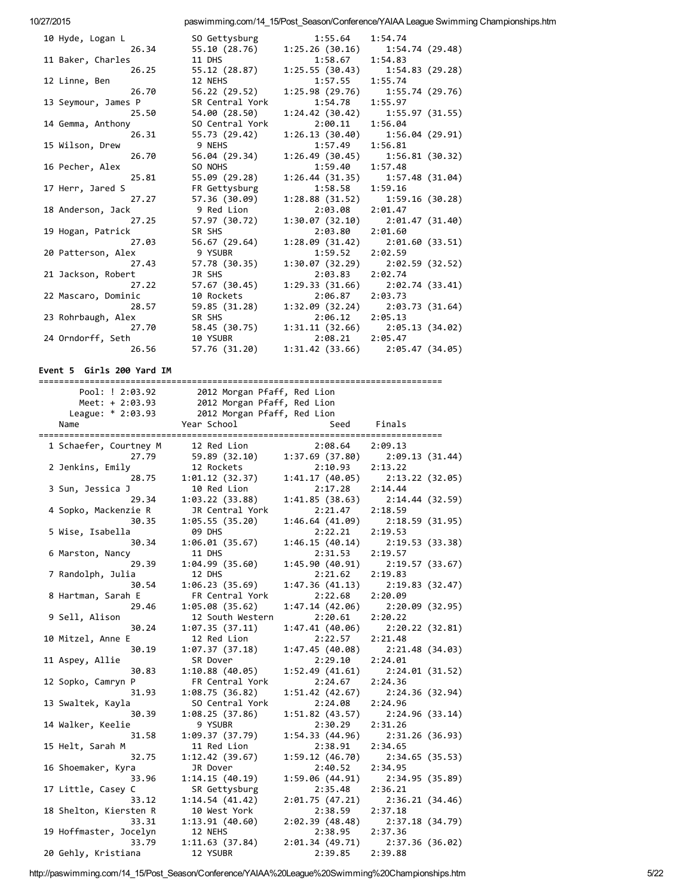| 10 Hyde, Logan L    | SO Gettysburg   | 1:55.64        | 1:54.74                             |
|---------------------|-----------------|----------------|-------------------------------------|
| 26.34               | 55.10 (28.76)   | 1:25.26(30.16) | 1:54.74 (29.48)                     |
| 11 Baker, Charles   | 11 DHS          | 1:58.67        | 1:54.83                             |
| 26.25               | 55.12 (28.87)   |                | $1:25.55(30.43)$ $1:54.83(29.28)$   |
| 12 Linne, Ben       | 12 NEHS         | 1:57.55        | 1:55.74                             |
| 26.70               | 56.22 (29.52)   | 1:25.98(29.76) | 1:55.74 (29.76)                     |
| 13 Seymour, James P | SR Central York | 1:54.78        | 1:55.97                             |
| 25.50               | 54.00 (28.50)   |                | $1:24.42$ (30.42) $1:55.97$ (31.55) |
| 14 Gemma, Anthony   | SO Central York | 2:00.11        | 1:56.04                             |
| 26.31               | 55.73 (29.42)   | 1:26.13(30.40) | 1:56.04 (29.91)                     |
| 15 Wilson, Drew     | 9 NEHS          | 1:57.49        | 1:56.81                             |
| 26.70               | 56.04 (29.34)   | 1:26.49(30.45) | 1:56.81 (30.32)                     |
| 16 Pecher, Alex     | SO NOHS         | 1:59.40        | 1:57.48                             |
| 25.81               | 55.09 (29.28)   | 1:26.44(31.35) | 1:57.48(31.04)                      |
| 17 Herr, Jared S    | FR Gettysburg   | 1:58.58        | 1:59.16                             |
| 27.27               | 57.36 (30.09)   | 1:28.88(31.52) | 1:59.16 (30.28)                     |
| 18 Anderson, Jack   | 9 Red Lion      | 2:03.08        | 2:01.47                             |
| 27.25               | 57.97 (30.72)   | 1:30.07(32.10) | 2:01.47(31.40)                      |
| 19 Hogan, Patrick   | SR SHS          | 2:03.80        | 2:01.60                             |
| 27.03               | 56.67 (29.64)   | 1:28.09(31.42) | 2:01.60(33.51)                      |
| 20 Patterson, Alex  | 9 YSUBR         | 1:59.52        | 2:02.59                             |
| 27.43               | 57.78 (30.35)   | 1:30.07(32.29) | 2:02.59(32.52)                      |
| 21 Jackson, Robert  | JR SHS          | 2:03.83        | 2:02.74                             |
| 27.22               | 57.67 (30.45)   | 1:29.33(31.66) | 2:02.74 (33.41)                     |
| 22 Mascaro, Dominic | 10 Rockets      | 2:06.87        | 2:03.73                             |
| 28.57               | 59.85 (31.28)   |                | $1:32.09$ (32.24) $2:03.73$ (31.64) |
| 23 Rohrbaugh, Alex  | SR SHS          | 2:06.12        | 2:05.13                             |
| 27.70               | 58.45 (30.75)   |                | $1:31.11(32.66)$ $2:05.13(34.02)$   |
| 24 Orndorff, Seth   | 10 YSUBR        | 2:08.21        | 2:05.47                             |
| 26.56               | 57.76 (31.20)   |                | $1:31.42$ (33.66) $2:05.47$ (34.05) |

Event 5 Girls 200 Yard IM

| Pool: ! 2:03.92        | 2012 Morgan Pfaff, Red Lion |                 |                 |
|------------------------|-----------------------------|-----------------|-----------------|
| Meet: $+ 2:03.93$      | 2012 Morgan Pfaff, Red Lion |                 |                 |
| League: * 2:03.93      | 2012 Morgan Pfaff, Red Lion |                 |                 |
| Name                   | Year School                 | Seed            | Finals          |
|                        |                             |                 |                 |
| 1 Schaefer, Courtney M | 12 Red Lion                 | 2:08.64         | 2:09.13         |
| 27.79                  | 59.89 (32.10)               | 1:37.69(37.80)  | 2:09.13(31.44)  |
| 2 Jenkins, Emily       | 12 Rockets                  | 2:10.93         | 2:13.22         |
| 28.75                  | 1:01.12(32.37)              | 1:41.17(40.05)  | 2:13.22(32.05)  |
| 3 Sun, Jessica J       | 10 Red Lion                 | 2:17.28         | 2:14.44         |
| 29.34                  | 1:03.22(33.88)              | 1:41.85(38.63)  | 2:14.44(32.59)  |
| 4 Sopko, Mackenzie R   | JR Central York             | 2:21.47         | 2:18.59         |
| 30.35                  | 1:05.55(35.20)              | 1:46.64(41.09)  | 2:18.59(31.95)  |
| 5 Wise, Isabella       | <b>09 DHS</b>               | 2:22.21         | 2:19.53         |
| 30.34                  | 1:06.01(35.67)              | 1:46.15(40.14)  | 2:19.53(33.38)  |
| 6 Marston, Nancy       | 11 DHS                      | 2:31.53         | 2:19.57         |
| 29.39                  | 1:04.99(35.60)              | 1:45.90 (40.91) | 2:19.57(33.67)  |
| 7 Randolph, Julia      | 12 DHS                      | 2:21.62         | 2:19.83         |
| 30.54                  | 1:06.23(35.69)              | 1:47.36(41.13)  | 2:19.83(32.47)  |
| 8 Hartman, Sarah E     | FR Central York             | 2:22.68         | 2:20.09         |
| 29.46                  | 1:05.08(35.62)              | 1:47.14(42.06)  | 2:20.09(32.95)  |
| 9 Sell, Alison         | 12 South Western            | 2:20.61         | 2:20.22         |
| 30.24                  | 1:07.35(37.11)              | 1:47.41(40.06)  | 2:20.22 (32.81) |
| 10 Mitzel, Anne E      | 12 Red Lion                 | 2:22.57         | 2:21.48         |
| 30.19                  | 1:07.37(37.18)              | 1:47.45(40.08)  | 2:21.48 (34.03) |
| 11 Aspey, Allie        | SR Dover                    | 2:29.10         | 2:24.01         |
| 30.83                  | 1:10.88(40.05)              | 1:52.49(41.61)  | 2:24.01(31.52)  |
| 12 Sopko, Camryn P     | FR Central York             | 2:24.67         | 2:24.36         |
| 31.93                  | 1:08.75(36.82)              | 1:51.42(42.67)  | 2:24.36 (32.94) |
| 13 Swaltek, Kayla      | SO Central York             | 2:24.08         | 2:24.96         |
| 30.39                  | 1:08.25(37.86)              | 1:51.82(43.57)  | 2:24.96 (33.14) |
| 14 Walker, Keelie      | 9 YSUBR                     | 2:30.29         | 2:31.26         |
| 31.58                  | 1:09.37(37.79)              | 1:54.33(44.96)  | 2:31.26(36.93)  |
| 15 Helt, Sarah M       | 11 Red Lion                 | 2:38.91         | 2:34.65         |
| 32.75                  | 1:12.42(39.67)              | 1:59.12(46.70)  | 2:34.65(35.53)  |
| 16 Shoemaker, Kyra     | JR Dover                    | 2:40.52         | 2:34.95         |
| 33.96                  | 1:14.15(40.19)              | 1:59.06(44.91)  | 2:34.95(35.89)  |
| 17 Little, Casey C     | SR Gettysburg               | 2:35.48         | 2:36.21         |
| 33.12                  | 1:14.54(41.42)              | 2:01.75(47.21)  | 2:36.21(34.46)  |
| 18 Shelton, Kiersten R | 10 West York                | 2:38.59         | 2:37.18         |
| 33.31                  | 1:13.91(40.60)              | 2:02.39(48.48)  | 2:37.18(34.79)  |
| 19 Hoffmaster, Jocelyn | 12 NEHS                     | 2:38.95         | 2:37.36         |
| 33.79                  | 1:11.63 (37.84)             | 2:01.34(49.71)  | 2:37.36 (36.02) |
| 20 Gehly, Kristiana    | 12 YSUBR                    | 2:39.85         | 2:39.88         |

http://paswimming.com/14\_15/Post\_Season/Conference/YAIAA%20League%20Swimming%20Championships.htm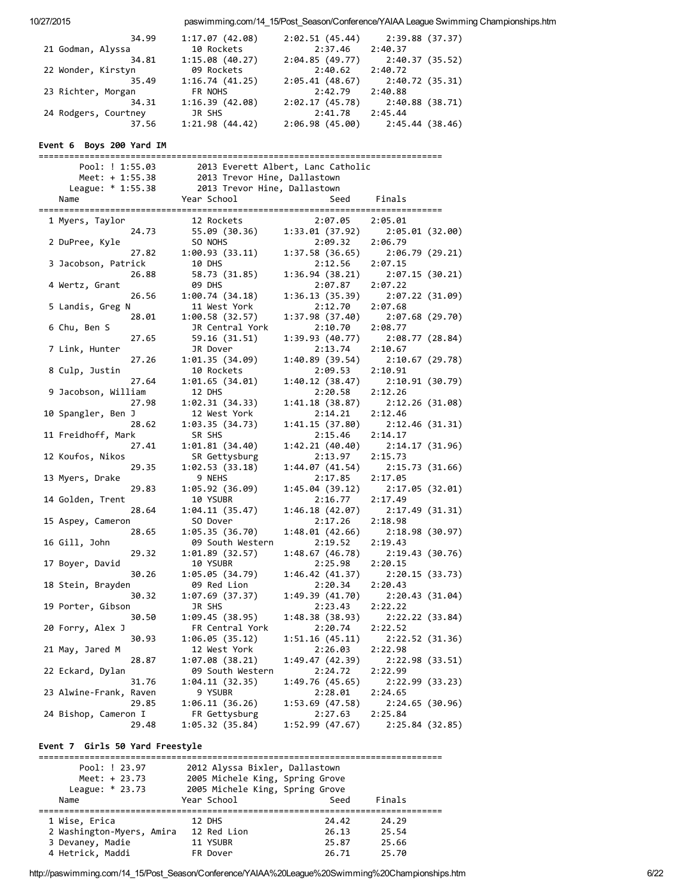| 10/27/2015 |                                 |                                     |                                    |                 | paswimming.com/14_15/Post_Season/Conference/YAIAA League Swimming Championships.htm |
|------------|---------------------------------|-------------------------------------|------------------------------------|-----------------|-------------------------------------------------------------------------------------|
|            | 34.99                           | 1:17.07 (42.08)                     | 2:02.51 (45.44)                    |                 | 2:39.88 (37.37)                                                                     |
|            | 21 Godman, Alyssa               | 10 Rockets                          | 2:37.46                            | 2:40.37         |                                                                                     |
|            | 34.81                           | 1:15.08(40.27)                      | 2:04.85 (49.77)                    | 2:40.37(35.52)  |                                                                                     |
|            | 22 Wonder, Kirstyn              | 09 Rockets                          | 2:40.62                            | 2:40.72         |                                                                                     |
|            | 35.49                           | 1:16.74(41.25)                      | 2:05.41(48.67)                     | 2:40.72 (35.31) |                                                                                     |
|            | 23 Richter, Morgan              | FR NOHS                             | 2:42.79                            | 2:40.88         |                                                                                     |
|            | 34.31                           | 1:16.39(42.08)                      | 2:02.17 (45.78)                    | 2:40.88(38.71)  |                                                                                     |
|            | 24 Rodgers, Courtney            | JR SHS                              | 2:41.78<br>2:06.98(45.00)          | 2:45.44         |                                                                                     |
|            | 37.56                           | 1:21.98 (44.42)                     |                                    | 2:45.44 (38.46) |                                                                                     |
|            | Event 6 Boys 200 Yard IM        |                                     |                                    |                 |                                                                                     |
|            | Pool: ! 1:55.03                 |                                     | 2013 Everett Albert, Lanc Catholic |                 |                                                                                     |
|            | Meet: $+ 1:55.38$               | 2013 Trevor Hine, Dallastown        |                                    |                 |                                                                                     |
|            | League: $* 1:55.38$             | 2013 Trevor Hine, Dallastown        |                                    |                 |                                                                                     |
|            | Name                            | Year School                         | Seed                               | Finals          |                                                                                     |
|            |                                 |                                     |                                    |                 |                                                                                     |
|            | 1 Myers, Taylor                 | 12 Rockets                          | 2:07.05                            | 2:05.01         |                                                                                     |
|            | 24.73                           | 55.09 (30.36)                       | 1:33.01(37.92)                     |                 | 2:05.01(32.00)                                                                      |
|            | 2 DuPree, Kyle                  | SO NOHS                             | 2:09.32                            | 2:06.79         |                                                                                     |
|            | 27.82                           | 1:00.93(33.11)                      | 1:37.58 (36.65)                    | 2:06.79(29.21)  |                                                                                     |
|            | 3 Jacobson, Patrick             | 10 DHS                              | 2:12.56                            | 2:07.15         |                                                                                     |
|            | 26.88<br>4 Wertz, Grant         | 58.73 (31.85)<br><b>09 DHS</b>      | 1:36.94(38.21)<br>2:07.87          | 2:07.22         | 2:07.15(30.21)                                                                      |
|            | 26.56                           | 1:00.74(34.18)                      | 1:36.13(35.39)                     |                 | 2:07.22 (31.09)                                                                     |
|            | 5 Landis, Greg N                | 11 West York                        | 2:12.70                            | 2:07.68         |                                                                                     |
|            | 28.01                           | 1:00.58(32.57)                      | 1:37.98 (37.40)                    | 2:07.68 (29.70) |                                                                                     |
|            | 6 Chu, Ben S                    | JR Central York                     | 2:10.70                            | 2:08.77         |                                                                                     |
|            | 27.65                           | 59.16 (31.51)                       | 1:39.93(40.77)                     | 2:08.77(28.84)  |                                                                                     |
|            | 7 Link, Hunter                  | JR Dover                            | 2:13.74                            | 2:10.67         |                                                                                     |
|            | 27.26                           | 1:01.35 (34.09)                     | 1:40.89 (39.54)                    |                 | 2:10.67(29.78)                                                                      |
|            | 8 Culp, Justin                  | 10 Rockets                          | 2:09.53                            | 2:10.91         |                                                                                     |
|            | 27.64                           | 1:01.65(34.01)                      | 1:40.12(38.47)                     | 2:10.91 (30.79) |                                                                                     |
|            | 9 Jacobson, William             | 12 DHS                              | 2:20.58                            | 2:12.26         |                                                                                     |
|            | 27.98                           | 1:02.31(34.33)                      | 1:41.18(38.87)                     |                 | 2:12.26 (31.08)                                                                     |
|            | 10 Spangler, Ben J<br>28.62     | 12 West York<br>1:03.35 (34.73)     | 2:14.21<br>1:41.15 (37.80)         | 2:12.46         | 2:12.46 (31.31)                                                                     |
|            | 11 Freidhoff, Mark              | SR SHS                              | 2:15.46                            | 2:14.17         |                                                                                     |
|            | 27.41                           | 1:01.81(34.40)                      | 1:42.21 (40.40)                    |                 | 2:14.17(31.96)                                                                      |
|            | 12 Koufos, Nikos                | SR Gettysburg                       | 2:13.97                            | 2:15.73         |                                                                                     |
|            | 29.35                           | 1:02.53(33.18)                      | 1:44.07(41.54)                     | 2:15.73(31.66)  |                                                                                     |
|            | 13 Myers, Drake                 | 9 NEHS                              | 2:17.85                            | 2:17.05         |                                                                                     |
|            | 29.83                           | 1:05.92 (36.09)                     | 1:45.04 (39.12)                    | 2:17.05(32.01)  |                                                                                     |
|            | 14 Golden, Trent                | 10 YSUBR                            | 2:16.77                            | 2:17.49         |                                                                                     |
|            | 28.64                           | 1:04.11 (35.47)                     | 1:46.18(42.07)                     | 2:17.49 (31.31) |                                                                                     |
|            | 15 Aspey, Cameron               | SO Dover                            | 2:17.26                            | 2:18.98         |                                                                                     |
|            | 28.65                           | 1:05.35 (36.70)                     | 1:48.01 (42.66)<br>2:19.52         | 2:18.98(30.97)  |                                                                                     |
|            | 16 Gill, John<br>29.32          | 09 South Western<br>1:01.89 (32.57) | 1:48.67 (46.78)                    | 2:19.43         | 2:19.43(30.76)                                                                      |
|            | 17 Boyer, David                 | 10 YSUBR                            | 2:25.98                            | 2:20.15         |                                                                                     |
|            | 30.26                           | 1:05.05(34.79)                      | 1:46.42 (41.37)                    |                 | 2:20.15 (33.73)                                                                     |
|            | 18 Stein, Brayden               | 09 Red Lion                         | 2:20.34                            | 2:20.43         |                                                                                     |
|            | 30.32                           | 1:07.69(37.37)                      | 1:49.39 (41.70)                    | 2:20.43 (31.04) |                                                                                     |
|            | 19 Porter, Gibson               | JR SHS                              | 2:23.43                            | 2:22.22         |                                                                                     |
|            | 30.50                           | 1:09.45 (38.95)                     | 1:48.38 (38.93)                    |                 | 2:22.22 (33.84)                                                                     |
|            | 20 Forry, Alex J                | FR Central York                     | 2:20.74                            | 2:22.52         |                                                                                     |
|            | 30.93                           | 1:06.05(35.12)                      | 1:51.16 (45.11)                    |                 | 2:22.52 (31.36)                                                                     |
|            | 21 May, Jared M                 | 12 West York                        | 2:26.03                            | 2:22.98         |                                                                                     |
|            | 28.87                           | 1:07.08(38.21)                      | 1:49.47 (42.39)                    | 2:22.98(33.51)  |                                                                                     |
|            | 22 Eckard, Dylan                | 09 South Western                    | 2:24.72                            | 2:22.99         |                                                                                     |
|            | 31.76                           | 1:04.11 (32.35)                     | 1:49.76 (45.65)                    |                 | 2:22.99 (33.23)                                                                     |
|            | 23 Alwine-Frank, Raven<br>29.85 | 9 YSUBR<br>1:06.11(36.26)           | 2:28.01<br>1:53.69 (47.58)         | 2:24.65         | 2:24.65 (30.96)                                                                     |
|            | 24 Bishop, Cameron I            | FR Gettysburg                       | 2:27.63                            | 2:25.84         |                                                                                     |
|            | 29.48                           | 1:05.32 (35.84)                     | 1:52.99(47.67)                     | 2:25.84(32.85)  |                                                                                     |
|            |                                 |                                     |                                    |                 |                                                                                     |
|            | Event 7 Girls 50 Yard Freestyle |                                     |                                    |                 |                                                                                     |
|            |                                 |                                     |                                    |                 |                                                                                     |
|            | Pool: ! 23.97                   | 2012 Alyssa Bixler, Dallastown      |                                    |                 |                                                                                     |
|            | Meet: $+ 23.73$                 | 2005 Michele King, Spring Grove     |                                    |                 |                                                                                     |

| 2 Washington-Myers, Amira                                                                        | 12 Red Lion | 26.13 | 25.54 |      |
|--------------------------------------------------------------------------------------------------|-------------|-------|-------|------|
| 3 Devaney, Madie                                                                                 | 11 YSUBR    | 25.87 | 25.66 |      |
| 4 Hetrick, Maddi                                                                                 | FR Dover    | 26.71 | 25.70 |      |
| http://paswimming.com/14 15/Post Season/Conference/YAIAA%20League%20Swimming%20Championships.htm |             |       |       | 6/22 |

League: \* 23.73 2005 Michele King, Spring Grove<br>Name Seed Finals

=============================================================================== 1 Wise, Erica 12 DHS 24.42 24.29

League: \* 23.73 2005 Michele King, Spring Grove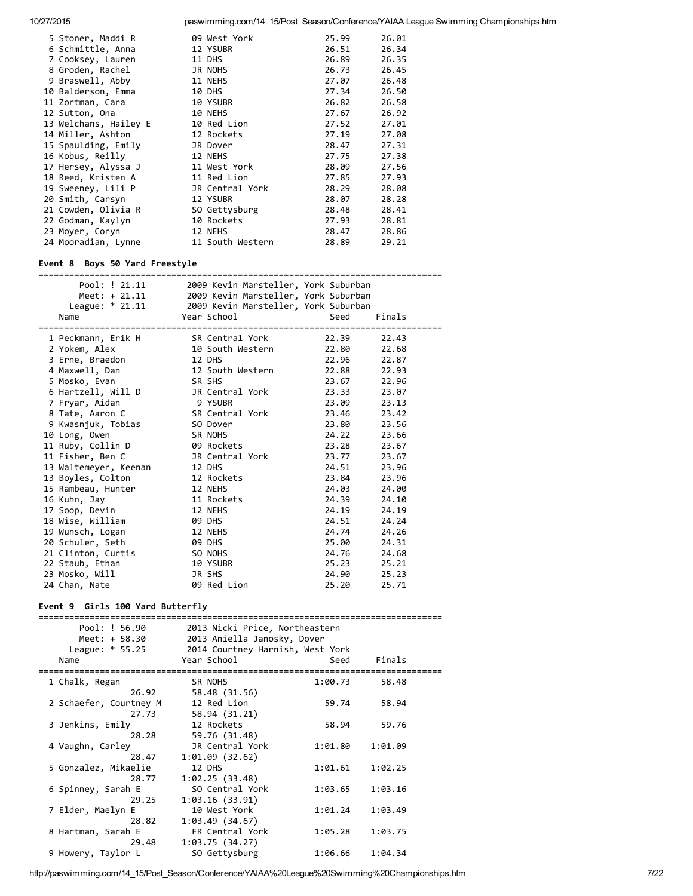| 5 Stoner, Maddi R     | 09 West York     | 25.99 | 26.01 |
|-----------------------|------------------|-------|-------|
| 6 Schmittle, Anna     | 12 YSUBR         | 26.51 | 26.34 |
| 7 Cooksey, Lauren     | 11 DHS           | 26.89 | 26.35 |
| 8 Groden, Rachel      | JR NOHS          | 26.73 | 26.45 |
| 9 Braswell, Abby      | 11 NEHS          | 27.07 | 26.48 |
| 10 Balderson, Emma    | 10 DHS           | 27.34 | 26.50 |
| 11 Zortman, Cara      | 10 YSUBR         | 26.82 | 26.58 |
| 12 Sutton, Ona        | 10 NEHS          | 27.67 | 26.92 |
| 13 Welchans, Hailey E | 10 Red Lion      | 27.52 | 27.01 |
| 14 Miller, Ashton     | 12 Rockets       | 27.19 | 27.08 |
| 15 Spaulding, Emily   | JR Dover         | 28.47 | 27.31 |
| 16 Kobus, Reilly      | 12 NEHS          | 27.75 | 27.38 |
| 17 Hersey, Alyssa J   | 11 West York     | 28.09 | 27.56 |
| 18 Reed, Kristen A    | 11 Red Lion      | 27.85 | 27.93 |
| 19 Sweeney, Lili P    | JR Central York  | 28.29 | 28.08 |
| 20 Smith, Carsyn      | 12 YSUBR         | 28.07 | 28.28 |
| 21 Cowden, Olivia R   | SO Gettysburg    | 28.48 | 28.41 |
| 22 Godman, Kaylyn     | 10 Rockets       | 27.93 | 28.81 |
| 23 Moyer, Coryn       | 12 NEHS          | 28.47 | 28.86 |
| 24 Mooradian, Lynne   | 11 South Western | 28.89 | 29.21 |

#### Event 8 Boys 50 Yard Freestyle

=============================================================================== Pool: ! 21.11 2009 Kevin Marsteller, York Suburban Meet: + 21.11 2009 Kevin Marsteller, York Suburban League: \* 21.11 2009 Kevin Marsteller, York Suburban Name **Manuel Seed School** Seed Finals =============================================================================== Peckmann, Erik H SR Central York 22.39 22.43 Yokem, Alex 10 South Western 22.80 22.68 Erne, Braedon 12 DHS 22.96 22.87 Maxwell, Dan 12 South Western 22.88 22.93 Mosko, Evan SR SHS 23.67 22.96 Hartzell, Will D JR Central York 23.33 23.07 Fryar, Aidan 9 YSUBR 23.09 23.13 Tate, Aaron C SR Central York 23.46 23.42 Kwasnjuk, Tobias SO Dover 23.80 23.56 Long, Owen SR NOHS 24.22 23.66 Ruby, Collin D 09 Rockets 23.28 23.67 Fisher, Ben C JR Central York 23.77 23.67 Waltemeyer, Keenan 12 DHS 24.51 23.96 Boyles, Colton 12 Rockets 23.84 23.96 Rambeau, Hunter 12 NEHS 24.03 24.00 Kuhn, Jay 11 Rockets 24.39 24.10 Soop, Devin 12 NEHS 24.19 24.19 Wise, William 09 DHS 24.51 24.24 Wunsch, Logan 12 NEHS 24.74 24.26 Schuler, Seth 09 DHS 25.00 24.31 Clinton, Curtis SO NOHS 24.76 24.68 Staub, Ethan 10 YSUBR 25.23 25.21 Mosko, Will JR SHS 24.90 25.23 Chan, Nate 09 Red Lion 25.20 25.71

#### Event 9 Girls 100 Yard Butterfly

| Pool: ! 56.90          | 2013 Nicki Price, Northeastern                   |         |         |  |  |
|------------------------|--------------------------------------------------|---------|---------|--|--|
| Meet: + 58.30          | 2013 Aniella Janosky, Dover                      |         |         |  |  |
|                        | League: * 55.25 2014 Courtney Harnish, West York |         |         |  |  |
| Name                   | Year School                                      | Seed    | Finals  |  |  |
|                        | ----------------------                           |         |         |  |  |
| 1 Chalk, Regan         | SR NOHS                                          | 1:00.73 | 58.48   |  |  |
| 26.92                  | 58.48 (31.56)                                    |         |         |  |  |
| 2 Schaefer, Courtney M | 12 Red Lion                                      | 59.74   | 58.94   |  |  |
|                        | 27.73 58.94 (31.21)                              |         |         |  |  |
| 3 Jenkins, Emily       | 12 Rockets                                       | 58.94   | 59.76   |  |  |
|                        | 28.28 59.76 (31.48)                              |         |         |  |  |
| 4 Vaughn, Carley       | JR Central York                                  | 1:01.80 | 1:01.09 |  |  |
| 28.47                  | 1:01.09(32.62)                                   |         |         |  |  |
| 5 Gonzalez, Mikaelie   | 12 DHS                                           | 1:01.61 | 1:02.25 |  |  |
| 28.77                  | 1:02.25(33.48)                                   |         |         |  |  |
| 6 Spinney, Sarah E     | SO Central York                                  | 1:03.65 | 1:03.16 |  |  |
| 29.25                  | 1:03.16(33.91)                                   |         |         |  |  |
| 7 Elder, Maelyn E      | 10 West York                                     | 1:01.24 | 1:03.49 |  |  |
| 28.82                  | 1:03.49(34.67)                                   |         |         |  |  |
| 8 Hartman, Sarah E     | FR Central York                                  | 1:05.28 | 1:03.75 |  |  |
| 29.48                  | 1:03.75(34.27)                                   |         |         |  |  |
| 9 Howery, Taylor L     | SO Gettysburg                                    | 1:06.66 | 1:04.34 |  |  |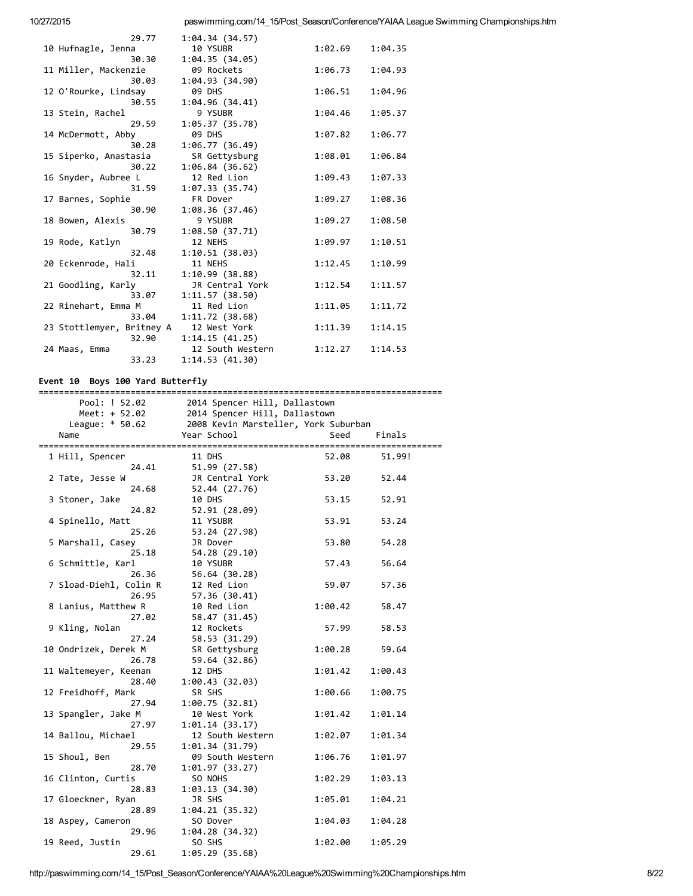| 29.77                     | 1:04.34 (34.57)  |         |         |
|---------------------------|------------------|---------|---------|
| 10 Hufnagle, Jenna        | 10 YSUBR         | 1:02.69 | 1:04.35 |
| 30.30                     | 1:04.35(34.05)   |         |         |
| 11 Miller, Mackenzie      | 09 Rockets       | 1:06.73 | 1:04.93 |
| 30.03                     | 1:04.93 (34.90)  |         |         |
| 12 O'Rourke, Lindsay      | <b>09 DHS</b>    | 1:06.51 | 1:04.96 |
| 30.55                     | 1:04.96(34.41)   |         |         |
| 13 Stein, Rachel          | 9 YSUBR          | 1:04.46 | 1:05.37 |
| 29.59                     | 1:05.37(35.78)   |         |         |
| 14 McDermott, Abby        | <b>09 DHS</b>    | 1:07.82 | 1:06.77 |
| 30.28                     | 1:06.77(36.49)   |         |         |
| 15 Siperko, Anastasia     | SR Gettysburg    | 1:08.01 | 1:06.84 |
| 30.22                     | 1:06.84(36.62)   |         |         |
| 16 Snyder, Aubree L       | 12 Red Lion      | 1:09.43 | 1:07.33 |
| 31.59                     | 1:07.33(35.74)   |         |         |
| 17 Barnes, Sophie         | FR Dover         | 1:09.27 | 1:08.36 |
| 30.90                     | 1:08.36 (37.46)  |         |         |
| 18 Bowen, Alexis          | 9 YSUBR          | 1:09.27 | 1:08.50 |
| 30.79                     | 1:08.50 (37.71)  |         |         |
| 19 Rode, Katlyn           | 12 NEHS          | 1:09.97 | 1:10.51 |
| 32.48                     | 1:10.51(38.03)   |         |         |
| 20 Eckenrode, Hali        | 11 NEHS          | 1:12.45 | 1:10.99 |
| 32.11                     | 1:10.99(38.88)   |         |         |
| 21 Goodling, Karly        | JR Central York  | 1:12.54 | 1:11.57 |
| 33.07                     | 1:11.57(38.50)   |         |         |
| 22 Rinehart, Emma M       | 11 Red Lion      | 1:11.05 | 1:11.72 |
| 33.04                     | 1:11.72(38.68)   |         |         |
| 23 Stottlemyer, Britney A | 12 West York     | 1:11.39 | 1:14.15 |
| 32.90                     | 1:14.15(41.25)   |         |         |
| 24 Maas, Emma             | 12 South Western | 1:12.27 | 1:14.53 |
| 33.23                     | 1:14.53(41.30)   |         |         |

# Event 10 Boys 100 Yard Butterfly

| Pool: ! 52.02          | 2014 Spencer Hill, Dallastown        |         |         |
|------------------------|--------------------------------------|---------|---------|
| Meet: + 52.02          | 2014 Spencer Hill, Dallastown        |         |         |
| League: $* 50.62$      | 2008 Kevin Marsteller, York Suburban |         |         |
| Name                   | Year School                          | Seed    | Finals  |
|                        |                                      |         |         |
| 1 Hill, Spencer        | 11 DHS                               | 52.08   | 51.99!  |
| 24.41                  | 51.99 (27.58)                        |         |         |
| 2 Tate, Jesse W        | JR Central York                      | 53.20   | 52.44   |
| 24.68                  | 52.44 (27.76)                        |         |         |
| 3 Stoner, Jake         | 10 DHS                               | 53.15   | 52.91   |
| 24.82                  | 52.91 (28.09)                        |         |         |
| 4 Spinello, Matt       | 11 YSUBR                             | 53.91   | 53.24   |
| 25.26                  | 53.24 (27.98)                        |         |         |
| 5 Marshall, Casey      | JR Dover                             | 53.80   | 54.28   |
| 25.18                  | 54.28 (29.10)                        |         |         |
| 6 Schmittle, Karl      | 10 YSUBR                             | 57.43   | 56.64   |
| 26.36                  | 56.64 (30.28)                        |         |         |
| 7 Sload-Diehl, Colin R | 12 Red Lion                          | 59.07   | 57.36   |
| 26.95                  | 57.36 (30.41)                        |         |         |
| 8 Lanius, Matthew R    | 10 Red Lion                          | 1:00.42 | 58.47   |
| 27.02                  | 58.47 (31.45)                        |         |         |
| 9 Kling, Nolan         | 12 Rockets                           | 57.99   | 58.53   |
| 27.24                  | 58.53 (31.29)                        |         |         |
| 10 Ondrizek, Derek M   | SR Gettysburg                        | 1:00.28 | 59.64   |
| 26.78                  | 59.64 (32.86)                        |         |         |
| 11 Waltemeyer, Keenan  | 12 DHS                               | 1:01.42 | 1:00.43 |
| 28.40                  | 1:00.43(32.03)                       |         |         |
| 12 Freidhoff, Mark     | SR SHS                               | 1:00.66 | 1:00.75 |
| 27.94                  | 1:00.75(32.81)                       |         |         |
| 13 Spangler, Jake M    | 10 West York                         | 1:01.42 | 1:01.14 |
| 27.97                  | 1:01.14(33.17)                       |         |         |
|                        |                                      |         |         |
| 14 Ballou, Michael     | 12 South Western                     | 1:02.07 | 1:01.34 |
| 29.55                  | 1:01.34(31.79)                       |         |         |
| 15 Shoul, Ben          | 09 South Western                     | 1:06.76 | 1:01.97 |
| 28.70                  | 1:01.97(33.27)                       |         |         |
| 16 Clinton, Curtis     | SO NOHS                              | 1:02.29 | 1:03.13 |
| 28.83                  | 1:03.13(34.30)                       |         |         |
| 17 Gloeckner, Ryan     | JR SHS                               | 1:05.01 | 1:04.21 |
| 28.89                  | 1:04.21(35.32)                       |         |         |
| 18 Aspey, Cameron      | SO Dover                             | 1:04.03 | 1:04.28 |
| 29.96                  | 1:04.28 (34.32)                      |         |         |
| 19 Reed, Justin        | SO SHS                               | 1:02.00 | 1:05.29 |
| 29.61                  | 1:05.29 (35.68)                      |         |         |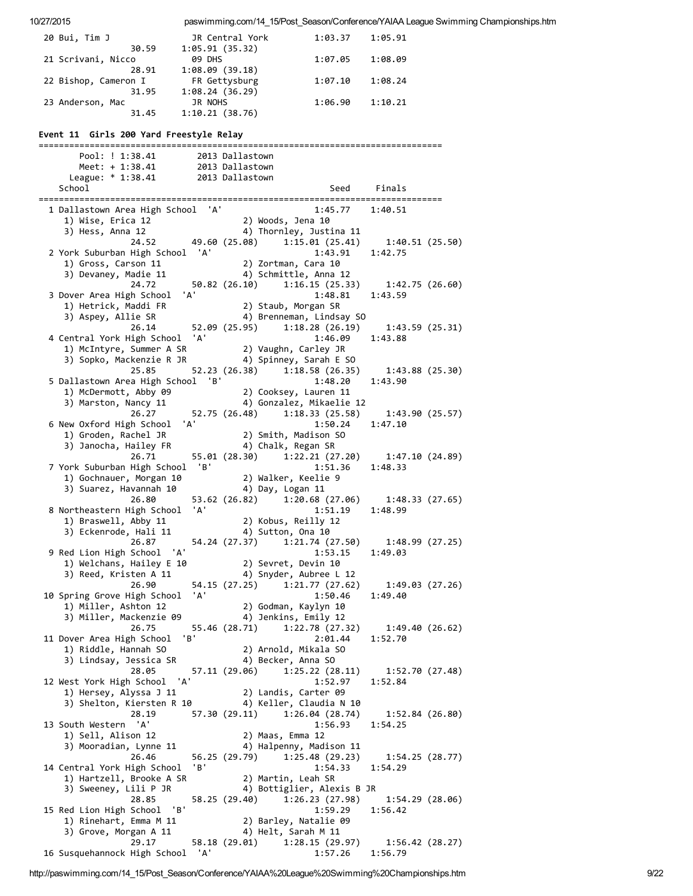| 20 Bui, Tim J                                                                                                                                                                                                                                                                                                                                                                                                                                                                                                                                            | JR Central York                    |                 | 1:03.37                                                                   | 1:05.91         |  |
|----------------------------------------------------------------------------------------------------------------------------------------------------------------------------------------------------------------------------------------------------------------------------------------------------------------------------------------------------------------------------------------------------------------------------------------------------------------------------------------------------------------------------------------------------------|------------------------------------|-----------------|---------------------------------------------------------------------------|-----------------|--|
| 30.59<br>21 Scrivani, Nicco                                                                                                                                                                                                                                                                                                                                                                                                                                                                                                                              | 1:05.91(35.32)<br>09 DHS           |                 | 1:07.05                                                                   | 1:08.09         |  |
| 28.91                                                                                                                                                                                                                                                                                                                                                                                                                                                                                                                                                    | 1:08.09(39.18)                     |                 |                                                                           |                 |  |
| 22 Bishop, Cameron I<br>31.95                                                                                                                                                                                                                                                                                                                                                                                                                                                                                                                            | FR Gettysburg<br>1:08.24(36.29)    |                 | 1:07.10                                                                   | 1:08.24         |  |
| 23 Anderson, Mac                                                                                                                                                                                                                                                                                                                                                                                                                                                                                                                                         | JR NOHS                            |                 | 1:06.90                                                                   | 1:10.21         |  |
| 31.45                                                                                                                                                                                                                                                                                                                                                                                                                                                                                                                                                    | 1:10.21(38.76)                     |                 |                                                                           |                 |  |
| Event 11 Girls 200 Yard Freestyle Relay                                                                                                                                                                                                                                                                                                                                                                                                                                                                                                                  |                                    |                 |                                                                           |                 |  |
| Pool: ! 1:38.41                                                                                                                                                                                                                                                                                                                                                                                                                                                                                                                                          |                                    | 2013 Dallastown |                                                                           |                 |  |
| Meet: + 1:38.41                                                                                                                                                                                                                                                                                                                                                                                                                                                                                                                                          | 2013 Dallastown<br>2013 Dallastown |                 |                                                                           |                 |  |
| League: * 1:38.41<br>School                                                                                                                                                                                                                                                                                                                                                                                                                                                                                                                              |                                    |                 |                                                                           | Seed Finals     |  |
|                                                                                                                                                                                                                                                                                                                                                                                                                                                                                                                                                          |                                    |                 |                                                                           |                 |  |
| 1 Dallastown Area High School 'A'                                                                                                                                                                                                                                                                                                                                                                                                                                                                                                                        |                                    |                 | 1:45.77                                                                   | 1:40.51         |  |
| $\begin{array}{c} \text{Max} \\ \text{1)} \\ \text{wise, } \\ \text{Ans} \\ \text{Ans} \\ \text{Ans} \\ \text{Ans} \\ \text{Ans} \\ \text{Ans} \\ \text{Ans} \\ \text{Ans} \\ \text{Ans} \\ \text{Ans} \\ \text{Ans} \\ \text{Ans} \\ \text{Ans} \\ \text{Ans} \\ \text{Ans} \\ \text{Ans} \\ \text{Ans} \\ \text{Ans} \\ \text{Ans} \\ \text{Ans} \\ \text{Ans} \\ \text{Ans} \\ \text{Ans} \\ \text{Ans} \\ \text{Ans} \\ \text{Ans} \\ \text{Ans} \\ \text{Ans} \\ \text{Ans} \\ \text{Ans} \\ \text{Ans} \\ \text{Ans} \\ \text$<br>3) Hess, Anna 12 |                                    |                 | 2) Woods, Jena 10<br>4) Thornley, Justina 11                              |                 |  |
|                                                                                                                                                                                                                                                                                                                                                                                                                                                                                                                                                          |                                    |                 | 24.52 49.60 (25.08) 1:15.01 (25.41)                                       | 1:40.51 (25.50) |  |
| 2 York Suburban High School 'A'                                                                                                                                                                                                                                                                                                                                                                                                                                                                                                                          |                                    |                 | 1:43.91                                                                   | 1:42.75         |  |
| 1) Gross, Carson 11<br>3) Devaney, Madie 11                                                                                                                                                                                                                                                                                                                                                                                                                                                                                                              |                                    |                 | 2) Zortman, Cara 10<br>4) Schmittle, Anna 12                              |                 |  |
| 24.72                                                                                                                                                                                                                                                                                                                                                                                                                                                                                                                                                    |                                    |                 | 50.82 (26.10) 1:16.15 (25.33) 1:42.75 (26.60)                             |                 |  |
| 3 Dover Area High School                                                                                                                                                                                                                                                                                                                                                                                                                                                                                                                                 | 'A'                                |                 | 1:48.81                                                                   | 1:43.59         |  |
| 1) Hetrick, Maddi FR<br>3) Aspey, Allie SR                                                                                                                                                                                                                                                                                                                                                                                                                                                                                                               |                                    |                 | 2) Staub, Morgan SR<br>4) Brenneman, Lindsay SO                           |                 |  |
| 26.14                                                                                                                                                                                                                                                                                                                                                                                                                                                                                                                                                    |                                    |                 | 52.09 (25.95) 1:18.28 (26.19)                                             | 1:43.59(25.31)  |  |
| 4 Central York High School 'A'                                                                                                                                                                                                                                                                                                                                                                                                                                                                                                                           |                                    |                 | 1:46.09                                                                   | 1:43.88         |  |
|                                                                                                                                                                                                                                                                                                                                                                                                                                                                                                                                                          |                                    |                 |                                                                           |                 |  |
| 25.85                                                                                                                                                                                                                                                                                                                                                                                                                                                                                                                                                    |                                    |                 | 52.23 (26.38) 1:18.58 (26.35)                                             | 1:43.88 (25.30) |  |
| 5 Dallastown Area High School 'B'                                                                                                                                                                                                                                                                                                                                                                                                                                                                                                                        |                                    |                 | 1:48.20                                                                   | 1:43.90         |  |
| 1) McDermott, Abby 09                                                                                                                                                                                                                                                                                                                                                                                                                                                                                                                                    |                                    |                 | 2) Cooksey, Lauren 11                                                     |                 |  |
| 3) Marston, Nancy 11<br>26.27                                                                                                                                                                                                                                                                                                                                                                                                                                                                                                                            |                                    |                 | 4) Gonzalez, Mikaelie 12<br>52.75 (26.48) 1:18.33 (25.58) 1:43.90 (25.57) |                 |  |
| 6 New Oxford High School                                                                                                                                                                                                                                                                                                                                                                                                                                                                                                                                 | 'A'                                |                 | 1:50.24                                                                   | 1:47.10         |  |
| 1) Groden, Rachel JR                                                                                                                                                                                                                                                                                                                                                                                                                                                                                                                                     |                                    |                 | 2) Smith, Madison SO                                                      |                 |  |
| 3) Janocha, Hailey FR<br>26.71                                                                                                                                                                                                                                                                                                                                                                                                                                                                                                                           |                                    |                 | 4) Chalk, Regan SR<br>55.01 (28.30) 1:22.21 (27.20) 1:47.10 (24.89)       |                 |  |
| 7 York Suburban High School 'B'                                                                                                                                                                                                                                                                                                                                                                                                                                                                                                                          |                                    |                 | 1:51.36                                                                   | 1:48.33         |  |
| 1) Gochnauer, Morgan 10                                                                                                                                                                                                                                                                                                                                                                                                                                                                                                                                  |                                    |                 | 2) Walker, Keelie 9                                                       |                 |  |
| 3) Suarez, Havannah 10<br>26.80                                                                                                                                                                                                                                                                                                                                                                                                                                                                                                                          |                                    |                 | 4) Day, Logan 11<br>53.62 (26.82) 1:20.68 (27.06)                         | 1:48.33 (27.65) |  |
| 8 Northeastern High School 'A'                                                                                                                                                                                                                                                                                                                                                                                                                                                                                                                           |                                    |                 | 1:51.19                                                                   | 1:48.99         |  |
| 1) Braswell, Abby 11                                                                                                                                                                                                                                                                                                                                                                                                                                                                                                                                     |                                    |                 | 2) Kobus, Reilly 12                                                       |                 |  |
| 3) Eckenrode, Hali 11<br>26.87                                                                                                                                                                                                                                                                                                                                                                                                                                                                                                                           |                                    |                 | 4) Sutton, Ona 10<br>54.24 (27.37) 1:21.74 (27.50)                        | 1:48.99 (27.25) |  |
| 9 Red Lion High School 'A'                                                                                                                                                                                                                                                                                                                                                                                                                                                                                                                               |                                    |                 | 1:53.15                                                                   | 1:49.03         |  |
| 1) Welchans, Hailey E 10                                                                                                                                                                                                                                                                                                                                                                                                                                                                                                                                 |                                    |                 | 2) Sevret, Devin 10                                                       |                 |  |
| 3) Reed, Kristen A 11<br>26.90                                                                                                                                                                                                                                                                                                                                                                                                                                                                                                                           |                                    |                 | 4) Snyder, Aubree L 12<br>54.15 (27.25) 1:21.77 (27.62)                   | 1:49.03 (27.26) |  |
| 10 Spring Grove High School 'A'                                                                                                                                                                                                                                                                                                                                                                                                                                                                                                                          |                                    |                 | 1:50.46                                                                   | 1:49.40         |  |
| 1) Miller, Ashton 12<br>3) Miller, Mackenzie 09                                                                                                                                                                                                                                                                                                                                                                                                                                                                                                          |                                    |                 | 2) Godman, Kaylyn 10                                                      |                 |  |
| 26.75                                                                                                                                                                                                                                                                                                                                                                                                                                                                                                                                                    |                                    |                 | 4) Jenkins, Emily 12<br>55.46 (28.71) 1:22.78 (27.32)                     | 1:49.40 (26.62) |  |
| 11 Dover Area High School                                                                                                                                                                                                                                                                                                                                                                                                                                                                                                                                | 'B'                                |                 | 2:01.44                                                                   | 1:52.70         |  |
| 1) Riddle, Hannah SO                                                                                                                                                                                                                                                                                                                                                                                                                                                                                                                                     |                                    |                 | 2) Arnold, Mikala SO                                                      |                 |  |
| 3) Lindsay, Jessica SR<br>28.05                                                                                                                                                                                                                                                                                                                                                                                                                                                                                                                          | 57.11 (29.06)                      |                 | 4) Becker, Anna SO<br>1:25.22(28.11)                                      | 1:52.70 (27.48) |  |
| 12 West York High School 'A'                                                                                                                                                                                                                                                                                                                                                                                                                                                                                                                             |                                    |                 | 1:52.97                                                                   | 1:52.84         |  |
| 1) Hersey, Alyssa J 11                                                                                                                                                                                                                                                                                                                                                                                                                                                                                                                                   |                                    |                 | 2) Landis, Carter 09                                                      |                 |  |
| 3) Shelton, Kiersten R 10<br>28.19                                                                                                                                                                                                                                                                                                                                                                                                                                                                                                                       |                                    |                 | 4) Keller, Claudia N 10<br>57.30 (29.11) 1:26.04 (28.74)                  | 1:52.84 (26.80) |  |
| 13 South Western 'A'                                                                                                                                                                                                                                                                                                                                                                                                                                                                                                                                     |                                    |                 | 1:56.93                                                                   | 1:54.25         |  |
| 1) Sell, Alison 12                                                                                                                                                                                                                                                                                                                                                                                                                                                                                                                                       |                                    |                 | 2) Maas, Emma 12                                                          |                 |  |
| 3) Mooradian, Lynne 11<br>26.46                                                                                                                                                                                                                                                                                                                                                                                                                                                                                                                          |                                    |                 | 4) Halpenny, Madison 11<br>56.25 (29.79) 1:25.48 (29.23)                  | 1:54.25 (28.77) |  |
| 14 Central York High School 'B'                                                                                                                                                                                                                                                                                                                                                                                                                                                                                                                          |                                    |                 | 1:54.33                                                                   | 1:54.29         |  |
| 1) Hartzell, Brooke A SR                                                                                                                                                                                                                                                                                                                                                                                                                                                                                                                                 |                                    |                 | 2) Martin, Leah SR                                                        |                 |  |
| 3) Sweeney, Lili P JR<br>28.85                                                                                                                                                                                                                                                                                                                                                                                                                                                                                                                           |                                    |                 | 4) Bottiglier, Alexis B JR<br>58.25 (29.40) 1:26.23 (27.98)               | 1:54.29(28.06)  |  |
| 15 Red Lion High School 'B'                                                                                                                                                                                                                                                                                                                                                                                                                                                                                                                              |                                    |                 | 1:59.29                                                                   | 1:56.42         |  |
| 1) Rinehart, Emma M 11                                                                                                                                                                                                                                                                                                                                                                                                                                                                                                                                   |                                    |                 | 2) Barley, Natalie 09                                                     |                 |  |
| 3) Grove, Morgan A 11<br>29.17                                                                                                                                                                                                                                                                                                                                                                                                                                                                                                                           | 58.18 (29.01)                      |                 | 4) Helt, Sarah M 11<br>1:28.15 (29.97) 1:56.42 (28.27)                    |                 |  |
| 16 Susquehannock High School 'A'                                                                                                                                                                                                                                                                                                                                                                                                                                                                                                                         |                                    |                 | 1:57.26                                                                   | 1:56.79         |  |

http://paswimming.com/14\_15/Post\_Season/Conference/YAIAA%20League%20Swimming%20Championships.htm 9/22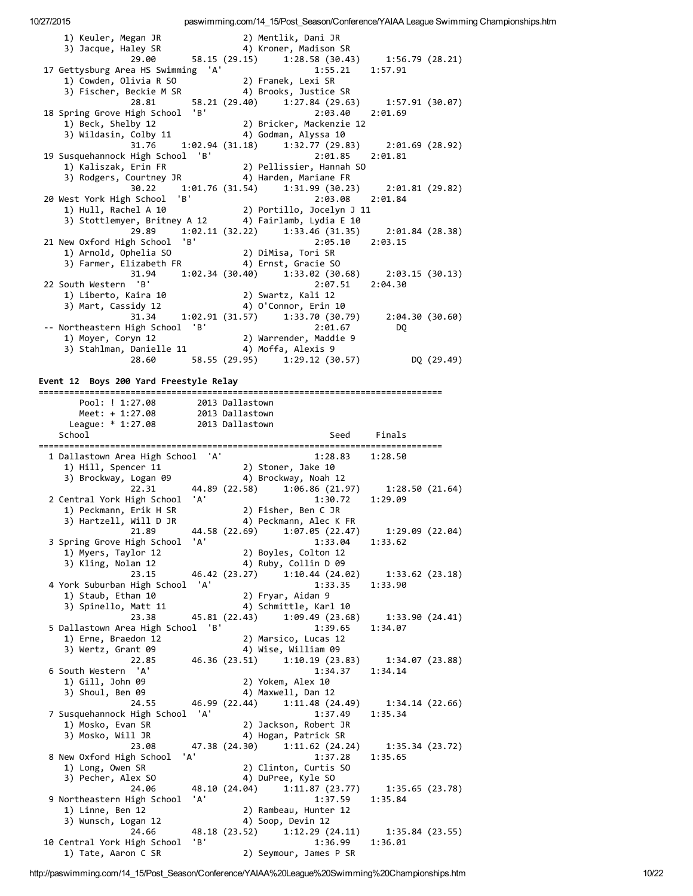10/27/2015 paswimming.com/14\_15/Post\_Season/Conference/YAIAA League Swimming Championships.htm 1) Keuler, Megan JR 2) Mentlik, Dani JR 3) Jacque, Haley SR 4) Kroner, Madison SR 29.00 58.15 (29.15) 1:28.58 (30.43) 1:56.79 (28.21) 17 Gettysburg Area HS Swimming 'A' 1:55.21 1:57.91 1) Cowden, Olivia R SO 2) Franek, Lexi SR 3) Fischer, Beckie M SR 4) Brooks, Justice SR 28.81 58.21 (29.40) 1:27.84 (29.63) 1:57.91 (30.07) 18 Spring Grove High School 'B' 2:03.40 2:01.69 1) Beck, Shelby 12 2) Bricker, Mackenzie 12 3) Wildasin, Colby 11 (4) Godman, Alyssa 10 31.76 1:02.94 (31.18) 1:32.77 (29.83) 2:01.69 (28.92)<br>
High School 'B' 2:01.85 2:01.81<br>
Erin FR 2) Pellissier, Hannah SO 19 Susquehannock High School 'B' 1) Kaliszak, Erin FR 2) Pellissier, Hannah SO 3) Rodgers, Courtney JR (4) Harden, Mariane FR 30.22 1:01.76 (31.54) 1:31.99 (30.23) 2:01.81 (29.82) 20 West York High School 'B' 2:03.08 2:01.84 1) Hull, Rachel A 10 2) Portillo, Jocelyn J 11 3) Stottlemyer, Britney A 12 4) Fairlamb, Lydia E 10 29.89 1:02.11 (32.22) 1:33.46 (31.35) 2:01.84 (28.38) 21 New Oxford High School 'B' 2:05.10 2:03.15<br>
2) Arnold, Ophelia SO 2) DiMisa, Tori SR 1) Arnold, Ophelia SO 2) DiMisa, Tori SR 3) Farmer, Elizabeth FR 4) Ernst, Gracie SO 31.94 1:02.34 (30.40) 1:33.02 (30.68) 2:03.15 (30.13) 22 South Western 'B' 2:07.51 2:04.30 1) Liberto, Kaira 10 2) Swartz, Kali 12 3) Mart, Cassidy 12 4) O'Connor, Erin 10 31.34 1:02.91 (31.57) 1:33.70 (30.79) 2:04.30 (30.60) ‐‐ Northeastern High School 'B' 2:01.67 DQ 1) Moyer, Coryn 12 3) Stahlman, Danielle 11 4) Moffa, Alexis 9 28.60 58.55 (29.95) 1:29.12 (30.57) DQ (29.49) Event 12 Boys 200 Yard Freestyle Relay =============================================================================== Pool: ! 1:27.08 2013 Dallastown Meet: + 1:27.08 2013 Dallastown League: \* 1:27.08 2013 Dallastown School School Seed Finals =============================================================================== 1 Dallastown Area High School 'A' 1:28.83 1:28.50 1) Hill, Spencer 11 2) Stoner, Jake 10 3) Brockway, Logan 09 4) Brockway, Noah 12 22.31 44.89 (22.58) 1:06.86 (21.97) 1:28.50 (21.64)<br>22.31 44.89 (22.58) 1:06.86 (21.97) 1:28.50 (21.64)<br>22.09 1:30.72 1:29.09 2 Central York High School 'A' 1:30.72 1:29.09 1) Peckmann, Erik H SR 2) Fisher, Ben C JR 3) Hartzell, Will D JR 4) Peckmann, Alec K FR 2) Hartzell, Will D JR<br>
21.89 44.58 (22.69) 1:07.05 (22.47) 1:29.09 (22.04) 3 Spring Grove High School 'A' 1:33.04 1:33.62<br>1) Myers, Taylor 12 2) Boyles, Colton 12 1) Myers, Taylor 12 3) Kling, Nolan 12 4) Ruby, Collin D 09 23.15 46.42 (23.27) 1:10.44 (24.02) 1:33.62 (23.18) 4 York Suburban High School 'A' 1:33.35 1:33.90 1) Staub, Ethan 10 2) Fryar, Aidan 9 3) Spinello, Matt 11 4) Schmittle, Karl 10 23.38 45.81 (22.43) 1:09.49 (23.68) 1:33.90 (24.41) 5 Dallastown Area High School 'B' 1:39.65 1:34.07 1) Erne, Braedon 12 2) Marsico, Lucas 12<br>1) Erne, Braedon 12 2) Marsico, Lucas 12<br>1) Wice William 09 3) Wertz, Grant 09 4) Wise, William 09  $22.85$  46.36 (23.51) 1:10.19 (23.83) 1:34.07 (23.88)<br>n 'A' 1:34.37 1:34.14 6 South Western 'A' 1:34.37 1:34.14 1) Gill, John 09 2) Yokem, Alex 10 3) Shoul, Ben 09 4) Maxwell, Dan 12 24.55 46.99 (22.44) 1:11.48 (24.49) 1:34.14 (22.66) 7 Susquehannock High School 'A' 1:37.49 1:35.34 1) Mosko, Evan SR 2) Jackson, Robert JR 3) Mosko, Will JR 4) Hogan, Patrick SR 23.08 47.38 (24.30) 1:11.62 (24.24) 1:35.34 (23.72) 8 New Oxford High School 'A' 1:37.28 1:35.65 1) Long, Owen SR 2) Clinton, Curtis SO<br>3) Pecher, Alex SO 4) DuPree, Kyle SO 3) Pecher, Alex SO 4) DuPree, Kyle SO 24.06 48.10 (24.04) 1:11.87 (23.77) 1:35.65 (23.78) 9 Northeastern High School 'A' 1:37.59 1:35.84<br>1) Linne, Ben 12 2) Rambeau, Hunter 12 1) Linne, Ben 12<br>3) Wunsch, Logan 12

 $4)$  Soop, Devin 12 24.66 48.18 (23.52) 1:12.29 (24.11) 1:35.84 (23.55) 10 Central York High School 'B' 1:36.99 1:36.01 1) Tate, Aaron C SR 2) Seymour, James P SR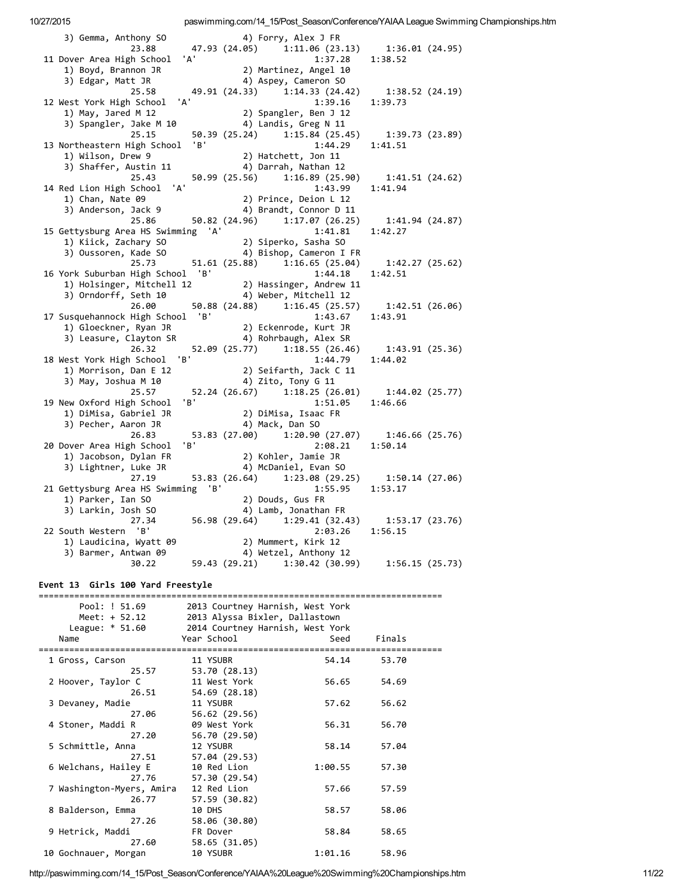| 3) Gemma, Anthony SO<br>23.88                                                                                               | 4) Forry, Alex J FR<br>47.93 (24.05) 1:11.06 (23.13) 1:36.01 (24.95)     |                 |
|-----------------------------------------------------------------------------------------------------------------------------|--------------------------------------------------------------------------|-----------------|
| 'A'<br>11 Dover Area High School                                                                                            | 1:37.28                                                                  | 1:38.52         |
| 1) Boyd, Brannon JR                                                                                                         | 2) Martinez, Angel 10                                                    |                 |
| 3) Edgar, Matt JR                                                                                                           | 4) Aspey, Cameron SO                                                     |                 |
| 25.58                                                                                                                       | 49.91 (24.33) 1:14.33 (24.42) 1:38.52 (24.19)                            |                 |
| ' A '<br>12 West York High School                                                                                           | 1:39.16                                                                  | 1:39.73         |
| 1) May, Jared M $12$                                                                                                        | 2) Spangler, Ben J 12                                                    |                 |
| 3) Spangler, Jake M 10                                                                                                      | 4) Landis, Greg N 11                                                     |                 |
| 25.15                                                                                                                       | 50.39 (25.24) 1:15.84 (25.45) 1:39.73 (23.89)                            |                 |
| 'B'<br>13 Northeastern High School                                                                                          | 1:44.29                                                                  | 1:41.51         |
| 1) Wilson, Drew 9                                                                                                           | 2) Hatchett, Jon 11                                                      |                 |
| 3) Shaffer, Austin 11                                                                                                       | 4) Darrah, Nathan 12                                                     |                 |
| 25.43                                                                                                                       | 50.99 (25.56) 1:16.89 (25.90) 1:41.51 (24.62)                            |                 |
| 14 Red Lion High School 'A'                                                                                                 | 1:43.99                                                                  | 1:41.94         |
| 1) Chan, Nate 09                                                                                                            | 2) Prince, Deion L 12                                                    |                 |
| 3) Anderson, Jack 9                                                                                                         | 4) Brandt, Connor D 11                                                   |                 |
| 25.86                                                                                                                       | 50.82 (24.96) 1:17.07 (26.25)                                            | 1:41.94 (24.87) |
| 15 Gettysburg Area HS Swimming 'A'                                                                                          | 1:41.81                                                                  | 1:42.27         |
| 1) Kiick, Zachary SO                                                                                                        | 2) Siperko, Sasha SO                                                     |                 |
| 3) Oussoren, Kade SO<br>25.73                                                                                               | 4) Bishop, Cameron I FR<br>51.61 (25.88) 1:16.65 (25.04) 1:42.27 (25.62) |                 |
| 16 York Suburban High School 'B'                                                                                            | 1:44.18                                                                  | 1:42.51         |
|                                                                                                                             |                                                                          |                 |
| 1) Holsinger, Mitchell 12 (2) Hassinger, Andrew 11<br>3) Orndorff. Seth 10 (1) A) Weber Mitchell 12<br>3) Orndorff, Seth 10 | 4) Weber, Mitchell 12                                                    |                 |
|                                                                                                                             | 26.00 50.88 (24.88) 1:16.45 (25.57)                                      | 1:42.51 (26.06) |
| 17 Susquehannock High School 'B'                                                                                            | 1:43.67                                                                  | 1:43.91         |
| 1) Gloeckner, Ryan JR                                                                                                       |                                                                          |                 |
| 3) Leasure, Clayton SR                                                                                                      | 2) Eckenrode, Kurt JR<br>4) Rohrbaugh, Alex SR                           |                 |
| 26.32                                                                                                                       | 52.09 (25.77) 1:18.55 (26.46)                                            | 1:43.91 (25.36) |
| 'B'<br>18 West York High School                                                                                             | 1:44.79                                                                  | 1:44.02         |
| 1) Morrison, Dan E 12                                                                                                       | י<br>11 Seifarth, Jack C<br>י ---- רו <i>י</i>                           |                 |
| 3) May, Joshua M 10                                                                                                         | 4) Zito, Tony G 11                                                       |                 |
| 25.57                                                                                                                       | 52.24 (26.67) 1:18.25 (26.01)                                            | 1:44.02 (25.77) |
| 'B'<br>19 New Oxford High School                                                                                            | 1:51.05                                                                  | 1:46.66         |
| 1) DiMisa, Gabriel JR                                                                                                       | ונובוב<br>DiMisa, Isaac FR<br>בינובות מונובי                             |                 |
| 3) Pecher, Aaron JR                                                                                                         | 4) Mack, Dan SO                                                          |                 |
| 26.83                                                                                                                       | 53.83 (27.00) 1:20.90 (27.07)                                            | 1:46.66 (25.76) |
| 'B'<br>20 Dover Area High School                                                                                            | 2:08.21                                                                  | 1:50.14         |
| 1) Jacobson, Dylan FR                                                                                                       | 2) Kohler, Jamie JR                                                      |                 |
| 3) Lightner, Luke JR                                                                                                        | 4) McDaniel, Evan SO                                                     |                 |
| 27.19                                                                                                                       | 53.83 (26.64) 1:23.08 (29.25)                                            | 1:50.14 (27.06) |
| 21 Gettysburg Area HS Swimming 'B'<br>1) Parker, Ian SO                                                                     | 1:55.95<br>2) Douds, Gus FR                                              | 1:53.17         |
| 3) Larkin, Josh SO                                                                                                          | 4) Lamb, Jonathan FR                                                     |                 |
| 27.34                                                                                                                       | 56.98 (29.64) 1:29.41 (32.43)                                            | 1:53.17 (23.76) |
| 22 South Western 'B'                                                                                                        | 2:03.26                                                                  | 1:56.15         |
|                                                                                                                             | 2) Mummert, Kirk 12                                                      |                 |
| 1) Laudicina, Wyatt 09<br>2) Banwan, Antuan 09<br>3) Barmer, Antwan 09                                                      | 4) Wetzel, Anthony 12                                                    |                 |
| 30.22                                                                                                                       | 59.43 (29.21) 1:30.42 (30.99)                                            | 1:56.15 (25.73) |
|                                                                                                                             |                                                                          |                 |

## Event 13 Girls 100 Yard Freestyle

|                                                   | Pool: ! 51.69             | 2013 Courtney Harnish, West York |         |        |  |  |
|---------------------------------------------------|---------------------------|----------------------------------|---------|--------|--|--|
| 2013 Alyssa Bixler, Dallastown<br>Meet: $+ 52.12$ |                           |                                  |         |        |  |  |
|                                                   | League: $* 51.60$         | 2014 Courtney Harnish, West York |         |        |  |  |
|                                                   | Name                      | Year School                      | Seed    | Finals |  |  |
|                                                   |                           |                                  |         |        |  |  |
|                                                   | 1 Gross, Carson           | 11 YSUBR                         | 54.14   | 53.70  |  |  |
|                                                   | 25.57                     | 53.70 (28.13)                    |         |        |  |  |
|                                                   | 2 Hoover, Taylor C        | 11 West York                     | 56.65   | 54.69  |  |  |
|                                                   | 26.51                     | 54.69 (28.18)                    |         |        |  |  |
|                                                   | 3 Devaney, Madie          | 11 YSUBR                         | 57.62   | 56.62  |  |  |
|                                                   | 27.06                     | 56.62 (29.56)                    |         |        |  |  |
|                                                   | 4 Stoner, Maddi R         | 09 West York                     | 56.31   | 56.70  |  |  |
|                                                   | 27.20                     | 56.70 (29.50)                    |         |        |  |  |
|                                                   | 5 Schmittle, Anna         | 12 YSUBR                         | 58.14   | 57.04  |  |  |
|                                                   | 27.51                     | 57.04 (29.53)                    |         |        |  |  |
|                                                   | 6 Welchans, Hailey E      | 10 Red Lion                      | 1:00.55 | 57.30  |  |  |
|                                                   | 27.76                     | 57.30 (29.54)                    |         |        |  |  |
|                                                   | 7 Washington-Myers, Amira | 12 Red Lion                      | 57.66   | 57.59  |  |  |
|                                                   | 26.77                     | 57.59 (30.82)                    |         |        |  |  |
|                                                   | 8 Balderson, Emma         | 10 DHS                           | 58.57   | 58.06  |  |  |
|                                                   | 27.26                     | 58.06 (30.80)                    |         |        |  |  |
|                                                   | 9 Hetrick, Maddi          | FR Dover                         | 58.84   | 58.65  |  |  |
|                                                   | 27.60                     | 58.65 (31.05)                    |         |        |  |  |
|                                                   |                           |                                  |         |        |  |  |
|                                                   | 10 Gochnauer, Morgan      | 10 YSUBR                         | 1:01.16 | 58.96  |  |  |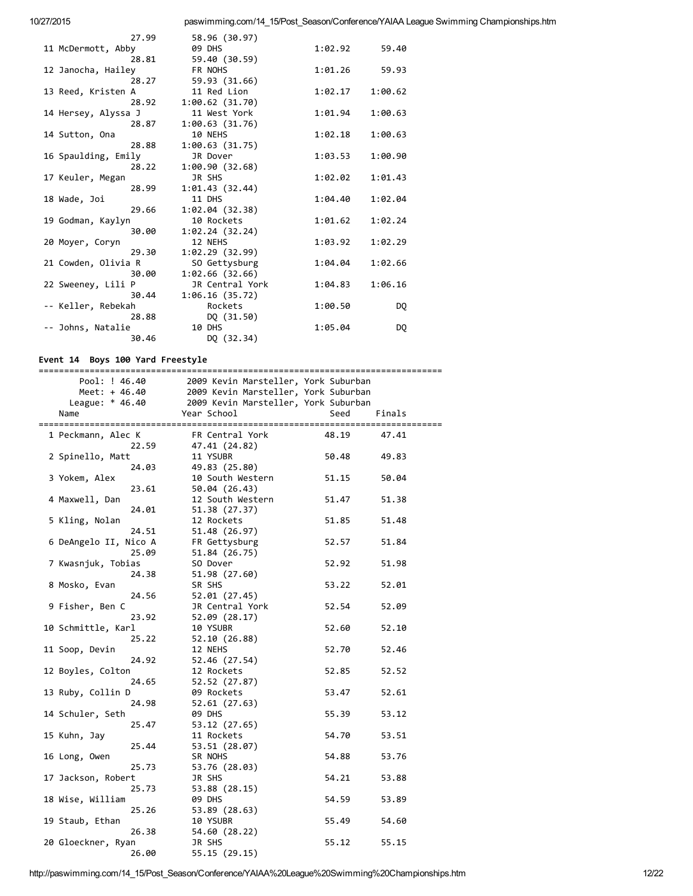| 27.99               | 58.96 (30.97)   |         |         |
|---------------------|-----------------|---------|---------|
| 11 McDermott, Abby  | <b>09 DHS</b>   | 1:02.92 | 59.40   |
| 28.81               | 59.40 (30.59)   |         |         |
| 12 Janocha, Hailey  | FR NOHS         | 1:01.26 | 59.93   |
| 28.27               | 59.93 (31.66)   |         |         |
| 13 Reed, Kristen A  | 11 Red Lion     | 1:02.17 | 1:00.62 |
| 28.92               | 1:00.62(31.70)  |         |         |
| 14 Hersey, Alyssa J | 11 West York    | 1:01.94 | 1:00.63 |
| 28.87               | 1:00.63(31.76)  |         |         |
| 14 Sutton, Ona      | 10 NEHS         | 1:02.18 | 1:00.63 |
| 28.88               | 1:00.63(31.75)  |         |         |
| 16 Spaulding, Emily | JR Dover        | 1:03.53 | 1:00.90 |
| 28.22               | 1:00.90(32.68)  |         |         |
| 17 Keuler, Megan    | JR SHS          | 1:02.02 | 1:01.43 |
| 28.99               | 1:01.43(32.44)  |         |         |
| 18 Wade, Joi        | 11 DHS          | 1:04.40 | 1:02.04 |
| 29.66               | 1:02.04(32.38)  |         |         |
| 19 Godman, Kaylyn   | 10 Rockets      | 1:01.62 | 1:02.24 |
| 30.00               | 1:02.24(32.24)  |         |         |
| 20 Moyer, Coryn     | 12 NEHS         | 1:03.92 | 1:02.29 |
| 29.30               | 1:02.29(32.99)  |         |         |
| 21 Cowden, Olivia R | SO Gettysburg   | 1:04.04 | 1:02.66 |
| 30.00               | 1:02.66(32.66)  |         |         |
| 22 Sweeney, Lili P  | JR Central York | 1:04.83 | 1:06.16 |
| 30.44               | 1:06.16(35.72)  |         |         |
| -- Keller, Rebekah  | Rockets         | 1:00.50 | DQ.     |
| 28.88               | DQ (31.50)      |         |         |
| -- Johns, Natalie   | 10 DHS          | 1:05.04 | DQ.     |
| 30.46               | DQ (32.34)      |         |         |
|                     |                 |         |         |

## Event 14 Boys 100 Yard Freestyle

| Pool: ! 46.40         |       |                         | 2009 Kevin Marsteller, York Suburban |       |        |
|-----------------------|-------|-------------------------|--------------------------------------|-------|--------|
| Meet: + 46.40         |       |                         | 2009 Kevin Marsteller, York Suburban |       |        |
| League: $* 46.40$     |       |                         | 2009 Kevin Marsteller, York Suburban |       |        |
| Name                  |       | Year School             |                                      | Seed  | Finals |
|                       |       |                         |                                      |       |        |
| 1 Peckmann, Alec K    |       | FR Central York         |                                      | 48.19 | 47.41  |
|                       | 22.59 | 47.41 (24.82)           |                                      |       |        |
| 2 Spinello, Matt      |       | 11 YSUBR                |                                      | 50.48 | 49.83  |
|                       | 24.03 | 49.83 (25.80)           |                                      |       |        |
| 3 Yokem, Alex         |       |                         | 10 South Western                     | 51.15 | 50.04  |
|                       | 23.61 | 50.04 (26.43)           |                                      |       |        |
| 4 Maxwell, Dan        |       |                         | 12 South Western                     | 51.47 | 51.38  |
|                       | 24.01 | 51.38 (27.37)           |                                      |       |        |
| 5 Kling, Nolan        |       | 12 Rockets              |                                      | 51.85 | 51.48  |
|                       | 24.51 | 51.48 (26.97)           |                                      |       |        |
| 6 DeAngelo II, Nico A |       | FR Gettysburg           |                                      | 52.57 | 51.84  |
|                       | 25.09 | 51.84 (26.75)           |                                      |       |        |
| 7 Kwasnjuk, Tobias    |       | SO Dover                |                                      | 52.92 | 51.98  |
|                       | 24.38 | 51.98 (27.60)           |                                      |       |        |
| 8 Mosko, Evan         |       | SR SHS                  |                                      | 53.22 | 52.01  |
|                       | 24.56 | 52.01 (27.45)           |                                      |       |        |
| 9 Fisher, Ben C       |       | JR Central York         |                                      | 52.54 | 52.09  |
|                       | 23.92 | 52.09 (28.17)           |                                      |       |        |
| 10 Schmittle, Karl    |       | 10 YSUBR                |                                      | 52.60 | 52.10  |
|                       | 25.22 | 52.10 (26.88)           |                                      |       |        |
| 11 Soop, Devin        |       | 12 NEHS                 |                                      | 52.70 | 52.46  |
|                       | 24.92 | 52.46 (27.54)           |                                      |       |        |
| 12 Boyles, Colton     |       | 12 Rockets              |                                      | 52.85 | 52.52  |
|                       | 24.65 | 52.52 (27.87)           |                                      |       |        |
| 13 Ruby, Collin D     |       | 09 Rockets              |                                      | 53.47 | 52.61  |
|                       | 24.98 |                         |                                      |       |        |
| 14 Schuler, Seth      |       | 52.61 (27.63)<br>09 DHS |                                      | 55.39 | 53.12  |
|                       |       |                         |                                      |       |        |
| 15 Kuhn, Jay          | 25.47 | 53.12 (27.65)           |                                      | 54.70 |        |
|                       |       | 11 Rockets              |                                      |       | 53.51  |
|                       | 25.44 | 53.51 (28.07)           |                                      |       |        |
| 16 Long, Owen         |       | SR NOHS                 |                                      | 54.88 | 53.76  |
|                       | 25.73 | 53.76 (28.03)           |                                      |       |        |
| 17 Jackson, Robert    |       | JR SHS                  |                                      | 54.21 | 53.88  |
|                       | 25.73 | 53.88 (28.15)           |                                      |       |        |
| 18 Wise, William      |       | 09 DHS                  |                                      | 54.59 | 53.89  |
|                       | 25.26 | 53.89 (28.63)           |                                      |       |        |
| 19 Staub, Ethan       |       | 10 YSUBR                |                                      | 55.49 | 54.60  |
|                       | 26.38 | 54.60 (28.22)           |                                      |       |        |
| 20 Gloeckner, Ryan    |       | JR SHS                  |                                      | 55.12 | 55.15  |
|                       | 26.00 | 55.15 (29.15)           |                                      |       |        |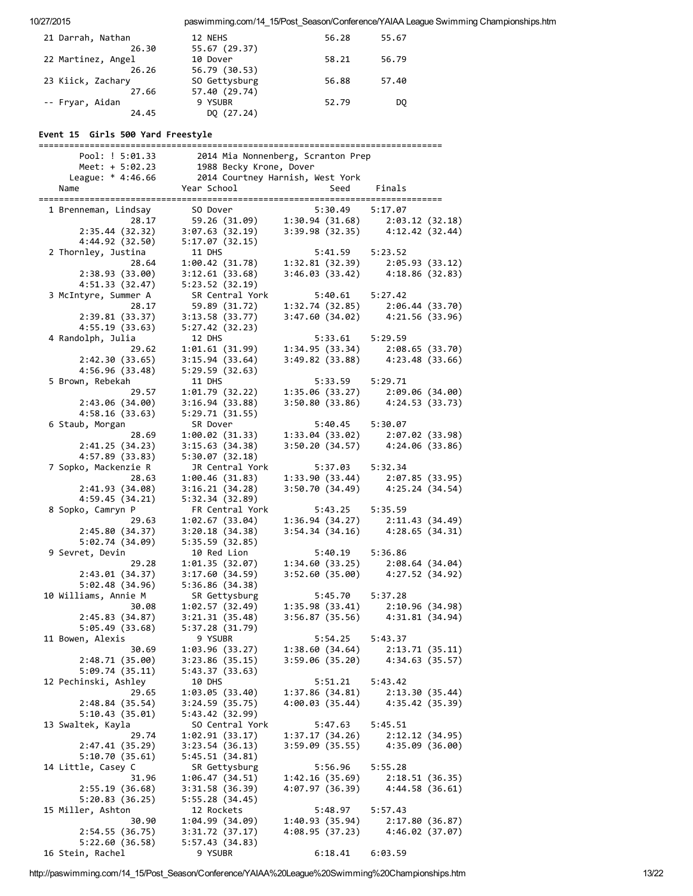| 21 Darrah, Nathan                    | 12 NEHS                                                     | 56.28                              | 55.67                              |
|--------------------------------------|-------------------------------------------------------------|------------------------------------|------------------------------------|
| 26.30                                | 55.67 (29.37)                                               |                                    |                                    |
| 22 Martinez, Angel                   | 10 Dover                                                    | 58.21                              | 56.79                              |
| 26.26                                | 56.79 (30.53)                                               |                                    |                                    |
| 23 Kiick, Zachary                    | SO Gettysburg                                               | 56.88                              | 57.40                              |
| 27.66<br>-- Fryar, Aidan             | 57.40 (29.74)<br>9 YSUBR                                    | 52.79                              | DQ                                 |
| 24.45                                | DQ (27.24)                                                  |                                    |                                    |
|                                      |                                                             |                                    |                                    |
| Event 15 Girls 500 Yard Freestyle    |                                                             |                                    |                                    |
| Pool: ! 5:01.33                      |                                                             | 2014 Mia Nonnenberg, Scranton Prep |                                    |
| Meet: + 5:02.23<br>League: * 4:46.66 | 1988 Becky Krone, Dover<br>2014 Courtney Harnish, West York |                                    |                                    |
| Name                                 | Year School                                                 | Seed                               | Finals                             |
|                                      |                                                             |                                    |                                    |
| 1 Brenneman, Lindsay                 | SO Dover                                                    | 5:30.49                            | 5:17.07                            |
| 28.17                                | 59.26 (31.09)                                               |                                    | $1:30.94(31.68)$ $2:03.12(32.18)$  |
| 2:35.44(32.32)                       | 3:07.63(32.19)                                              |                                    | $3:39.98(32.35)$ $4:12.42(32.44)$  |
| 4:44.92 (32.50)                      | 5:17.07(32.15)                                              |                                    |                                    |
| 2 Thornley, Justina                  | 11 DHS                                                      | 5:41.59                            | 5:23.52                            |
| 28.64                                | 1:00.42(31.78)                                              | 1:32.81(32.39)                     | 2:05.93 (33.12)                    |
| 2:38.93(33.00)                       | 3:12.61(33.68)                                              |                                    | $3:46.03(33.42)$ $4:18.86(32.83)$  |
| 4:51.33(32.47)                       | 5:23.52(32.19)                                              |                                    |                                    |
| 3 McIntyre, Summer A                 | SR Central York                                             | 5:40.61                            | 5:27.42                            |
| 28.17<br>2:39.81(33.37)              | 59.89 (31.72)<br>3:13.58(33.77)                             | 1:32.74 (32.85)<br>3:47.60 (34.02) | 2:06.44 (33.70)<br>4:21.56 (33.96) |
|                                      |                                                             |                                    |                                    |
| 4:55.19 (33.63)<br>4 Randolph, Julia | 5:27.42(32.23)<br>12 DHS                                    | 5:33.61                            | 5:29.59                            |
| 29.62                                | 1:01.61 (31.99)                                             | 1:34.95(33.34)                     | 2:08.65 (33.70)                    |
| 2:42.30(33.65)                       | 3:15.94(33.64)                                              | 3:49.82 (33.88)                    | 4:23.48 (33.66)                    |
| 4:56.96 (33.48)                      | 5:29.59(32.63)                                              |                                    |                                    |
| 5 Brown, Rebekah                     | 11 DHS                                                      | 5:33.59                            | 5:29.71                            |
| 29.57                                | 1:01.79(32.22)                                              | 1:35.06(33.27)                     | 2:09.06 (34.00)                    |
| 2:43.06 (34.00)                      | 3:16.94(33.88)                                              | 3:50.80(33.86)                     | 4:24.53(33.73)                     |
| 4:58.16 (33.63)                      | 5:29.71(31.55)                                              |                                    |                                    |
| 6 Staub, Morgan                      | SR Dover                                                    | 5:40.45                            | 5:30.07                            |
| 28.69                                | 1:00.02(31.33)                                              | 1:33.04(33.02)                     | 2:07.02(33.98)                     |
| 2:41.25 (34.23)                      | 3:15.63(34.38)                                              | 3:50.20(34.57)                     | 4:24.06(33.86)                     |
| 4:57.89(33.83)                       | 5:30.07(32.18)                                              |                                    |                                    |
| 7 Sopko, Mackenzie R                 | JR Central York                                             | 5:37.03                            | 5:32.34                            |
| 28.63<br>2:41.93(34.08)              | 1:00.46(31.83)<br>3:16.21(34.28)                            | 1:33.90(33.44)<br>3:50.70 (34.49)  | 2:07.85(33.95)<br>4:25.24(34.54)   |
| 4:59.45(34.21)                       | 5:32.34(32.89)                                              |                                    |                                    |
| 8 Sopko, Camryn P                    | FR Central York                                             | 5:43.25                            | 5:35.59                            |
| 29.63                                | 1:02.67(33.04)                                              | 1:36.94(34.27)                     | 2:11.43(34.49)                     |
| 2:45.80(34.37)                       | 3:20.18(34.38)                                              | 3:54.34(34.16)                     | 4:28.65(34.31)                     |
| 5:02.74 (34.09)                      | 5:35.59 (32.85)                                             |                                    |                                    |
| 9 Sevret, Devin                      | 10 Red Lion                                                 | 5:40.19                            | 5:36.86                            |
| 29.28                                | 1:01.35(32.07)                                              | 1:34.60(33.25)                     | 2:08.64(34.04)                     |
| 2:43.01(34.37)                       | 3:17.60(34.59)                                              | 3:52.60(35.00)                     | 4:27.52 (34.92)                    |
| 5:02.48(34.96)                       | 5:36.86(34.38)                                              |                                    |                                    |
| 10 Williams, Annie M                 | SR Gettysburg                                               | 5:45.70                            | 5:37.28                            |
| 30.08<br>2:45.83(34.87)              | 1:02.57(32.49)                                              | 1:35.98 (33.41)                    | 2:10.96(34.98)                     |
| 5:05.49(33.68)                       | 3:21.31(35.48)<br>5:37.28(31.79)                            | 3:56.87 (35.56)                    | 4:31.81 (34.94)                    |
| 11 Bowen, Alexis                     | 9 YSUBR                                                     | 5:54.25                            | 5:43.37                            |
| 30.69                                | 1:03.96 (33.27)                                             | 1:38.60(34.64)                     | 2:13.71(35.11)                     |
| 2:48.71 (35.00)                      | 3:23.86(35.15)                                              | 3:59.06(35.20)                     | 4:34.63 (35.57)                    |
| 5:09.74(35.11)                       | 5:43.37(33.63)                                              |                                    |                                    |
| 12 Pechinski, Ashley                 | 10 DHS                                                      | 5:51.21                            | 5:43.42                            |
| 29.65                                | 1:03.05(33.40)                                              | 1:37.86(34.81)                     | 2:13.30(35.44)                     |
| 2:48.84(35.54)                       | 3:24.59(35.75)                                              | 4:00.03(35.44)                     | 4:35.42 (35.39)                    |
| 5:10.43(35.01)                       | 5:43.42 (32.99)                                             |                                    |                                    |
| 13 Swaltek, Kayla                    | SO Central York                                             | 5:47.63                            | 5:45.51                            |
| 29.74                                | 1:02.91(33.17)                                              | 1:37.17(34.26)                     | 2:12.12 (34.95)                    |
| 2:47.41(35.29)                       | 3:23.54(36.13)                                              | 3:59.09(35.55)                     | 4:35.09 (36.00)                    |
| 5:10.70(35.61)                       | 5:45.51(34.81)                                              |                                    |                                    |
| 14 Little, Casey C                   | SR Gettysburg                                               | 5:56.96                            | 5:55.28                            |
| 31.96                                | 1:06.47 (34.51)                                             | 1:42.16(35.69)                     | 2:18.51(36.35)                     |
| 2:55.19(36.68)                       | 3:31.58(36.39)                                              | 4:07.97 (36.39)                    | 4:44.58(36.61)                     |
| 5:20.83 (36.25)                      | 5:55.28(34.45)                                              |                                    |                                    |
| 15 Miller, Ashton                    | 12 Rockets                                                  | 5:48.97                            | 5:57.43                            |
| 30.90<br>2:54.55 (36.75)             | 1:04.99 (34.09)<br>3:31.72(37.17)                           | 1:40.93(35.94)<br>4:08.95(37.23)   | 2:17.80(36.87)<br>4:46.02 (37.07)  |
| 5:22.60(36.58)                       | 5:57.43(34.83)                                              |                                    |                                    |
| 16 Stein, Rachel                     | 9 YSUBR                                                     | 6:18.41                            | 6:03.59                            |
|                                      |                                                             |                                    |                                    |

http://paswimming.com/14\_15/Post\_Season/Conference/YAIAA%20League%20Swimming%20Championships.htm 13/22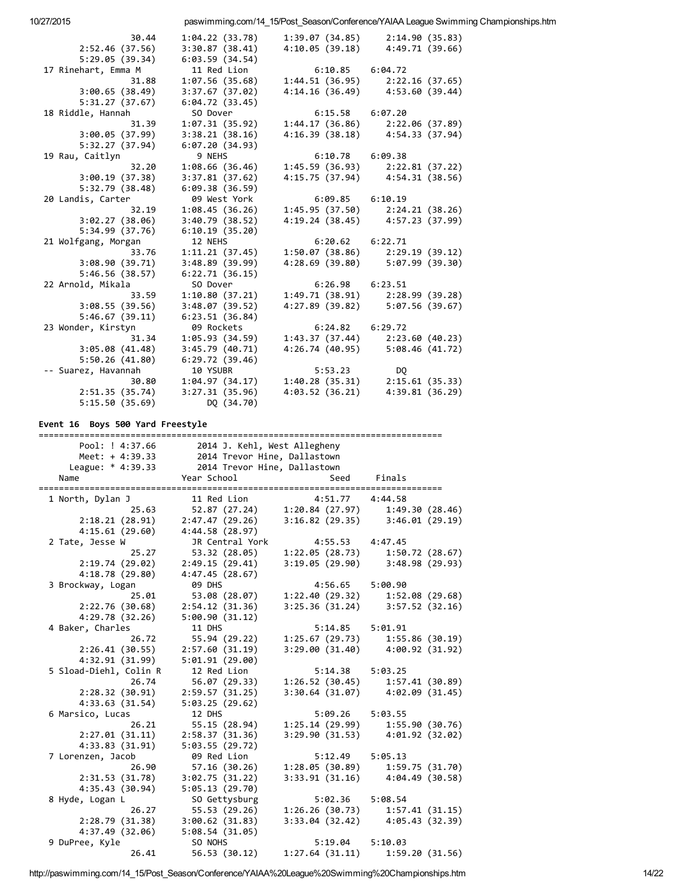| 10/27/2015                                             |                              |                                   |                 | paswimming.com/14 15/Post Season/Conference/YAIAA League Swimming Championships.htm |
|--------------------------------------------------------|------------------------------|-----------------------------------|-----------------|-------------------------------------------------------------------------------------|
| 30.44                                                  | 1:04.22(33.78)               | 1:39.07 (34.85)                   | 2:14.90(35.83)  |                                                                                     |
| 2:52.46(37.56)                                         | 3:30.87(38.41)               | $4:10.05(39.18)$ $4:49.71(39.66)$ |                 |                                                                                     |
| 5:29.05(39.34)                                         | 6:03.59(34.54)               |                                   |                 |                                                                                     |
| 17 Rinehart, Emma M                                    | 11 Red Lion                  | $6:10.85$ $6:04.72$               |                 |                                                                                     |
| 31.88                                                  | 1:07.56 (35.68)              | $1:44.51(36.95)$ $2:22.16(37.65)$ |                 |                                                                                     |
| 3:00.65(38.49)                                         | 3:37.67(37.02)               | 4:14.16 (36.49) 4:53.60 (39.44)   |                 |                                                                                     |
| 5:31.27(37.67)                                         | 6:04.72(33.45)               |                                   |                 |                                                                                     |
| 18 Riddle, Hannah                                      | SO Dover                     | 6:15.58 6:07.20                   |                 |                                                                                     |
| 31.39                                                  | 1:07.31 (35.92)              | $1:44.17(36.86)$ $2:22.06(37.89)$ |                 |                                                                                     |
| 3:00.05(37.99)                                         | 3:38.21(38.16)               | 4:16.39 (38.18) 4:54.33 (37.94)   |                 |                                                                                     |
| 5:32.27 (37.94)                                        | 6:07.20(34.93)               |                                   |                 |                                                                                     |
| 19 Rau, Caitlyn                                        | 9 NEHS                       | 6:10.78 6:09.38                   |                 |                                                                                     |
| 32.20                                                  | 1:08.66 (36.46)              | $1:45.59(36.93)$ $2:22.81(37.22)$ |                 |                                                                                     |
| 3:00.19(37.38)                                         | 3:37.81(37.62)               | 4:15.75 (37.94) 4:54.31 (38.56)   |                 |                                                                                     |
| 5:32.79(38.48)                                         | 6:09.38(36.59)               |                                   |                 |                                                                                     |
| 20 Landis, Carter                                      | 09 West York                 | $6:09.85$ $6:10.19$               |                 |                                                                                     |
| 32.19                                                  | 1:08.45 (36.26)              | $1:45.95(37.50)$ $2:24.21(38.26)$ |                 |                                                                                     |
| 3:02.27(38.06)                                         | 3:40.79(38.52)               | 4:19.24 (38.45) 4:57.23 (37.99)   |                 |                                                                                     |
| 5:34.99(37.76)                                         | 6:10.19(35.20)               |                                   |                 |                                                                                     |
| 21 Wolfgang, Morgan                                    | 12 NEHS                      | $6:20.62$ $6:22.71$               |                 |                                                                                     |
| 33.76                                                  | 1:11.21 (37.45)              | $1:50.07(38.86)$ $2:29.19(39.12)$ |                 |                                                                                     |
|                                                        | 3:48.89(39.99)               | 4:28.69 (39.80) 5:07.99 (39.30)   |                 |                                                                                     |
| $3:08.90(39.71)$<br>$5:46.56(38.57)$<br>5:46.56(38.57) | 6:22.71(36.15)               |                                   |                 |                                                                                     |
| 22 Arnold, Mikala                                      | SO Dover                     | 6:26.98 6:23.51                   |                 |                                                                                     |
| 33.59                                                  | 1:10.80(37.21)               | $1:49.71(38.91)$ $2:28.99(39.28)$ |                 |                                                                                     |
|                                                        |                              |                                   |                 |                                                                                     |
| 3:08.55(39.56)                                         | 3:48.07(39.52)               | 4:27.89 (39.82) 5:07.56 (39.67)   |                 |                                                                                     |
| 5:46.67(39.11)<br>23 Wonder, Kirstyn                   | 6:23.51(36.84)<br>09 Rockets | $6:24.82$ $6:29.72$               |                 |                                                                                     |
|                                                        |                              |                                   |                 |                                                                                     |
| 31.34                                                  | 1:05.93 (34.59)              | $1:43.37(37.44)$ $2:23.60(40.23)$ |                 |                                                                                     |
| 3:05.08(41.48)                                         | 3:45.79(40.71)               | 4:26.74 (40.95) 5:08.46 (41.72)   |                 |                                                                                     |
| 5:50.26(41.80)                                         | 6:29.72(39.46)               |                                   |                 |                                                                                     |
| -- Suarez, Havannah<br>30.80                           | 10 YSUBR                     | 5:53.23                           | DQ.             |                                                                                     |
|                                                        | 1:04.97 (34.17)              | $1:40.28(35.31)$ $2:15.61(35.33)$ |                 |                                                                                     |
| 2:51.35 (35.74)                                        | 3:27.31(35.96)               | 4:03.52(36.21)                    | 4:39.81 (36.29) |                                                                                     |
| 5:15.50(35.69)                                         | DQ (34.70)                   |                                   |                 |                                                                                     |

#### Event 16 Boys 500 Yard Freestyle

| Pool: ! 4:37.66             | 2014 J. Kehl, West Allegheny          |                |                                     |  |  |
|-----------------------------|---------------------------------------|----------------|-------------------------------------|--|--|
| Meet: $+ 4:39.33$           | 2014 Trevor Hine, Dallastown          |                |                                     |  |  |
| League: * 4:39.33           | 2014 Trevor Hine, Dallastown          |                |                                     |  |  |
| Name<br>=================== | Year School<br>:===================== | Seed           | Finals<br>==========                |  |  |
| 1 North, Dylan J            | 11 Red Lion                           | 4:51.77        | 4:44.58                             |  |  |
| 25.63                       | $52.87$ (27.24) 1:20.84 (27.97)       |                | 1:49.30 (28.46)                     |  |  |
| 2:18.21(28.91)              | 2:47.47(29.26)                        | 3:16.82(29.35) | 3:46.01(29.19)                      |  |  |
| 4:15.61(29.60)              | 4:44.58(28.97)                        |                |                                     |  |  |
| 2 Tate, Jesse W             | JR Central York                       | 4:55.53        | 4:47.45                             |  |  |
| 25.27                       | 53.32 (28.05)                         | 1:22.05(28.73) | 1:50.72(28.67)                      |  |  |
| 2:19.74(29.02)              | 2:49.15(29.41)                        | 3:19.05(29.90) | 3:48.98 (29.93)                     |  |  |
| 4:18.78 (29.80)             | 4:47.45(28.67)                        |                |                                     |  |  |
| 3 Brockway, Logan           | 09 DHS                                | 4:56.65        | 5:00.90                             |  |  |
| 25.01                       | 53.08 (28.07)                         | 1:22.40(29.32) | 1:52.08 (29.68)                     |  |  |
| 2:22.76(30.68)              | 2:54.12(31.36)                        |                | $3:25.36(31.24)$ $3:57.52(32.16)$   |  |  |
| 4:29.78 (32.26)             | 5:00.90(31.12)                        |                |                                     |  |  |
| 4 Baker, Charles            | 11 DHS                                | 5:14.85        | 5:01.91                             |  |  |
| 26.72                       | 55.94 (29.22)                         | 1:25.67(29.73) | 1:55.86 (30.19)                     |  |  |
| 2:26.41(30.55)              | 2:57.60(31.19)                        | 3:29.00(31.40) | 4:00.92 (31.92)                     |  |  |
| 4:32.91 (31.99)             | 5:01.91 (29.00)                       |                |                                     |  |  |
| 5 Sload-Diehl, Colin R      | 12 Red Lion                           | 5:14.38        | 5:03.25                             |  |  |
| 26.74                       | 56.07 (29.33)                         | 1:26.52(30.45) | 1:57.41(30.89)                      |  |  |
| 2:28.32(30.91)              | 2:59.57(31.25)                        | 3:30.64(31.07) | 4:02.09(31.45)                      |  |  |
| 4:33.63(31.54)              | 5:03.25(29.62)                        |                |                                     |  |  |
| 6 Marsico, Lucas            | 12 DHS                                | 5:09.26        | 5:03.55                             |  |  |
| 26.21                       | 55.15 (28.94)                         | 1:25.14(29.99) | 1:55.90 (30.76)                     |  |  |
| 2:27.01(31.11)              | 2:58.37 (31.36)                       | 3:29.90(31.53) | 4:01.92 (32.02)                     |  |  |
| 4:33.83 (31.91)             | 5:03.55(29.72)                        |                |                                     |  |  |
| 7 Lorenzen, Jacob           | 09 Red Lion                           | 5:12.49        | 5:05.13                             |  |  |
| 26.90                       | 57.16 (30.26)                         | 1:28.05(30.89) | 1:59.75 (31.70)                     |  |  |
| 2:31.53(31.78)              | 3:02.75(31.22)                        | 3:33.91(31.16) | 4:04.49 (30.58)                     |  |  |
| 4:35.43 (30.94)             | 5:05.13(29.70)                        |                |                                     |  |  |
| 8 Hyde, Logan L             | SO Gettysburg                         | 5:02.36        | 5:08.54                             |  |  |
| 26.27                       | 55.53 (29.26)                         | 1:26.26(30.73) | 1:57.41 (31.15)                     |  |  |
| 2:28.79(31.38)              | 3:00.62(31.83)                        |                | $3:33.04$ (32.42) $4:05.43$ (32.39) |  |  |
| 4:37.49 (32.06)             | 5:08.54(31.05)                        |                |                                     |  |  |
| 9 DuPree, Kyle              | SO NOHS                               | 5:19.04        | 5:10.03                             |  |  |
| 26.41                       | 56.53 (30.12)                         | 1:27.64(31.11) | 1:59.20(31.56)                      |  |  |

http://paswimming.com/14\_15/Post\_Season/Conference/YAIAA%20League%20Swimming%20Championships.htm 14/22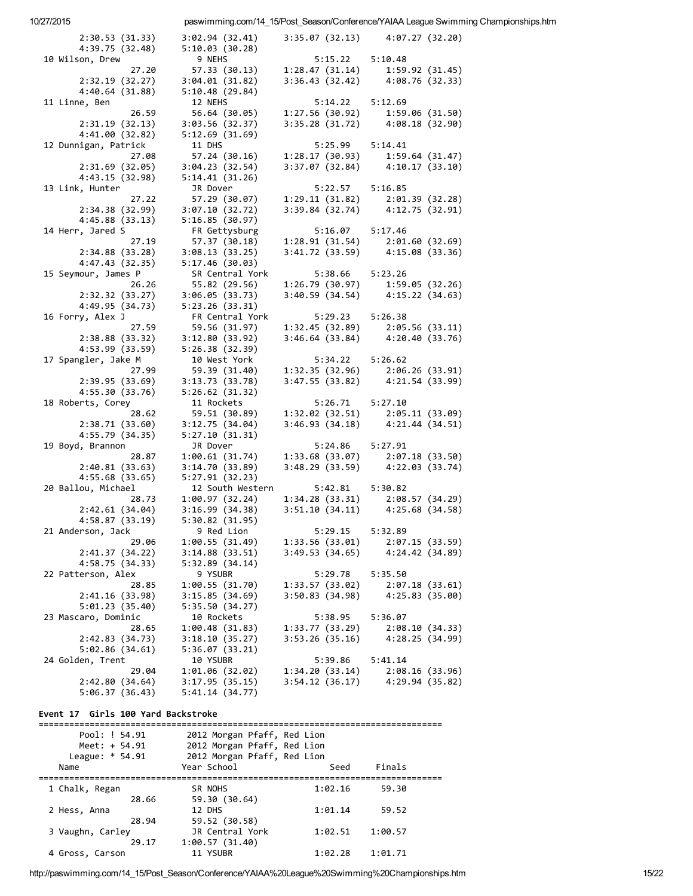| 10/27/2015                         |                                   |                                                                                                                 |                 | paswimming.com/14_15/Post_Season/Conference/YAIAA League Swimming Championships.htm |
|------------------------------------|-----------------------------------|-----------------------------------------------------------------------------------------------------------------|-----------------|-------------------------------------------------------------------------------------|
| 2:30.53(31.33)                     | 3:02.94(32.41)                    | 3:35.07(32.13)                                                                                                  | 4:07.27(32.20)  |                                                                                     |
| 4:39.75 (32.48)                    | 5:10.03 (30.28)                   |                                                                                                                 |                 |                                                                                     |
| 10 Wilson, Drew                    | 9 NEHS                            | 5:15.22                                                                                                         | 5:10.48         |                                                                                     |
| 27.20                              | 57.33 (30.13)                     | 1:28.47(31.14)                                                                                                  | 1:59.92 (31.45) |                                                                                     |
| 2:32.19 (32.27)<br>4:40.64(31.88)  | 3:04.01 (31.82)<br>5:10.48(29.84) | 3:36.43(32.42)                                                                                                  | 4:08.76 (32.33) |                                                                                     |
| 11 Linne, Ben                      | 12 NEHS                           | 5:14.22                                                                                                         | 5:12.69         |                                                                                     |
| 26.59                              | 56.64 (30.05)                     | 1:27.56(30.92)                                                                                                  | 1:59.06 (31.50) |                                                                                     |
| 2:31.19(32.13)                     | 3:03.56(32.37)                    | 3:35.28 (31.72)                                                                                                 | 4:08.18 (32.90) |                                                                                     |
| 4:41.00(32.82)                     | 5:12.69(31.69)                    |                                                                                                                 |                 |                                                                                     |
| 12 Dunnigan, Patrick               | 11 DHS                            | 5:25.99                                                                                                         | 5:14.41         |                                                                                     |
| 27.08                              | 57.24 (30.16)                     | 1:28.17 (30.93)                                                                                                 | 1:59.64(31.47)  |                                                                                     |
| 2:31.69(32.05)                     | 3:04.23(32.54)                    | 3:37.07 (32.84)                                                                                                 | 4:10.17(33.10)  |                                                                                     |
| 4:43.15 (32.98)                    | 5:14.41(31.26)                    |                                                                                                                 |                 |                                                                                     |
| 13 Link, Hunter                    | JR Dover                          | 5:22.57                                                                                                         | 5:16.85         |                                                                                     |
| 27.22                              | 57.29 (30.07)                     | 1:29.11 (31.82)                                                                                                 | 2:01.39(32.28)  |                                                                                     |
| 2:34.38 (32.99)                    | 3:07.10 (32.72)                   | 3:39.84(32.74)                                                                                                  | 4:12.75 (32.91) |                                                                                     |
| 4:45.88(33.13)<br>14 Herr, Jared S | 5:16.85(30.97)<br>FR Gettysburg   | 5:16.07                                                                                                         | 5:17.46         |                                                                                     |
| 27.19                              | 57.37 (30.18)                     | 1:28.91(31.54)                                                                                                  | 2:01.60 (32.69) |                                                                                     |
| 2:34.88 (33.28)                    | 3:08.13 (33.25)                   | 3:41.72 (33.59)                                                                                                 | 4:15.08(33.36)  |                                                                                     |
| 4:47.43(32.35)                     | 5:17.46(30.03)                    |                                                                                                                 |                 |                                                                                     |
| 15 Seymour, James P                | SR Central York                   | 5:38.66                                                                                                         | 5:23.26         |                                                                                     |
| 26.26                              | 55.82 (29.56)                     | 1:26.79 (30.97)                                                                                                 | 1:59.05(32.26)  |                                                                                     |
| 2:32.32 (33.27)                    | 3:06.05(33.73)                    | 3:40.59 (34.54)                                                                                                 | 4:15.22(34.63)  |                                                                                     |
| 4:49.95 (34.73)                    | 5:23.26(33.31)                    |                                                                                                                 |                 |                                                                                     |
| 16 Forry, Alex J                   | FR Central York                   | 5:29.23                                                                                                         | 5:26.38         |                                                                                     |
| 27.59                              | 59.56 (31.97)                     | 1:32.45(32.89)                                                                                                  | 2:05.56(33.11)  |                                                                                     |
| 2:38.88 (33.32)<br>4:53.99 (33.59) | 3:12.80(33.92)<br>5:26.38 (32.39) | 3:46.64 (33.84)                                                                                                 | 4:20.40 (33.76) |                                                                                     |
| 17 Spangler, Jake M                | 10 West York                      | 5:34.22                                                                                                         | 5:26.62         |                                                                                     |
| 27.99                              | 59.39 (31.40)                     | 1:32.35(32.96)                                                                                                  | 2:06.26 (33.91) |                                                                                     |
| 2:39.95 (33.69)                    | 3:13.73 (33.78)                   | 3:47.55 (33.82)                                                                                                 | 4:21.54 (33.99) |                                                                                     |
| 4:55.30 (33.76)                    | 5:26.62 (31.32)                   |                                                                                                                 |                 |                                                                                     |
| 18 Roberts, Corey                  | 11 Rockets                        | 5:26.71                                                                                                         | 5:27.10         |                                                                                     |
| 28.62                              | 59.51 (30.89)                     | $1:32.02$ (32.51) $2:05.11$ (33.09)                                                                             |                 |                                                                                     |
| 2:38.71(33.60)                     | 3:12.75(34.04)                    | $3:46.93(34.18)$ $4:21.44(34.51)$                                                                               |                 |                                                                                     |
| 4:55.79 (34.35)                    | 5:27.10(31.31)                    |                                                                                                                 |                 |                                                                                     |
| 19 Boyd, Brannon<br>28.87          | JR Dover                          | 5:24.86                                                                                                         | 5:27.91         |                                                                                     |
| 2:40.81(33.63)                     | 1:00.61(31.74)<br>3:14.70(33.89)  | $\begin{array}{lll} 1:33.68 & (33.07) & 2:07.18 & (33.50) \\ 3:48.29 & (33.59) & 4:22.03 & (33.74) \end{array}$ |                 |                                                                                     |
| 4:55.68(33.65)                     | 5:27.91(32.23)                    |                                                                                                                 |                 |                                                                                     |
| 20 Ballou, Michael                 | 12 South Western                  | 5:42.81                                                                                                         | 5:30.82         |                                                                                     |
| 28.73                              | 1:00.97 (32.24)                   | 1:34.28(33.31)                                                                                                  | 2:08.57 (34.29) |                                                                                     |
| 2:42.61 (34.04)                    | 3:16.99(34.38)                    | $3:51.10(34.11)$ $4:25.68(34.58)$                                                                               |                 |                                                                                     |
| 4:58.87 (33.19)                    | 5:30.82 (31.95)                   |                                                                                                                 |                 |                                                                                     |
| 21 Anderson, Jack                  | 9 Red Lion                        | 5:29.15                                                                                                         | 5:32.89         |                                                                                     |
| 29.06                              | 1:00.55(31.49)                    | 1:33.56(33.01)                                                                                                  | 2:07.15(33.59)  |                                                                                     |
| 2:41.37(34.22)                     | 3:14.88(33.51)                    | 3:49.53(34.65)                                                                                                  | 4:24.42 (34.89) |                                                                                     |
| 4:58.75 (34.33)                    | 5:32.89(34.14)<br>9 YSUBR         | 5:29.78                                                                                                         | 5:35.50         |                                                                                     |
| 22 Patterson, Alex<br>28.85        | 1:00.55(31.70)                    | 1:33.57(33.02)                                                                                                  | 2:07.18(33.61)  |                                                                                     |
| 2:41.16(33.98)                     | 3:15.85(34.69)                    | 3:50.83 (34.98)                                                                                                 | 4:25.83 (35.00) |                                                                                     |
| 5:01.23(35.40)                     | 5:35.50(34.27)                    |                                                                                                                 |                 |                                                                                     |
| 23 Mascaro, Dominic                | 10 Rockets                        | 5:38.95                                                                                                         | 5:36.07         |                                                                                     |
| 28.65                              | 1:00.48(31.83)                    | 1:33.77(33.29)                                                                                                  | 2:08.10(34.33)  |                                                                                     |
| 2:42.83 (34.73)                    | 3:18.10(35.27)                    | 3:53.26(35.16)                                                                                                  | 4:28.25(34.99)  |                                                                                     |
| 5:02.86(34.61)                     | 5:36.07(33.21)                    |                                                                                                                 |                 |                                                                                     |
| 24 Golden, Trent                   | 10 YSUBR                          | 5:39.86                                                                                                         | 5:41.14         |                                                                                     |
| 29.04                              | 1:01.06(32.02)                    | 1:34.20(33.14)                                                                                                  | 2:08.16(33.96)  |                                                                                     |
| 2:42.80 (34.64)<br>5:06.37(36.43)  | 3:17.95(35.15)<br>5:41.14(34.77)  | 3:54.12(36.17)                                                                                                  | 4:29.94 (35.82) |                                                                                     |
|                                    |                                   |                                                                                                                 |                 |                                                                                     |

## Event 17 Girls 100 Yard Backstroke

| Pool: ! 54.91<br>Meet: $+ 54.91$<br>League: $* 54.91$ | 2012 Morgan Pfaff, Red Lion<br>2012 Morgan Pfaff, Red Lion<br>2012 Morgan Pfaff, Red Lion |         |         |
|-------------------------------------------------------|-------------------------------------------------------------------------------------------|---------|---------|
| Name                                                  | Year School                                                                               | Seed    | Finals  |
| 1 Chalk, Regan<br>28.66                               | SR NOHS<br>59.30 (30.64)                                                                  | 1:02.16 | 59.30   |
| 2 Hess, Anna<br>28.94                                 | 12 DHS<br>59.52 (30.58)                                                                   | 1:01.14 | 59.52   |
| 3 Vaughn, Carley<br>29.17                             | JR Central York<br>1:00.57(31.40)                                                         | 1:02.51 | 1:00.57 |
| 4 Gross, Carson                                       | 11 YSUBR                                                                                  | 1:02.28 | 1:01.71 |

http://paswimming.com/14\_15/Post\_Season/Conference/YAIAA%20League%20Swimming%20Championships.htm 15/22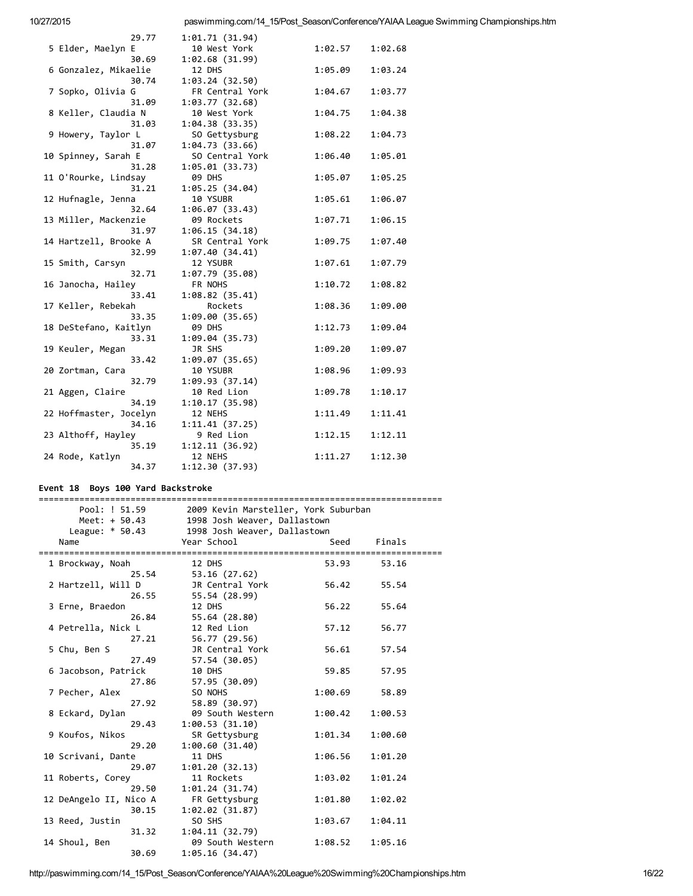| 29.77                  | 1:01.71 (31.94) |         |         |
|------------------------|-----------------|---------|---------|
| 5 Elder, Maelyn E      | 10 West York    | 1:02.57 | 1:02.68 |
| 30.69                  | 1:02.68(31.99)  |         |         |
| 6 Gonzalez, Mikaelie   | 12 DHS          | 1:05.09 | 1:03.24 |
| 30.74                  | 1:03.24(32.50)  |         |         |
| 7 Sopko, Olivia G      | FR Central York | 1:04.67 | 1:03.77 |
| 31.09                  | 1:03.77 (32.68) |         |         |
| 8 Keller, Claudia N    | 10 West York    | 1:04.75 | 1:04.38 |
| 31.03                  | 1:04.38(33.35)  |         |         |
| 9 Howery, Taylor L     | SO Gettysburg   | 1:08.22 | 1:04.73 |
| 31.07                  | 1:04.73(33.66)  |         |         |
| 10 Spinney, Sarah E    | SO Central York | 1:06.40 | 1:05.01 |
| 31.28                  | 1:05.01(33.73)  |         |         |
| 11 O'Rourke, Lindsay   | 09 DHS          | 1:05.07 | 1:05.25 |
| 31.21                  | 1:05.25 (34.04) |         |         |
| 12 Hufnagle, Jenna     | 10 YSUBR        | 1:05.61 | 1:06.07 |
| 32.64                  | 1:06.07(33.43)  |         |         |
| 13 Miller, Mackenzie   | 09 Rockets      | 1:07.71 | 1:06.15 |
| 31.97                  | 1:06.15(34.18)  |         |         |
| 14 Hartzell, Brooke A  | SR Central York | 1:09.75 | 1:07.40 |
| 32.99                  | 1:07.40(34.41)  |         |         |
| 15 Smith, Carsyn       | 12 YSUBR        | 1:07.61 | 1:07.79 |
| 32.71                  | 1:07.79 (35.08) |         |         |
| 16 Janocha, Hailey     | FR NOHS         | 1:10.72 | 1:08.82 |
| 33.41                  | 1:08.82(35.41)  |         |         |
| 17 Keller, Rebekah     | Rockets         | 1:08.36 | 1:09.00 |
| 33.35                  | 1:09.00(35.65)  |         |         |
| 18 DeStefano, Kaitlyn  | 09 DHS          | 1:12.73 | 1:09.04 |
| 33.31                  | 1:09.04(35.73)  |         |         |
| 19 Keuler, Megan       | JR SHS          | 1:09.20 | 1:09.07 |
| 33.42                  | 1:09.07(35.65)  |         |         |
| 20 Zortman, Cara       | 10 YSUBR        | 1:08.96 | 1:09.93 |
| 32.79                  | 1:09.93(37.14)  |         |         |
| 21 Aggen, Claire       | 10 Red Lion     | 1:09.78 | 1:10.17 |
| 34.19                  | 1:10.17(35.98)  |         |         |
| 22 Hoffmaster, Jocelyn | 12 NEHS         | 1:11.49 | 1:11.41 |
| 34.16                  | 1:11.41(37.25)  |         |         |
| 23 Althoff, Hayley     | 9 Red Lion      | 1:12.15 | 1:12.11 |
| 35.19                  | 1:12.11(36.92)  |         |         |
| 24 Rode, Katlyn        | 12 NEHS         | 1:11.27 | 1:12.30 |
| 34.37                  | 1:12.30(37.93)  |         |         |

## Event 18 Boys 100 Yard Backstroke

| Pool: ! 51.59          | 2009 Kevin Marsteller, York Suburban |         |         |  |
|------------------------|--------------------------------------|---------|---------|--|
| Meet: + 50.43          | 1998 Josh Weaver, Dallastown         |         |         |  |
| League: $* 50.43$      | 1998 Josh Weaver, Dallastown         |         |         |  |
| Name                   | Year School                          | Seed    | Finals  |  |
|                        |                                      |         |         |  |
| 1 Brockway, Noah       | 12 DHS                               | 53.93   | 53.16   |  |
| 25.54                  | 53.16 (27.62)                        |         |         |  |
| 2 Hartzell, Will D     | JR Central York                      | 56.42   | 55.54   |  |
| 26.55                  | 55.54 (28.99)                        |         |         |  |
| 3 Erne, Braedon        | 12 DHS                               | 56.22   | 55.64   |  |
| 26.84                  | 55.64 (28.80)                        |         |         |  |
| 4 Petrella, Nick L     | 12 Red Lion                          | 57.12   | 56.77   |  |
| 27.21                  | 56.77 (29.56)                        |         |         |  |
| 5 Chu, Ben S           | JR Central York                      | 56.61   | 57.54   |  |
| 27.49                  | 57.54 (30.05)                        |         |         |  |
| 6 Jacobson, Patrick    | 10 DHS                               | 59.85   | 57.95   |  |
| 27.86                  | 57.95 (30.09)                        |         |         |  |
| 7 Pecher, Alex         | SO NOHS                              | 1:00.69 | 58.89   |  |
| 27.92                  | 58.89 (30.97)                        |         |         |  |
| 8 Eckard, Dylan        | 09 South Western                     | 1:00.42 | 1:00.53 |  |
| 29.43                  | 1:00.53(31.10)                       |         |         |  |
| 9 Koufos, Nikos        | SR Gettysburg                        | 1:01.34 | 1:00.60 |  |
| 29.20                  | 1:00.60(31.40)                       |         |         |  |
| 10 Scrivani, Dante     | 11 DHS                               | 1:06.56 | 1:01.20 |  |
| 29.07                  | 1:01.20(32.13)                       |         |         |  |
| 11 Roberts, Corey      | 11 Rockets                           | 1:03.02 | 1:01.24 |  |
| 29.50                  | 1:01.24(31.74)                       |         |         |  |
| 12 DeAngelo II, Nico A | FR Gettysburg                        | 1:01.80 | 1:02.02 |  |
| 30.15                  | 1:02.02(31.87)                       |         |         |  |
| 13 Reed, Justin        | SO SHS                               | 1:03.67 | 1:04.11 |  |
| 31.32                  | 1:04.11(32.79)                       |         |         |  |
| 14 Shoul, Ben          | 09 South Western                     | 1:08.52 | 1:05.16 |  |
| 30.69                  | 1:05.16(34.47)                       |         |         |  |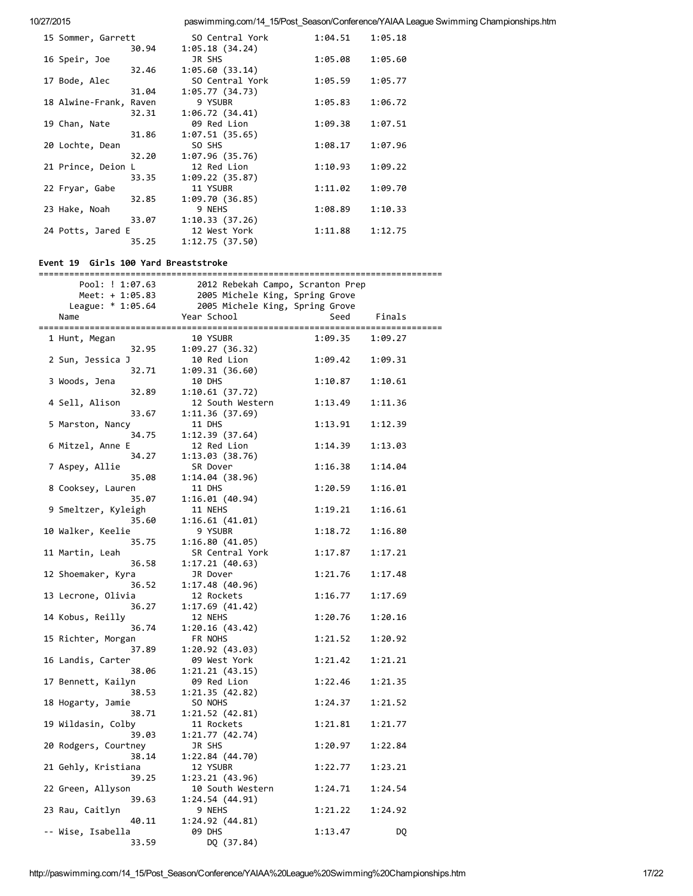| 15 Sommer, Garrett     |       | SO Central York | 1:04.51 | 1:05.18 |
|------------------------|-------|-----------------|---------|---------|
|                        | 30.94 | 1:05.18(34.24)  |         |         |
| 16 Speir, Joe          |       | JR SHS          | 1:05.08 | 1:05.60 |
|                        | 32.46 | 1:05.60(33.14)  |         |         |
| 17 Bode, Alec          |       | SO Central York | 1:05.59 | 1:05.77 |
|                        | 31.04 | 1:05.77(34.73)  |         |         |
| 18 Alwine-Frank, Raven |       | 9 YSUBR         | 1:05.83 | 1:06.72 |
|                        | 32.31 | 1:06.72(34.41)  |         |         |
| 19 Chan, Nate          |       | 09 Red Lion     | 1:09.38 | 1:07.51 |
|                        | 31.86 | 1:07.51(35.65)  |         |         |
| 20 Lochte, Dean        |       | SO SHS          | 1:08.17 | 1:07.96 |
|                        | 32.20 | 1:07.96(35.76)  |         |         |
| 21 Prince, Deion L     |       | 12 Red Lion     | 1:10.93 | 1:09.22 |
|                        | 33.35 | 1:09.22(35.87)  |         |         |
| 22 Fryar, Gabe         |       | 11 YSUBR        | 1:11.02 | 1:09.70 |
|                        | 32.85 | 1:09.70(36.85)  |         |         |
| 23 Hake, Noah          |       | 9 NEHS          | 1:08.89 | 1:10.33 |
|                        | 33.07 | 1:10.33(37.26)  |         |         |
| 24 Potts, Jared E      |       | 12 West York    | 1:11.88 | 1:12.75 |
|                        | 35.25 | 1:12.75(37.50)  |         |         |
|                        |       |                 |         |         |

#### Event 19 Girls 100 Yard Breaststroke

|  | Pool: ! 1:07.63             | 2012 Rebekah Campo, Scranton Prep |         |         |
|--|-----------------------------|-----------------------------------|---------|---------|
|  | Meet: $+ 1:05.83$           | 2005 Michele King, Spring Grove   |         |         |
|  | League: * 1:05.64           | 2005 Michele King, Spring Grove   |         |         |
|  | Name                        | Year School                       | Seed    | Finals  |
|  |                             |                                   |         |         |
|  | 1 Hunt, Megan               | 10 YSUBR                          | 1:09.35 | 1:09.27 |
|  | 32.95                       | 1:09.27(36.32)                    |         |         |
|  | 2 Sun, Jessica J            | 10 Red Lion                       | 1:09.42 | 1:09.31 |
|  | 32.71                       | 1:09.31(36.60)                    |         |         |
|  | 3 Woods, Jena               | 10 DHS                            | 1:10.87 | 1:10.61 |
|  | 32.89                       | 1:10.61(37.72)                    |         |         |
|  | 4 Sell, Alison              | 12 South Western                  | 1:13.49 | 1:11.36 |
|  | 33.67                       | 1:11.36(37.69)                    |         |         |
|  | 5 Marston, Nancy            | 11 DHS                            | 1:13.91 | 1:12.39 |
|  | 34.75                       | 1:12.39(37.64)                    |         |         |
|  | 6 Mitzel, Anne E            | 12 Red Lion                       | 1:14.39 | 1:13.03 |
|  | 34.27                       | 1:13.03(38.76)                    |         |         |
|  | 7 Aspey, Allie              | SR Dover                          | 1:16.38 | 1:14.04 |
|  | 35.08                       | 1:14.04(38.96)                    |         |         |
|  | 8 Cooksey, Lauren           | 11 DHS                            | 1:20.59 | 1:16.01 |
|  | 35.07                       | 1:16.01(40.94)                    |         |         |
|  | 9 Smeltzer, Kyleigh         | 11 NEHS                           | 1:19.21 | 1:16.61 |
|  | 35.60                       | 1:16.61(41.01)                    |         |         |
|  | 10 Walker, Keelie           | 9 YSUBR                           | 1:18.72 | 1:16.80 |
|  | 35.75                       | 1:16.80(41.05)                    |         |         |
|  | 11 Martin, Leah             | SR Central York                   | 1:17.87 | 1:17.21 |
|  | 36.58                       | 1:17.21(40.63)                    |         |         |
|  | 12 Shoemaker, Kyra          | JR Dover                          | 1:21.76 | 1:17.48 |
|  | 36.52<br>13 Lecrone, Olivia | 1:17.48(40.96)                    | 1:16.77 | 1:17.69 |
|  |                             | 12 Rockets                        |         |         |
|  | 36.27<br>14 Kobus, Reilly   | 1:17.69(41.42)<br>12 NEHS         |         | 1:20.16 |
|  | 36.74                       | 1:20.16(43.42)                    | 1:20.76 |         |
|  | 15 Richter, Morgan          | FR NOHS                           | 1:21.52 | 1:20.92 |
|  | 37.89                       | 1:20.92(43.03)                    |         |         |
|  | 16 Landis, Carter           | 09 West York                      | 1:21.42 | 1:21.21 |
|  | 38.06                       | 1:21.21(43.15)                    |         |         |
|  | 17 Bennett, Kailyn          | 09 Red Lion                       | 1:22.46 | 1:21.35 |
|  | 38.53                       | 1:21.35(42.82)                    |         |         |
|  | 18 Hogarty, Jamie           | SO NOHS                           | 1:24.37 | 1:21.52 |
|  | 38.71                       | 1:21.52(42.81)                    |         |         |
|  | 19 Wildasin, Colby          | 11 Rockets                        | 1:21.81 | 1:21.77 |
|  | 39.03                       | 1:21.77(42.74)                    |         |         |
|  | 20 Rodgers, Courtney        | JR SHS                            | 1:20.97 | 1:22.84 |
|  | 38.14                       | 1:22.84(44.70)                    |         |         |
|  | 21 Gehly, Kristiana         | 12 YSUBR                          | 1:22.77 | 1:23.21 |
|  | 39.25                       | 1:23.21(43.96)                    |         |         |
|  | 22 Green, Allyson           | 10 South Western                  | 1:24.71 | 1:24.54 |
|  | 39.63                       | 1:24.54(44.91)                    |         |         |
|  | 23 Rau, Caitlyn             | 9 NEHS                            | 1:21.22 | 1:24.92 |
|  | 40.11                       | 1:24.92 (44.81)                   |         |         |
|  | -- Wise, Isabella           | 09 DHS                            | 1:13.47 | DQ      |
|  | 33.59                       | DQ (37.84)                        |         |         |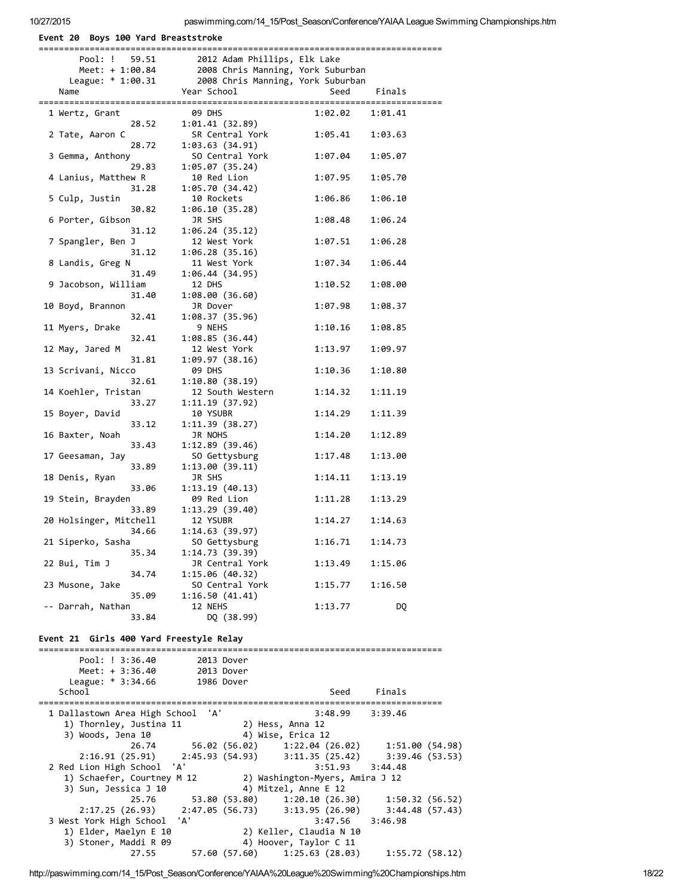Event 20 Boys 100 Yard Breaststroke

| Pool: ! 59.51                                                | com משנונות ב-2012 Adam ו-2012<br>2008 Chris Manning, York Suburban<br>מסירים ו-משפחת המשפחה ל-משפחה ב-משפחת ה |                                 |                 |
|--------------------------------------------------------------|----------------------------------------------------------------------------------------------------------------|---------------------------------|-----------------|
| Meet: + 1:00.84                                              | League: * 1:00.31 2008 Chris Manning, York Suburban                                                            |                                 |                 |
| Name                                                         | Year School                                                                                                    | Seed                            | Finals          |
|                                                              |                                                                                                                |                                 |                 |
| 1 Wertz, Grant                                               | 09 DHS                                                                                                         | 1:02.02                         | 1:01.41         |
| 28.52                                                        | 1:01.41 (32.89)                                                                                                |                                 |                 |
| 2 Tate, Aaron C                                              | SR Central York                                                                                                | 1:05.41                         | 1:03.63         |
| 28.72                                                        | 1:03.63(34.91)                                                                                                 |                                 |                 |
| 3 Gemma, Anthony                                             | SO Central York                                                                                                | 1:07.04                         | 1:05.07         |
| 29.83<br>4 Lanius, Matthew R                                 | 1:05.07(35.24)<br>10 Red Lion                                                                                  | 1:07.95                         | 1:05.70         |
| 31.28                                                        | 1:05.70 (34.42)                                                                                                |                                 |                 |
| 5 Culp, Justin                                               | 10 Rockets                                                                                                     | 1:06.86                         | 1:06.10         |
| 30.82                                                        | 1:06.10 (35.28)                                                                                                |                                 |                 |
| 6 Porter, Gibson                                             | JR SHS                                                                                                         | 1:08.48                         | 1:06.24         |
| 31.12                                                        | 1:06.24(35.12)                                                                                                 |                                 |                 |
| 7 Spangler, Ben J                                            | 12 West York                                                                                                   | 1:07.51                         | 1:06.28         |
| 31.12                                                        | 1:06.28(35.16)                                                                                                 |                                 |                 |
| 8 Landis, Greg N                                             | 11 West York                                                                                                   | 1:07.34                         | 1:06.44         |
| 31.49<br>9 Jacobson, William                                 | 1:06.44(34.95)<br>12 DHS                                                                                       | 1:10.52                         | 1:08.00         |
| 31.40                                                        | 1:08.00(36.60)                                                                                                 |                                 |                 |
| 10 Boyd, Brannon                                             | JR Dover                                                                                                       | 1:07.98                         | 1:08.37         |
| 32.41                                                        | 1:08.37 (35.96)                                                                                                |                                 |                 |
| 11 Myers, Drake                                              | 9 NEHS                                                                                                         | 1:10.16                         | 1:08.85         |
| 32.41                                                        | 1:08.85 (36.44)                                                                                                |                                 |                 |
| 12 May, Jared M                                              | 12 West York                                                                                                   | 1:13.97                         | 1:09.97         |
| 31.81                                                        | 1:09.97 (38.16)                                                                                                |                                 |                 |
| 13 Scrivani, Nicco                                           | 09 DHS                                                                                                         | 1:10.36                         | 1:10.80         |
| 32.61<br>14 Koehler, Tristan                                 | 1:10.80(38.19)                                                                                                 |                                 |                 |
| 33.27                                                        | 12 South Western<br>1:11.19(37.92)                                                                             | 1:14.32                         | 1:11.19         |
| 15 Boyer, David                                              | 10 YSUBR                                                                                                       | 1:14.29                         | 1:11.39         |
| 33.12                                                        | 1:11.39(38.27)                                                                                                 |                                 |                 |
| 16 Baxter, Noah                                              | JR NOHS                                                                                                        | 1:14.20                         | 1:12.89         |
| 33.43                                                        | 1:12.89(39.46)                                                                                                 |                                 |                 |
| 17 Geesaman, Jay                                             | SO Gettysburg                                                                                                  | 1:17.48                         | 1:13.00         |
| 33.89                                                        | 1:13.00(39.11)                                                                                                 |                                 |                 |
| 18 Denis, Ryan                                               | JR SHS                                                                                                         | 1:14.11                         | 1:13.19         |
| 33.06                                                        | 1:13.19(40.13)                                                                                                 |                                 |                 |
| 19 Stein, Brayden<br>33.89                                   | 09 Red Lion<br>1:13.29(39.40)                                                                                  | 1:11.28                         | 1:13.29         |
| 20 Holsinger, Mitchell                                       | 12 YSUBR                                                                                                       | 1:14.27                         | 1:14.63         |
| 34.66                                                        | 1:14.63(39.97)                                                                                                 |                                 |                 |
| 21 Siperko, Sasha                                            | SO Gettysburg                                                                                                  | 1:16.71                         | 1:14.73         |
| 35.34                                                        | 1:14.73 (39.39)                                                                                                |                                 |                 |
| 22 Bui, Tim J                                                | JR Central York                                                                                                | 1:13.49                         | 1:15.06         |
| 34.74                                                        | 1:15.06(40.32)                                                                                                 |                                 |                 |
| 23 Musone, Jake                                              | SO Central York                                                                                                | 1:15.77                         | 1:16.50         |
| 35.09                                                        | 1:16.50(41.41)                                                                                                 |                                 |                 |
| -- Darrah, Nathan                                            | 12 NEHS                                                                                                        | 1:13.77                         | DQ              |
| 33.84                                                        | DQ (38.99)                                                                                                     |                                 |                 |
| Event 21 Girls 400 Yard Freestyle Relay                      |                                                                                                                |                                 |                 |
|                                                              |                                                                                                                |                                 |                 |
| Pool: ! 3:36.40                                              | 2013 Dover                                                                                                     |                                 |                 |
| Meet: $+ 3:36.40$                                            | 2013 Dover                                                                                                     |                                 |                 |
| League: * 3:34.66                                            | 1986 Dover                                                                                                     |                                 |                 |
| School                                                       |                                                                                                                | Seed                            | Finals          |
|                                                              |                                                                                                                |                                 |                 |
| 1 Dallastown Area High School 'A'<br>1) Thornley, Justina 11 | 2) Hess, Anna 12                                                                                               | 3:48.99                         | 3:39.46         |
| 3) Woods, Jena 10                                            | 4) Wise, Erica 12                                                                                              |                                 |                 |
| 26.74                                                        | 56.02 (56.02)                                                                                                  | 1:22.04(26.02)                  | 1:51.00 (54.98) |
| 2:16.91(25.91)                                               | 2:45.93 (54.93)                                                                                                | 3:11.35(25.42)                  | 3:39.46(53.53)  |
| 2 Red Lion High School                                       | 'A'                                                                                                            | 3:51.93                         | 3:44.48         |
| 1) Schaefer, Courtney M 12                                   |                                                                                                                | 2) Washington-Myers, Amira J 12 |                 |
| 3) Sun, Jessica J 10                                         |                                                                                                                | 4) Mitzel, Anne E 12            |                 |
| 25.76                                                        | 53.80 (53.80)                                                                                                  | 1:20.10(26.30)                  | 1:50.32(56.52)  |
| 2:17.25 (26.93)                                              | 2:47.05(56.73)                                                                                                 | 3:13.95(26.90)                  | 3:44.48(57.43)  |
| 3 West York High School                                      | 'A'                                                                                                            | 3:47.56                         | 3:46.98         |
| 1) Elder, Maelyn E 10                                        |                                                                                                                | 2) Keller, Claudia N 10         |                 |
| 3) Stoner, Maddi R 09                                        |                                                                                                                | 4) Hoover, Taylor C 11          |                 |
| 27.55                                                        | 57.60 (57.60) 1:25.63 (28.03)                                                                                  |                                 | 1:55.72(58.12)  |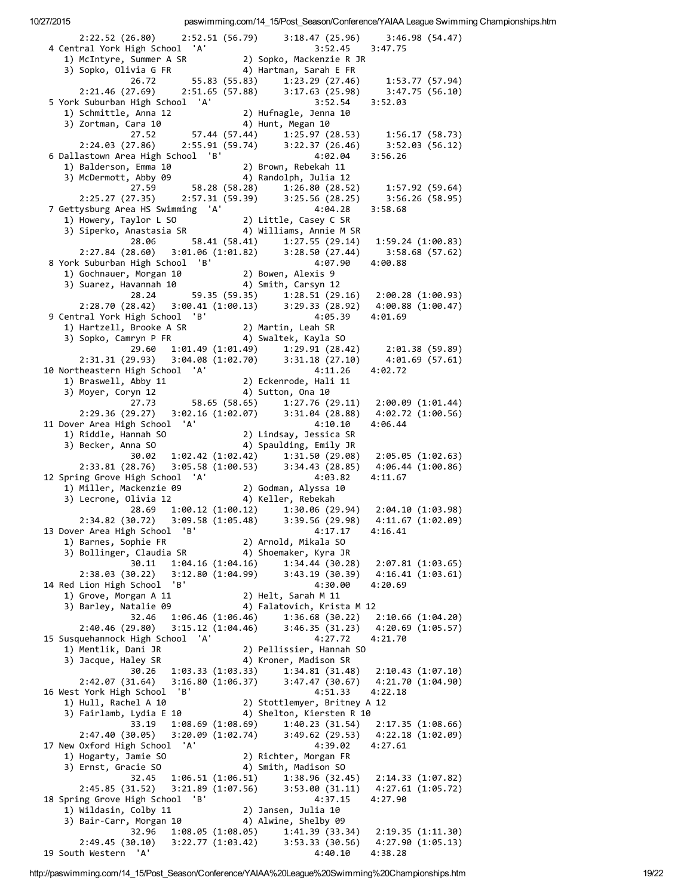| 2:22.52 (26.80) 2:52.51 (56.79) 3:18.47 (25.96) 3:46.98 (54.47)                                                                                                 |                                      |                                                                                      |                                                                                                                                                                                   |
|-----------------------------------------------------------------------------------------------------------------------------------------------------------------|--------------------------------------|--------------------------------------------------------------------------------------|-----------------------------------------------------------------------------------------------------------------------------------------------------------------------------------|
| 4 Central York High School 'A'                                                                                                                                  |                                      | 3:52.45                                                                              | 3:47.75                                                                                                                                                                           |
| 1) McIntyre, Summer A SR                                                                                                                                        |                                      | 2) Sopko, Mackenzie R JR                                                             |                                                                                                                                                                                   |
| 3) Sopko, Olivia G FR                                                                                                                                           |                                      | 4) Hartman, Sarah E FR                                                               |                                                                                                                                                                                   |
| 26.72<br>2:21.46 (27.69) 2:51.65 (57.88) 3:17.63 (25.98)                                                                                                        |                                      | $55.83$ (55.83) $1:23.29$ (27.46)<br>55.83 (55.83) $1:23.29$ (27.46)                 | 1:53.77 (57.94)<br>3:47.75 (56.10)                                                                                                                                                |
| 5 York Suburban High School 'A'                                                                                                                                 |                                      | 3:52.54                                                                              | 3:52.03                                                                                                                                                                           |
|                                                                                                                                                                 |                                      |                                                                                      |                                                                                                                                                                                   |
| 1) Schmittle, Anna 12<br>3) Zortman, Cara 10<br>27.52 57.44 (57.44) 1:25.97 (28.53) 1:56.17 (58.73)                                                             |                                      |                                                                                      |                                                                                                                                                                                   |
|                                                                                                                                                                 |                                      |                                                                                      |                                                                                                                                                                                   |
| 2:24.03 (27.86) 2:55.91 (59.74) 3:22.37 (26.46)<br>6 Dallastown Area High School 'B'                                                                            |                                      | 4:02.04                                                                              | 3:52.03 (56.12)<br>3:56.26                                                                                                                                                        |
| 1) Balderson, Emma 10                                                                                                                                           |                                      |                                                                                      |                                                                                                                                                                                   |
| 3) McDermott, Abby 09                                                                                                                                           |                                      | 10 2) Brown, Rebekah 11<br>09 4) Randolph, Julia 12<br>58.28 (58.28) 1:26.80 (28.52) |                                                                                                                                                                                   |
| 27.59                                                                                                                                                           |                                      |                                                                                      | 1:57.92 (59.64)                                                                                                                                                                   |
| 2:25.27 (27.35) 2:57.31 (59.39) 3:25.56 (28.25)                                                                                                                 |                                      |                                                                                      | 3:56.26 (58.95)                                                                                                                                                                   |
| 7 Gettysburg Area HS Swimming 'A'                                                                                                                               |                                      | 4:04.28                                                                              | 3:58.68                                                                                                                                                                           |
| 1) Howery, Taylor L SO<br>1) Howery, Taylor L SO<br>3) Siperko, Anastasia SR<br>4) Williams, Annie M SR                                                         |                                      |                                                                                      |                                                                                                                                                                                   |
| 28.06                                                                                                                                                           |                                      |                                                                                      |                                                                                                                                                                                   |
| $2:27.84$ (28.60) $3:01.06$ (1:01.82) $3:28.50$ (27.44)                                                                                                         |                                      |                                                                                      | 3:58.68(57.62)                                                                                                                                                                    |
| 8 York Suburban High School 'B'<br>97.: York Suburban High School 'B'<br>1) Gochnauer, Morgan 10 2) Bowen, Alexis<br>3) Suarez, Havannah 10 4) Smith, Carsyn 12 |                                      | 4:07.90                                                                              | 4:00.88                                                                                                                                                                           |
|                                                                                                                                                                 |                                      |                                                                                      |                                                                                                                                                                                   |
| 28.24                                                                                                                                                           |                                      |                                                                                      |                                                                                                                                                                                   |
| 2:28.70 (28.42) 3:00.41 (1:00.13) 3:29.33 (28.92) 4:00.88 (1:00.47)                                                                                             |                                      |                                                                                      |                                                                                                                                                                                   |
| 9 Central York High School<br>'B'                                                                                                                               |                                      | 4:05.39                                                                              | 4:01.69                                                                                                                                                                           |
|                                                                                                                                                                 |                                      |                                                                                      |                                                                                                                                                                                   |
|                                                                                                                                                                 |                                      |                                                                                      | 2:01.38 (59.89)                                                                                                                                                                   |
| $29.60$ $1:01.49$ $(1:01.49)$ $1:29.91$ $(28.42)$<br>$2:31.31$ $(29.93)$ $3:04.08$ $(1:02.70)$ $3:31.18$ $(27.10)$                                              |                                      |                                                                                      | 4:01.69 (57.61)                                                                                                                                                                   |
| 10 Northeastern High School 'A'                                                                                                                                 |                                      | 4:11.26                                                                              | 4:02.72                                                                                                                                                                           |
| 1) Braswell, Abby 11 2) Eckenroae, mai.<br>3) Mover. Corvn 12 4) Sutton, Ona 10                                                                                 |                                      | 2) Eckenrode, Hali 11<br>China Ona 10                                                |                                                                                                                                                                                   |
|                                                                                                                                                                 |                                      |                                                                                      |                                                                                                                                                                                   |
| $27.73$ 58.65 (58.65) 1:27.76 (29.11) 2:00.09 (1:01.44)<br>2:29.36 (29.27) 3:02.16 (1:02.07) 3:31.04 (28.88) 4:02.72 (1:00.56)                                  |                                      |                                                                                      |                                                                                                                                                                                   |
| 11 Dover Area High School 'A'                                                                                                                                   |                                      | 4:10.10                                                                              | 4:06.44                                                                                                                                                                           |
| 1) Riddle, Hannah SO<br>3) Becker, Anna SO                                                                                                                      |                                      | 2) Lindsay, Jessica SR<br>Aling Fmily JR                                             |                                                                                                                                                                                   |
|                                                                                                                                                                 |                                      | 4) Spaulding, Emily JR                                                               |                                                                                                                                                                                   |
| 2:33.81 (28.76)                                                                                                                                                 |                                      |                                                                                      | $\begin{array}{lllll} 30.02 & 1:02.42 & (1:02.42) & 1:31.50 & (29.08) & 2:05.05 & (1:02.63) \\ 8.76) & 3:05.58 & (1:00.53) & 3:34.43 & (28.85) & 4:06.44 & (1:00.86) \end{array}$ |
| 12 Spring Grove High School 'A'                                                                                                                                 |                                      | 4:03.82                                                                              | 4:11.67                                                                                                                                                                           |
| 1.03.22<br>1) Miller, Mackenzie 09<br>3) Lecrone, Olivia 12<br>3) Lecrone, Olivia 12<br>4) Keller, Rebekah                                                      |                                      |                                                                                      |                                                                                                                                                                                   |
|                                                                                                                                                                 |                                      |                                                                                      | 28.69 1:00.12 (1:00.12) 1:30.06 (29.94) 2:04.10 (1:03.98)                                                                                                                         |
| 2:34.82 (30.72)                                                                                                                                                 |                                      |                                                                                      | $3:09.58(1:05.48)$ $3:39.56(29.98)$ $4:11.67(1:02.09)$                                                                                                                            |
| 13 Dover Area High School 'B'                                                                                                                                   |                                      | 4:17.17                                                                              | 4:16.41                                                                                                                                                                           |
| 1) Barnes, Sophie FR                                                                                                                                            |                                      | 2) Arnold, Mikala SO                                                                 |                                                                                                                                                                                   |
| 3) Bollinger, Claudia SR<br>30.11                                                                                                                               | 1:04.16(1:04.16)                     | 4) Shoemaker, Kyra JR<br>1:34.44(30.28)                                              | 2:07.81(1:03.65)                                                                                                                                                                  |
| 2:38.03 (30.22)                                                                                                                                                 | 3:12.80(1:04.99)                     | 3:43.19(30.39)                                                                       | 4:16.41 (1:03.61)                                                                                                                                                                 |
| 14 Red Lion High School<br>'B'                                                                                                                                  |                                      | 4:30.00                                                                              | 4:20.69                                                                                                                                                                           |
| 1) Grove, Morgan A 11                                                                                                                                           |                                      | 2) Helt, Sarah M 11                                                                  |                                                                                                                                                                                   |
| 3) Barley, Natalie 09<br>32.46                                                                                                                                  | 1:06.46(1:06.46)                     | 4) Falatovich, Krista M 12<br>1:36.68(30.22)                                         | 2:10.66(1:04.20)                                                                                                                                                                  |
| 2:40.46 (29.80)                                                                                                                                                 | 3:15.12(1:04.46)                     | 3:46.35(31.23)                                                                       | 4:20.69 (1:05.57)                                                                                                                                                                 |
| 15 Susquehannock High School 'A'                                                                                                                                |                                      | 4:27.72                                                                              | 4:21.70                                                                                                                                                                           |
| 1) Mentlik, Dani JR                                                                                                                                             |                                      | 2) Pellissier, Hannah SO                                                             |                                                                                                                                                                                   |
| 3) Jacque, Haley SR<br>30.26                                                                                                                                    | 1:03.33(1:03.33)                     | 4) Kroner, Madison SR<br>1:34.81(31.48)                                              | 2:10.43(1:07.10)                                                                                                                                                                  |
| 2:42.07 (31.64)                                                                                                                                                 | 3:16.80 (1:06.37)                    | 3:47.47(30.67)                                                                       | 4:21.70 (1:04.90)                                                                                                                                                                 |
| 16 West York High School<br>'B'                                                                                                                                 |                                      | 4:51.33                                                                              | 4:22.18                                                                                                                                                                           |
| 1) Hull, Rachel A 10                                                                                                                                            |                                      | 2) Stottlemyer, Britney A 12                                                         |                                                                                                                                                                                   |
| 3) Fairlamb, Lydia E 10                                                                                                                                         |                                      | 4) Shelton, Kiersten R 10                                                            |                                                                                                                                                                                   |
| 33.19<br>2:47.40(30.05)                                                                                                                                         | 1:08.69(1:08.69)<br>3:20.09(1:02.74) | 1:40.23(31.54)<br>3:49.62(29.53)                                                     | 2:17.35 (1:08.66)<br>4:22.18 (1:02.09)                                                                                                                                            |
| 17 New Oxford High School<br>'A'                                                                                                                                |                                      | 4:39.02                                                                              | 4:27.61                                                                                                                                                                           |
| 1) Hogarty, Jamie SO                                                                                                                                            |                                      | 2) Richter, Morgan FR                                                                |                                                                                                                                                                                   |
| 3) Ernst, Gracie SO                                                                                                                                             |                                      | 4) Smith, Madison SO                                                                 |                                                                                                                                                                                   |
| 32.45<br>2:45.85 (31.52)                                                                                                                                        | 1:06.51(1:06.51)<br>3:21.89(1:07.56) | 1:38.96 (32.45)<br>3:53.00(31.11)                                                    | 2:14.33 (1:07.82)<br>4:27.61 (1:05.72)                                                                                                                                            |
| 18 Spring Grove High School<br>'B'                                                                                                                              |                                      | 4:37.15                                                                              | 4:27.90                                                                                                                                                                           |
| 1) Wildasin, Colby 11                                                                                                                                           |                                      | 2) Jansen, Julia 10                                                                  |                                                                                                                                                                                   |
| 3) Bair-Carr, Morgan 10                                                                                                                                         |                                      | 4) Alwine, Shelby 09                                                                 |                                                                                                                                                                                   |
| 32.96                                                                                                                                                           | 1:08.05(1:08.05)                     | 1:41.39 (33.34)                                                                      | 2:19.35 (1:11.30)                                                                                                                                                                 |
| 2:49.45(30.10)<br>19 South Western<br>'A'                                                                                                                       | 3:22.77(1:03.42)                     | 3:53.33(30.56)<br>4:40.10                                                            | 4:27.90 (1:05.13)<br>4:38.28                                                                                                                                                      |
|                                                                                                                                                                 |                                      |                                                                                      |                                                                                                                                                                                   |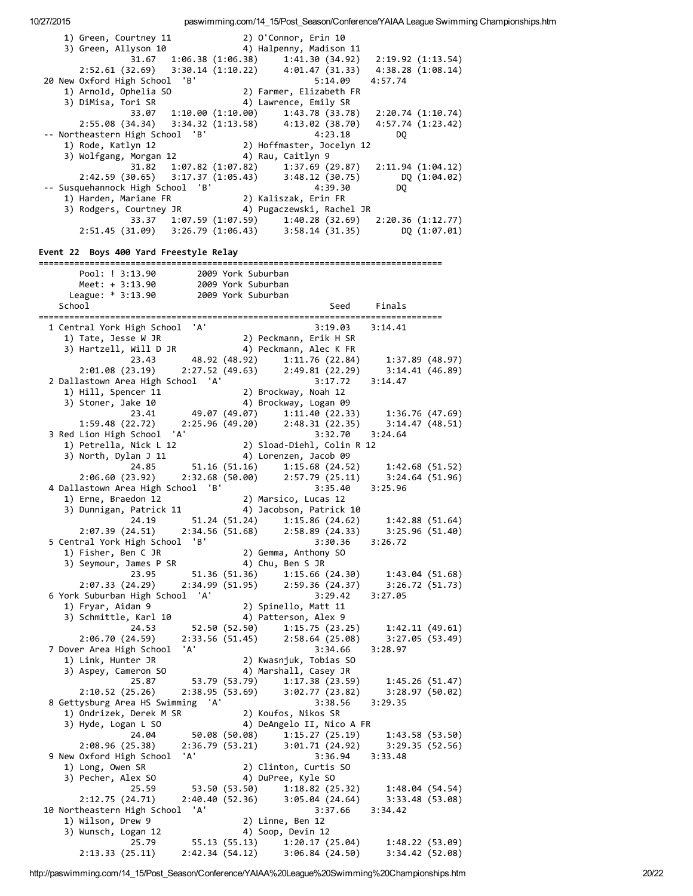1) Green, Courtney 11 2) O'Connor, Erin 10<br>3) Green, Allyson 10 4) Halpenny, Madison 4) Halpenny, Madison 11 31.67 1:06.38 (1:06.38) 1:41.30 (34.92) 2:19.92 (1:13.54) 2:52.61 (32.69) 3:30.14 (1:10.22) 4:01.47 (31.33) 4:38.28 (1:08.14) 20 New Oxford High School 'B' 5:14.09 4:57.74 1) Arnold, Ophelia SO 2) Farmer, Elizabeth FR 3) DiMisa, Tori SR 4) Lawrence, Emily SR 33.07 1:10.00 (1:10.00) 1:43.78 (33.78) 2:20.74 (1:10.74) 2:55.08 (34.34) 3:34.32 (1:13.58) 4:13.02 (38.70) 4:57.74 (1:23.42) ‐‐ Northeastern High School 'B' 4:23.18 DQ 1) Rode, Katlyn 12 2) Hoffmaster, Jocelyn 12 1) Rode, Katlyn 12 (2) Hoffmaster, Jocelyn 12<br>3) Wolfgang, Morgan 12 (4) Rau, Caitlyn 9 31.82 1:07.82 (1:07.82) 1:37.69 (29.87) 2:11.94 (1:04.12) 2:42.59 (30.65) 3:17.37 (1:05.43) 3:48.12 (30.75) DQ (1:04.02) ‐‐ Susquehannock High School 'B' 4:39.30 DQ 1) Harden, Mariane FR 2) Kaliszak, Erin FR 3) Rodgers, Courtney JR 4) Pugaczewski, Rachel JR 33.37 1:07.59 (1:07.59) 1:40.28 (32.69) 2:20.36 (1:12.77) 2:51.45 (31.09) 3:26.79 (1:06.43) 3:58.14 (31.35) DQ (1:07.01) Event 22 Boys 400 Yard Freestyle Relay =============================================================================== Pool: ! 3:13.90 2009 York Suburban Meet: + 3:13.90 2009 York Suburban League: \* 3:13.90 2009 York Suburban School School School Seed Finals =============================================================================== 1 Central York High School 'A' 3:19.03 3:14.41 1) Tate, Jesse W JR 2) Peckmann, Erik H SR 3) Hartzell, Will D JR 4) Peckmann, Alec K FR 23.43 48.92 (48.92) 1:11.76 (22.84) 1:37.89 (48.97) 2:01.08 (23.19) 2:27.52 (49.63) 2:49.81 (22.29) 3:14.41 (46.89) 2 Dallastown Area High School 'A' 3:17.72 3:14.47 valiasioni Area ilgi Seneci II<br>1) Hill, Spencer 11 2) Brockway, Noah 12 3) Stoner, Jake 10 4) Brockway, Logan 09 23.41 49.07 (49.07) 1:11.40 (22.33) 1:36.76 (47.69) 1:59.48 (22.72) 2:25.96 (49.20) 2:48.31 (22.35) 3:14.47 (48.51) 3 Red Lion High School 'A' 3:32.70 3:24.64 1) Petrella, Nick L 12 2) Sload‐Diehl, Colin R 12 3) North, Dylan J 11 4) Lorenzen, Jacob 09 24.85 51.16 (51.16) 1:15.68 (24.52) 1:42.68 (51.52) 2:06.60 (23.92) 2:32.68 (50.00) 2:57.79 (25.11) 3:24.64 (51.96) 4 Dallastown Area High School 'B' 3:35.40 3:25.96 1) Erne, Braedon 12 2) Marsico, Lucas 12 3) Dunnigan, Patrick 11 (4) Jacobson, Patrick 10 24.19 51.24 (51.24) 1:15.86 (24.62) 1:42.88 (51.64) 2:07.39 (24.51) 2:34.56 (51.68) 2:58.89 (24.33) 3:25.96 (51.40) 5 Central York High School 'B' 3:30.36 3:26.72 1) Fisher, Ben C JR 2) Gemma, Anthony SO 3) Seymour, James P SR 4) Chu, Ben S JR 23.95 51.36 (51.36) 1:15.66 (24.30) 1:43.04 (51.68) 2:07.33 (24.29) 2:34.99 (51.95) 2:59.36 (24.37) 3:26.72 (51.73) 6 York Suburban High School 'A' 3:29.42 3:27.05 1) Fryar, Aidan 9 2) Spinello, Matt 11 4) Patterson, Alex 9 24.53 52.50 (52.50) 1:15.75 (23.25) 1:42.11 (49.61) 2:06.70 (24.59) 2:33.56 (51.45) 2:58.64 (25.08) 3:27.05 (53.49) 7 Dover Area High School 'A' 3:34.66 3:28.97 1) Link, Hunter JR 2) Kwasnjuk, Tobias SO 3) Aspey, Cameron SO 4) Marshall, Casey JR 25.87 53.79 (53.79) 1:17.38 (23.59) 1:45.26 (51.47) 2:10.52 (25.26) 2:38.95 (53.69) 3:02.77 (23.82) 3:28.97 (50.02) 8 Gettysburg Area HS Swimming 'A' 3:38.56 3:29.35 1) Ondrizek, Derek M SR 2) Koufos, Nikos SR 3) Hyde, Logan L SO 4) DeAngelo II, Nico A FR 24.04 50.08 (50.08) 1:15.27 (25.19) 1:43.58 (53.50) 2:08.96 (25.38) 2:36.79 (53.21) 3:01.71 (24.92) 3:29.35 (52.56) 9 New Oxford High School 'A' 3:36.94 3:33.48 2:08.96 (25.38) 2:30.77 (33.21) 3:36.94<br>
9 New Oxford High School 'A' 3:36.94<br>
1) Long, Owen SR 2) Clinton, Curtis SO<br>
3) Pecher, Alex SO 4) DuPree, Kyle SO 3) Pecher, Alex SO 4) DuPree, Kyle SO 25.59 53.50 (53.50) 1:18.82 (25.32) 1:48.04 (54.54) 2:12.75 (24.71) 2:40.40 (52.36) 3:05.04 (24.64) 3:33.48 (53.08) 10 Northeastern High School 'A' 3:37.66 3:34.42 1) Wilson, Drew 9 2) Linne, Ben 12 3) Wunsch, Logan 12 (25.79 55.13 (55.13) 1:20.17 (2<br>21.13 33 (25.11) 2:42.34 (54.12) 3:06.84 (2 25.79 55.13 (55.13) 1:20.17 (25.04) 1:48.22 (53.09) 2:13.33 (25.11) 2:42.34 (54.12) 3:06.84 (24.50) 3:34.42 (52.08)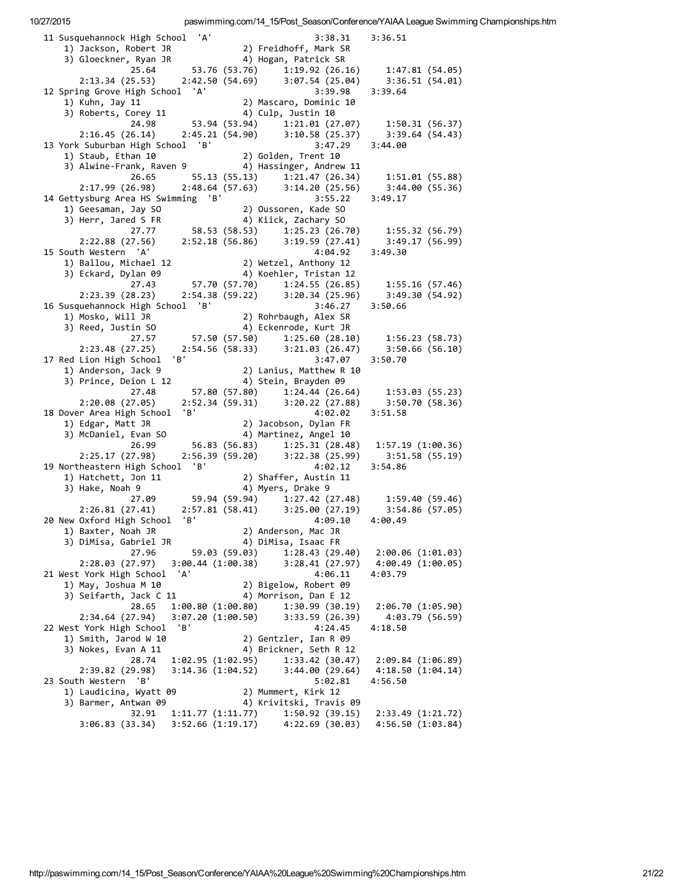| 11 Susquehannock High School 'A'                                                                                               |  | 3:38.31                                                    | 3:36.51                   |
|--------------------------------------------------------------------------------------------------------------------------------|--|------------------------------------------------------------|---------------------------|
| 1) Jackson, Robert JR                                                                                                          |  | 2) Freidhoff, Mark SR                                      |                           |
| 3) Gloeckner, Ryan JR                                                                                                          |  | ,<br>2) Hogan, Patrick SR<br>53.76 (53.76) 1:19.92 (26.16) |                           |
| 25.64                                                                                                                          |  |                                                            | 1:47.81(54.05)            |
| 2:42.50 (54.69)<br>2:13.34(25.53)                                                                                              |  | 3:07.54 (25.04)                                            | 3:36.51(54.01)            |
| 12 Spring Grove High School 'A'                                                                                                |  | 3:39.98                                                    | 3:39.64                   |
| 1) Kuhn, Jay 11                                                                                                                |  | 2) Mascaro, Dominic 10                                     |                           |
| 3) Roberts, Corey 11                                                                                                           |  | 4) Culp, Justin 10                                         |                           |
| 24.98                                                                                                                          |  | 53.94 (53.94) 1:21.01 (27.07)                              | 1:50.31(56.37)            |
| 2:16.45(26.14)                                                                                                                 |  | $2:45.21(54.90)$ $3:10.58(25.37)$                          | 3:39.64(54.43)            |
| 13 York Suburban High School 'B'                                                                                               |  | 3:47.29                                                    | 3:44.00                   |
| 1) Staub, Ethan 10                         2) Golden, Trent 10<br>3) Alwine-Frank, Raven 9             4) Hassinger, Andrew 11 |  |                                                            |                           |
|                                                                                                                                |  |                                                            |                           |
| 55.13 (55.13)<br>26.65<br>2:17.99(26.98)                                                                                       |  | 1:21.47 (26.34)<br>$2:48.64(57.63)$ $3:14.20(25.56)$       | 1:51.01(55.88)            |
| 14 Gettysburg Area HS Swimming 'B'                                                                                             |  | 3:55.22                                                    | 3:44.00(55.36)<br>3:49.17 |
| 1) Geesaman, Jay SO                                                                                                            |  | 2) Oussoren, Kade SO                                       |                           |
| 3) Herr, Jared S FR                                                                                                            |  | 4) Kiick, Zachary SO                                       |                           |
| 58.53 (58.53)<br>27.77                                                                                                         |  | 1:25.23(26.70)                                             | 1:55.32(56.79)            |
| 2:52.18 (56.86)<br>2:22.88 (27.56)                                                                                             |  | 3:19.59(27.41)                                             | 3:49.17(56.99)            |
| 15 South Western 'A'                                                                                                           |  | 4:04.92                                                    | 3:49.30                   |
| 1) Ballou, Michael 12                                                                                                          |  | 2) Wetzel, Anthony 12                                      |                           |
| 3) Eckard, Dylan 09                                                                                                            |  | 4) Koehler, Tristan 12                                     |                           |
| 27.43<br>57.70 (57.70)                                                                                                         |  | 1:24.55(26.85)                                             | 1:55.16(57.46)            |
| 2:23.39(28.23)                                                                                                                 |  | 2:54.38 (59.22) 3:20.34 (25.96)                            | 3:49.30(54.92)            |
| 16 Susquehannock High School 'B'                                                                                               |  | 3:46.27                                                    | 3:50.66                   |
| 1) Mosko, Will JR                                                                                                              |  | 2) Rohrbaugh, Alex SR                                      |                           |
| 3) Reed, Justin SO                                                                                                             |  | 4) Eckenrode, Kurt JR                                      |                           |
| 27.57<br>57.50 (57.50)                                                                                                         |  | 1:25.60 (28.10)                                            | 1:56.23(58.73)            |
| 2:54.56 (58.33)<br>2:23.48(27.25)                                                                                              |  | 3:21.03(26.47)                                             | 3:50.66(56.10)            |
| 'B'<br>17 Red Lion High School                                                                                                 |  | 3:47.07                                                    | 3:50.70                   |
| 1) Anderson, Jack 9                                                                                                            |  | 2) Lanius, Matthew R 10                                    |                           |
| 3) Prince, Deion L 12                                                                                                          |  | 4) Stein, Brayden 09                                       |                           |
| 27.48                                                                                                                          |  | 57.80 (57.80) 1:24.44 (26.64)                              | 1:53.03(55.23)            |
| 2:20.08(27.05)                                                                                                                 |  | 2:52.34 (59.31) 3:20.22 (27.88)                            | 3:50.70(58.36)            |
| 'B'<br>18 Dover Area High School                                                                                               |  | 4:02.02                                                    | 3:51.58                   |
| 1) Edgar, Matt JR<br>3) McDaniel, Evan SO                                                                                      |  | 2) Jacobson, Dylan FR<br>4) Martinez, Angel 10             |                           |
| 26.99<br>56.83 (56.83)                                                                                                         |  | 1:25.31(28.48)                                             | 1:57.19(1:00.36)          |
| 2:25.17(27.98)<br>2:56.39 (59.20)                                                                                              |  | 3:22.38(25.99)                                             | 3:51.58(55.19)            |
| 19 Northeastern High School 'B'                                                                                                |  | 4:02.12                                                    | 3:54.86                   |
| 1) Hatchett, Jon 11                                                                                                            |  | 2) Shaffer, Austin 11                                      |                           |
| 3) Hake, Noah 9                                                                                                                |  | 4) Myers, Drake 9                                          |                           |
| 27.09                                                                                                                          |  | 59.94 (59.94) 1:27.42 (27.48)                              | 1:59.40(59.46)            |
| 2:26.81(27.41)                                                                                                                 |  | 2:57.81 (58.41) 3:25.00 (27.19)                            | 3:54.86(57.05)            |
| 'B'<br>20 New Oxford High School                                                                                               |  | 4:09.10                                                    | 4:00.49                   |
| 1) Baxter, Noah JR                                                                                                             |  | 2) Anderson, Mac JR                                        |                           |
| 3) DiMisa, Gabriel JR                                                                                                          |  | 4) DiMisa, Isaac FR                                        |                           |
| 27.96<br>59.03 (59.03)                                                                                                         |  | 1:28.43 (29.40)                                            | 2:00.06(1:01.03)          |
| 3:00.44(1:00.38)<br>2:28.03 (27.97)                                                                                            |  | 3:28.41(27.97)                                             | 4:00.49 (1:00.05)         |
| 'A'<br>21 West York High School                                                                                                |  | 4:06.11                                                    | 4:03.79                   |
| 1) May, Joshua M 10                                                                                                            |  | 2) Bigelow, Robert 09                                      |                           |
| 3) Seifarth, Jack C 11                                                                                                         |  | 4) Morrison, Dan E 12                                      |                           |
| 28.65<br>1:00.80 (1:00.80)                                                                                                     |  | 1:30.99(30.19)                                             | 2:06.70(1:05.90)          |
| 3:07.20(1:00.50)<br>2:34.64(27.94)                                                                                             |  | 3:33.59 (26.39)                                            | 4:03.79 (56.59)           |
| 22 West York High School<br>'B'                                                                                                |  | 4:24.45                                                    | 4:18.50                   |
| 1) Smith, Jarod W 10<br>3) Nokes, Evan A 11                                                                                    |  | 2) Gentzler, Ian R 09<br>4) Brickner, Seth R 12            |                           |
| 28.74<br>1:02.95 (1:02.95)                                                                                                     |  | 1:33.42 (30.47)                                            | 2:09.84 (1:06.89)         |
| 2:39.82 (29.98)<br>3:14.36 (1:04.52)                                                                                           |  | 3:44.00(29.64)                                             | 4:18.50(1:04.14)          |
| 23 South Western<br>'B'                                                                                                        |  | 5:02.81                                                    | 4:56.50                   |
| 1) Laudicina, Wyatt 09                                                                                                         |  | 2) Mummert, Kirk 12                                        |                           |
| 3) Barmer, Antwan 09                                                                                                           |  | 4) Krivitski, Travis 09                                    |                           |
| 32.91<br>1:11.77(1:11.77)                                                                                                      |  | 1:50.92(39.15)                                             | 2:33.49 (1:21.72)         |
| 3:52.66 (1:19.17)<br>3:06.83(33.34)                                                                                            |  | 4:22.69(30.03)                                             | 4:56.50 (1:03.84)         |